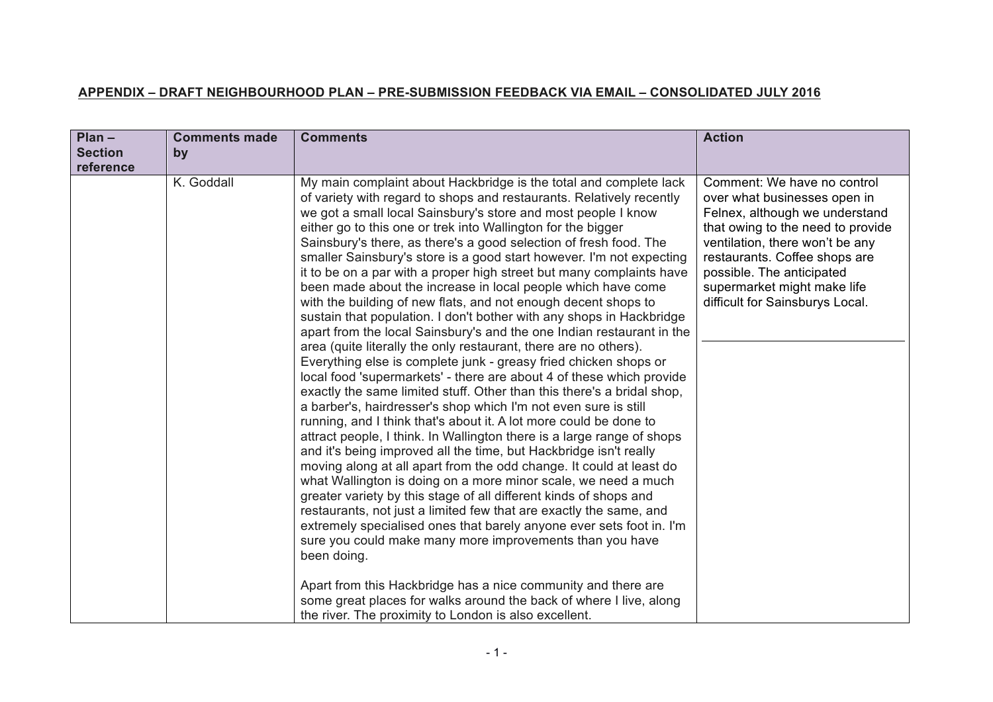## **APPENDIX – DRAFT NEIGHBOURHOOD PLAN – PRE-SUBMISSION FEEDBACK VIA EMAIL – CONSOLIDATED JULY 2016**

| $Plan -$<br><b>Comments made</b><br><b>Section</b><br>by<br>reference | <b>Comments</b>                                                                                                                                                                                                                                                                                                                                                                                                                                                                                                                                                                                                                                                                                                                                                                                                                                                                                                                                                                                                                                                                                                                                                                                                                                                                                                                                                                                                                                                                                                                                                                                                                                                                                                                                                                                                                                                                                                                                                                                            | <b>Action</b>                                                                                                                                                                                                                                                                                         |
|-----------------------------------------------------------------------|------------------------------------------------------------------------------------------------------------------------------------------------------------------------------------------------------------------------------------------------------------------------------------------------------------------------------------------------------------------------------------------------------------------------------------------------------------------------------------------------------------------------------------------------------------------------------------------------------------------------------------------------------------------------------------------------------------------------------------------------------------------------------------------------------------------------------------------------------------------------------------------------------------------------------------------------------------------------------------------------------------------------------------------------------------------------------------------------------------------------------------------------------------------------------------------------------------------------------------------------------------------------------------------------------------------------------------------------------------------------------------------------------------------------------------------------------------------------------------------------------------------------------------------------------------------------------------------------------------------------------------------------------------------------------------------------------------------------------------------------------------------------------------------------------------------------------------------------------------------------------------------------------------------------------------------------------------------------------------------------------------|-------------------------------------------------------------------------------------------------------------------------------------------------------------------------------------------------------------------------------------------------------------------------------------------------------|
| K. Goddall                                                            | My main complaint about Hackbridge is the total and complete lack<br>of variety with regard to shops and restaurants. Relatively recently<br>we got a small local Sainsbury's store and most people I know<br>either go to this one or trek into Wallington for the bigger<br>Sainsbury's there, as there's a good selection of fresh food. The<br>smaller Sainsbury's store is a good start however. I'm not expecting<br>it to be on a par with a proper high street but many complaints have<br>been made about the increase in local people which have come<br>with the building of new flats, and not enough decent shops to<br>sustain that population. I don't bother with any shops in Hackbridge<br>apart from the local Sainsbury's and the one Indian restaurant in the<br>area (quite literally the only restaurant, there are no others).<br>Everything else is complete junk - greasy fried chicken shops or<br>local food 'supermarkets' - there are about 4 of these which provide<br>exactly the same limited stuff. Other than this there's a bridal shop,<br>a barber's, hairdresser's shop which I'm not even sure is still<br>running, and I think that's about it. A lot more could be done to<br>attract people, I think. In Wallington there is a large range of shops<br>and it's being improved all the time, but Hackbridge isn't really<br>moving along at all apart from the odd change. It could at least do<br>what Wallington is doing on a more minor scale, we need a much<br>greater variety by this stage of all different kinds of shops and<br>restaurants, not just a limited few that are exactly the same, and<br>extremely specialised ones that barely anyone ever sets foot in. I'm<br>sure you could make many more improvements than you have<br>been doing.<br>Apart from this Hackbridge has a nice community and there are<br>some great places for walks around the back of where I live, along<br>the river. The proximity to London is also excellent. | Comment: We have no control<br>over what businesses open in<br>Felnex, although we understand<br>that owing to the need to provide<br>ventilation, there won't be any<br>restaurants. Coffee shops are<br>possible. The anticipated<br>supermarket might make life<br>difficult for Sainsburys Local. |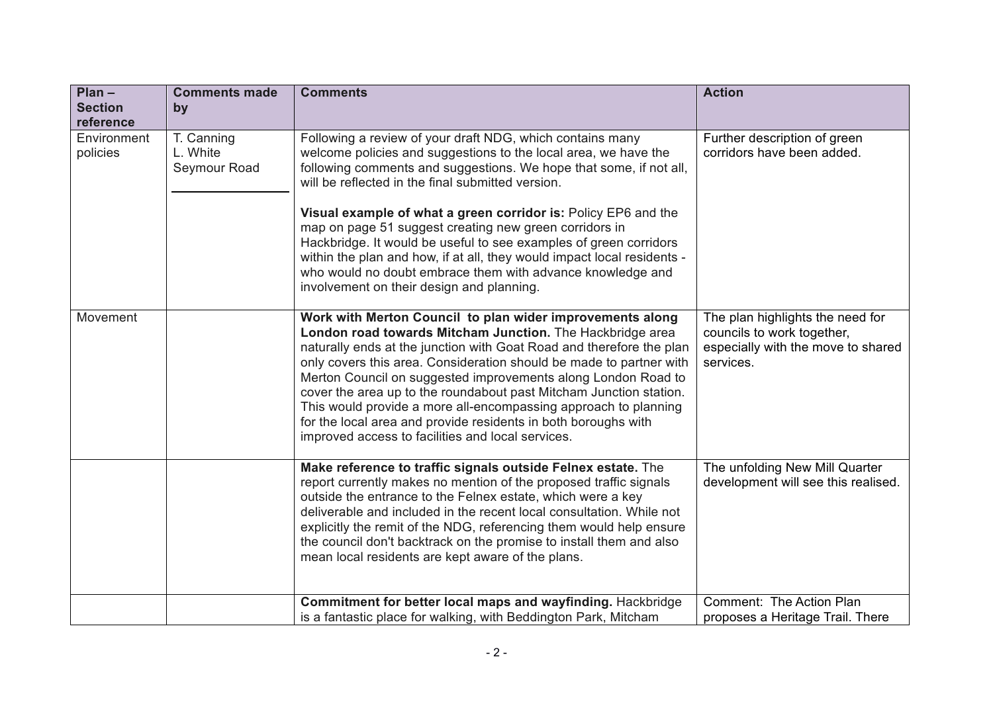| $Plan -$                    | <b>Comments made</b>                   | <b>Comments</b>                                                                                                                                                                                                                                                                                                                                                                                                                                                                                                                                                                                                                                | <b>Action</b>                                                                                                     |
|-----------------------------|----------------------------------------|------------------------------------------------------------------------------------------------------------------------------------------------------------------------------------------------------------------------------------------------------------------------------------------------------------------------------------------------------------------------------------------------------------------------------------------------------------------------------------------------------------------------------------------------------------------------------------------------------------------------------------------------|-------------------------------------------------------------------------------------------------------------------|
| <b>Section</b><br>reference | by                                     |                                                                                                                                                                                                                                                                                                                                                                                                                                                                                                                                                                                                                                                |                                                                                                                   |
| Environment<br>policies     | T. Canning<br>L. White<br>Seymour Road | Following a review of your draft NDG, which contains many<br>welcome policies and suggestions to the local area, we have the<br>following comments and suggestions. We hope that some, if not all,<br>will be reflected in the final submitted version.<br>Visual example of what a green corridor is: Policy EP6 and the<br>map on page 51 suggest creating new green corridors in<br>Hackbridge. It would be useful to see examples of green corridors<br>within the plan and how, if at all, they would impact local residents -<br>who would no doubt embrace them with advance knowledge and<br>involvement on their design and planning. | Further description of green<br>corridors have been added.                                                        |
| Movement                    |                                        | Work with Merton Council to plan wider improvements along<br>London road towards Mitcham Junction. The Hackbridge area<br>naturally ends at the junction with Goat Road and therefore the plan<br>only covers this area. Consideration should be made to partner with<br>Merton Council on suggested improvements along London Road to<br>cover the area up to the roundabout past Mitcham Junction station.<br>This would provide a more all-encompassing approach to planning<br>for the local area and provide residents in both boroughs with<br>improved access to facilities and local services.                                         | The plan highlights the need for<br>councils to work together,<br>especially with the move to shared<br>services. |
|                             |                                        | Make reference to traffic signals outside Felnex estate. The<br>report currently makes no mention of the proposed traffic signals<br>outside the entrance to the Felnex estate, which were a key<br>deliverable and included in the recent local consultation. While not<br>explicitly the remit of the NDG, referencing them would help ensure<br>the council don't backtrack on the promise to install them and also<br>mean local residents are kept aware of the plans.                                                                                                                                                                    | The unfolding New Mill Quarter<br>development will see this realised.                                             |
|                             |                                        | Commitment for better local maps and wayfinding. Hackbridge<br>is a fantastic place for walking, with Beddington Park, Mitcham                                                                                                                                                                                                                                                                                                                                                                                                                                                                                                                 | Comment: The Action Plan<br>proposes a Heritage Trail. There                                                      |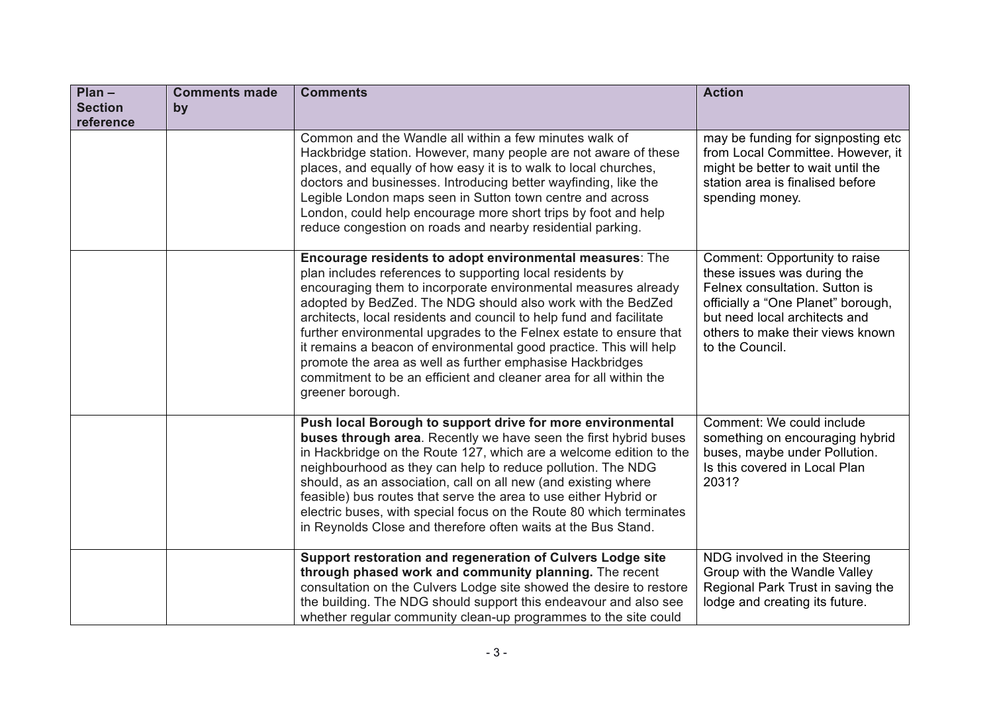| $Plan -$<br><b>Section</b> | <b>Comments made</b> | <b>Comments</b>                                                                                                                                                                                                                                                                                                                                                                                                                                                                                                                                                                                                                 | <b>Action</b>                                                                                                                                                                                                                |
|----------------------------|----------------------|---------------------------------------------------------------------------------------------------------------------------------------------------------------------------------------------------------------------------------------------------------------------------------------------------------------------------------------------------------------------------------------------------------------------------------------------------------------------------------------------------------------------------------------------------------------------------------------------------------------------------------|------------------------------------------------------------------------------------------------------------------------------------------------------------------------------------------------------------------------------|
| reference                  | by                   |                                                                                                                                                                                                                                                                                                                                                                                                                                                                                                                                                                                                                                 |                                                                                                                                                                                                                              |
|                            |                      | Common and the Wandle all within a few minutes walk of<br>Hackbridge station. However, many people are not aware of these<br>places, and equally of how easy it is to walk to local churches,<br>doctors and businesses. Introducing better wayfinding, like the<br>Legible London maps seen in Sutton town centre and across<br>London, could help encourage more short trips by foot and help<br>reduce congestion on roads and nearby residential parking.                                                                                                                                                                   | may be funding for signposting etc<br>from Local Committee. However, it<br>might be better to wait until the<br>station area is finalised before<br>spending money.                                                          |
|                            |                      | Encourage residents to adopt environmental measures: The<br>plan includes references to supporting local residents by<br>encouraging them to incorporate environmental measures already<br>adopted by BedZed. The NDG should also work with the BedZed<br>architects, local residents and council to help fund and facilitate<br>further environmental upgrades to the Felnex estate to ensure that<br>it remains a beacon of environmental good practice. This will help<br>promote the area as well as further emphasise Hackbridges<br>commitment to be an efficient and cleaner area for all within the<br>greener borough. | Comment: Opportunity to raise<br>these issues was during the<br>Felnex consultation. Sutton is<br>officially a "One Planet" borough,<br>but need local architects and<br>others to make their views known<br>to the Council. |
|                            |                      | Push local Borough to support drive for more environmental<br>buses through area. Recently we have seen the first hybrid buses<br>in Hackbridge on the Route 127, which are a welcome edition to the<br>neighbourhood as they can help to reduce pollution. The NDG<br>should, as an association, call on all new (and existing where<br>feasible) bus routes that serve the area to use either Hybrid or<br>electric buses, with special focus on the Route 80 which terminates<br>in Reynolds Close and therefore often waits at the Bus Stand.                                                                               | Comment: We could include<br>something on encouraging hybrid<br>buses, maybe under Pollution.<br>Is this covered in Local Plan<br>2031?                                                                                      |
|                            |                      | Support restoration and regeneration of Culvers Lodge site<br>through phased work and community planning. The recent<br>consultation on the Culvers Lodge site showed the desire to restore<br>the building. The NDG should support this endeavour and also see<br>whether regular community clean-up programmes to the site could                                                                                                                                                                                                                                                                                              | NDG involved in the Steering<br>Group with the Wandle Valley<br>Regional Park Trust in saving the<br>lodge and creating its future.                                                                                          |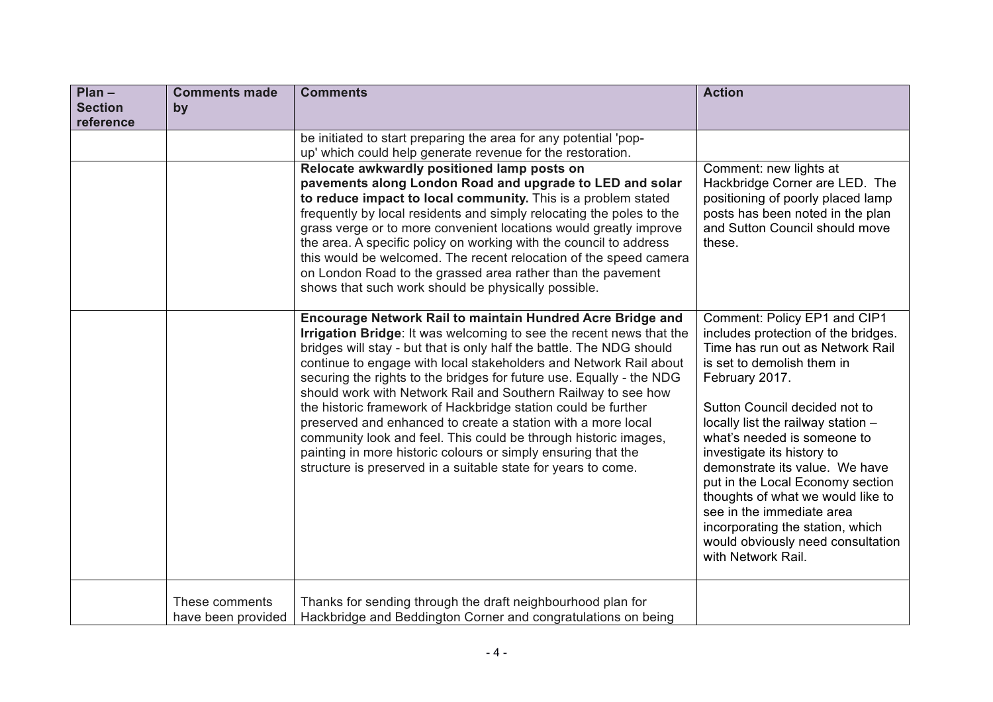| $Plan -$<br><b>Section</b><br>reference | <b>Comments made</b><br>by           | <b>Comments</b>                                                                                                                                                                                                                                                                                                                                                                                                                                                                                                                                                                                                                                                                                                                                               | <b>Action</b>                                                                                                                                                                                                                                                                                                                                                                                                                                                                                                                      |
|-----------------------------------------|--------------------------------------|---------------------------------------------------------------------------------------------------------------------------------------------------------------------------------------------------------------------------------------------------------------------------------------------------------------------------------------------------------------------------------------------------------------------------------------------------------------------------------------------------------------------------------------------------------------------------------------------------------------------------------------------------------------------------------------------------------------------------------------------------------------|------------------------------------------------------------------------------------------------------------------------------------------------------------------------------------------------------------------------------------------------------------------------------------------------------------------------------------------------------------------------------------------------------------------------------------------------------------------------------------------------------------------------------------|
|                                         |                                      | be initiated to start preparing the area for any potential 'pop-<br>up' which could help generate revenue for the restoration.                                                                                                                                                                                                                                                                                                                                                                                                                                                                                                                                                                                                                                |                                                                                                                                                                                                                                                                                                                                                                                                                                                                                                                                    |
|                                         |                                      | Relocate awkwardly positioned lamp posts on<br>pavements along London Road and upgrade to LED and solar<br>to reduce impact to local community. This is a problem stated<br>frequently by local residents and simply relocating the poles to the<br>grass verge or to more convenient locations would greatly improve<br>the area. A specific policy on working with the council to address<br>this would be welcomed. The recent relocation of the speed camera<br>on London Road to the grassed area rather than the pavement<br>shows that such work should be physically possible.                                                                                                                                                                        | Comment: new lights at<br>Hackbridge Corner are LED. The<br>positioning of poorly placed lamp<br>posts has been noted in the plan<br>and Sutton Council should move<br>these.                                                                                                                                                                                                                                                                                                                                                      |
|                                         |                                      | Encourage Network Rail to maintain Hundred Acre Bridge and<br>Irrigation Bridge: It was welcoming to see the recent news that the<br>bridges will stay - but that is only half the battle. The NDG should<br>continue to engage with local stakeholders and Network Rail about<br>securing the rights to the bridges for future use. Equally - the NDG<br>should work with Network Rail and Southern Railway to see how<br>the historic framework of Hackbridge station could be further<br>preserved and enhanced to create a station with a more local<br>community look and feel. This could be through historic images,<br>painting in more historic colours or simply ensuring that the<br>structure is preserved in a suitable state for years to come. | Comment: Policy EP1 and CIP1<br>includes protection of the bridges.<br>Time has run out as Network Rail<br>is set to demolish them in<br>February 2017.<br>Sutton Council decided not to<br>locally list the railway station -<br>what's needed is someone to<br>investigate its history to<br>demonstrate its value. We have<br>put in the Local Economy section<br>thoughts of what we would like to<br>see in the immediate area<br>incorporating the station, which<br>would obviously need consultation<br>with Network Rail. |
|                                         | These comments<br>have been provided | Thanks for sending through the draft neighbourhood plan for<br>Hackbridge and Beddington Corner and congratulations on being                                                                                                                                                                                                                                                                                                                                                                                                                                                                                                                                                                                                                                  |                                                                                                                                                                                                                                                                                                                                                                                                                                                                                                                                    |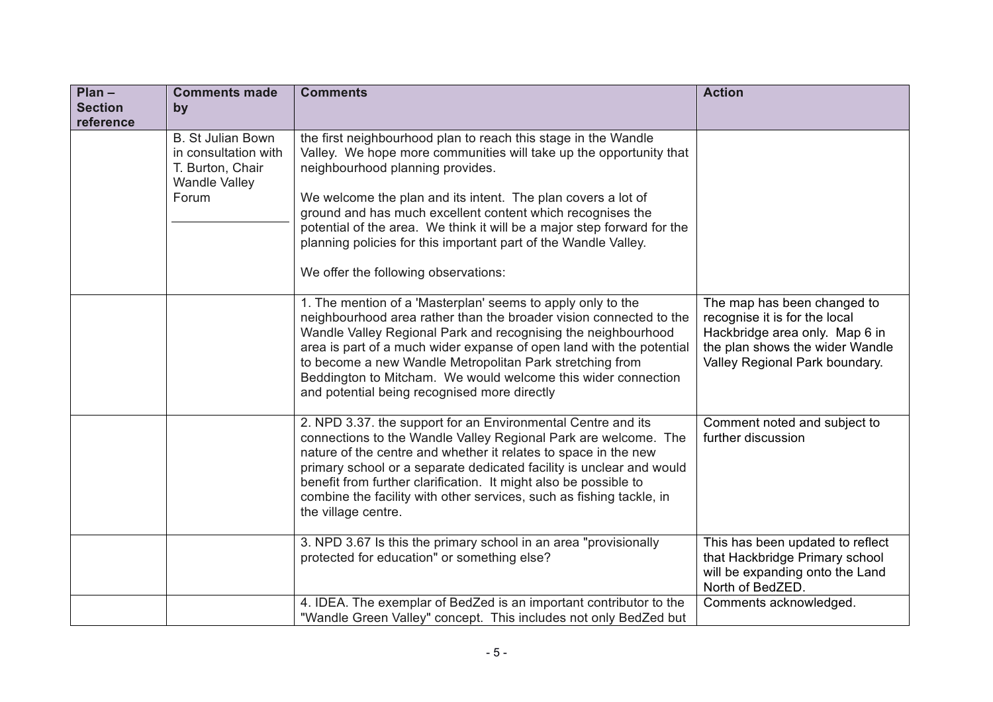| $Plan -$                    | <b>Comments made</b>                                                                                  | <b>Comments</b>                                                                                                                                                                                                                                                                                                                                                                                                                                                                              | <b>Action</b>                                                                                                                                                       |
|-----------------------------|-------------------------------------------------------------------------------------------------------|----------------------------------------------------------------------------------------------------------------------------------------------------------------------------------------------------------------------------------------------------------------------------------------------------------------------------------------------------------------------------------------------------------------------------------------------------------------------------------------------|---------------------------------------------------------------------------------------------------------------------------------------------------------------------|
| <b>Section</b><br>reference | by                                                                                                    |                                                                                                                                                                                                                                                                                                                                                                                                                                                                                              |                                                                                                                                                                     |
|                             | <b>B. St Julian Bown</b><br>in consultation with<br>T. Burton, Chair<br><b>Wandle Valley</b><br>Forum | the first neighbourhood plan to reach this stage in the Wandle<br>Valley. We hope more communities will take up the opportunity that<br>neighbourhood planning provides.<br>We welcome the plan and its intent. The plan covers a lot of<br>ground and has much excellent content which recognises the<br>potential of the area. We think it will be a major step forward for the<br>planning policies for this important part of the Wandle Valley.<br>We offer the following observations: |                                                                                                                                                                     |
|                             |                                                                                                       | 1. The mention of a 'Masterplan' seems to apply only to the<br>neighbourhood area rather than the broader vision connected to the<br>Wandle Valley Regional Park and recognising the neighbourhood<br>area is part of a much wider expanse of open land with the potential<br>to become a new Wandle Metropolitan Park stretching from<br>Beddington to Mitcham. We would welcome this wider connection<br>and potential being recognised more directly                                      | The map has been changed to<br>recognise it is for the local<br>Hackbridge area only. Map 6 in<br>the plan shows the wider Wandle<br>Valley Regional Park boundary. |
|                             |                                                                                                       | 2. NPD 3.37. the support for an Environmental Centre and its<br>connections to the Wandle Valley Regional Park are welcome. The<br>nature of the centre and whether it relates to space in the new<br>primary school or a separate dedicated facility is unclear and would<br>benefit from further clarification. It might also be possible to<br>combine the facility with other services, such as fishing tackle, in<br>the village centre.                                                | Comment noted and subject to<br>further discussion                                                                                                                  |
|                             |                                                                                                       | 3. NPD 3.67 Is this the primary school in an area "provisionally<br>protected for education" or something else?                                                                                                                                                                                                                                                                                                                                                                              | This has been updated to reflect<br>that Hackbridge Primary school<br>will be expanding onto the Land<br>North of BedZED.                                           |
|                             |                                                                                                       | 4. IDEA. The exemplar of BedZed is an important contributor to the<br>"Wandle Green Valley" concept. This includes not only BedZed but                                                                                                                                                                                                                                                                                                                                                       | Comments acknowledged.                                                                                                                                              |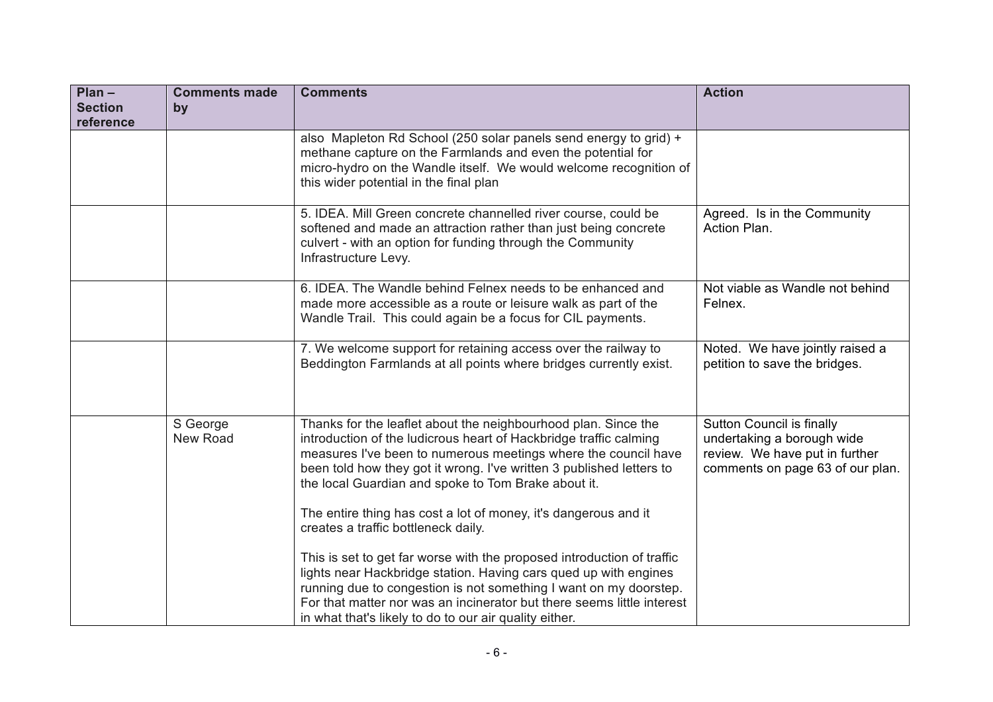| $Plan -$                    | <b>Comments made</b> | <b>Comments</b>                                                                                                                                                                                                                                                                                                                                                                                                                                | <b>Action</b>                                                                                                                 |
|-----------------------------|----------------------|------------------------------------------------------------------------------------------------------------------------------------------------------------------------------------------------------------------------------------------------------------------------------------------------------------------------------------------------------------------------------------------------------------------------------------------------|-------------------------------------------------------------------------------------------------------------------------------|
| <b>Section</b><br>reference | by                   |                                                                                                                                                                                                                                                                                                                                                                                                                                                |                                                                                                                               |
|                             |                      | also Mapleton Rd School (250 solar panels send energy to grid) +<br>methane capture on the Farmlands and even the potential for<br>micro-hydro on the Wandle itself. We would welcome recognition of<br>this wider potential in the final plan                                                                                                                                                                                                 |                                                                                                                               |
|                             |                      | 5. IDEA. Mill Green concrete channelled river course, could be<br>softened and made an attraction rather than just being concrete<br>culvert - with an option for funding through the Community<br>Infrastructure Levy.                                                                                                                                                                                                                        | Agreed. Is in the Community<br>Action Plan.                                                                                   |
|                             |                      | 6. IDEA. The Wandle behind Felnex needs to be enhanced and<br>made more accessible as a route or leisure walk as part of the<br>Wandle Trail. This could again be a focus for CIL payments.                                                                                                                                                                                                                                                    | Not viable as Wandle not behind<br>Felnex.                                                                                    |
|                             |                      | 7. We welcome support for retaining access over the railway to<br>Beddington Farmlands at all points where bridges currently exist.                                                                                                                                                                                                                                                                                                            | Noted. We have jointly raised a<br>petition to save the bridges.                                                              |
|                             | S George<br>New Road | Thanks for the leaflet about the neighbourhood plan. Since the<br>introduction of the ludicrous heart of Hackbridge traffic calming<br>measures I've been to numerous meetings where the council have<br>been told how they got it wrong. I've written 3 published letters to<br>the local Guardian and spoke to Tom Brake about it.<br>The entire thing has cost a lot of money, it's dangerous and it<br>creates a traffic bottleneck daily. | Sutton Council is finally<br>undertaking a borough wide<br>review. We have put in further<br>comments on page 63 of our plan. |
|                             |                      | This is set to get far worse with the proposed introduction of traffic<br>lights near Hackbridge station. Having cars qued up with engines<br>running due to congestion is not something I want on my doorstep.<br>For that matter nor was an incinerator but there seems little interest<br>in what that's likely to do to our air quality either.                                                                                            |                                                                                                                               |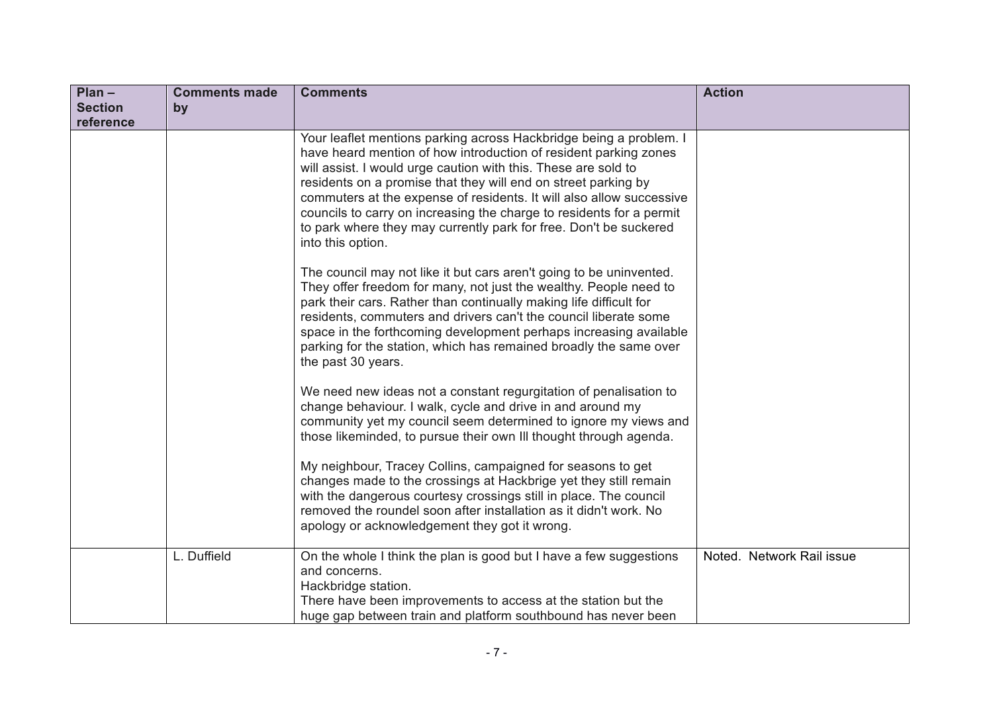| $Plan -$       | <b>Comments made</b> | <b>Comments</b>                                                                                                                                                                                                                                                                                                                                                                                                                                                                                                      | <b>Action</b>             |
|----------------|----------------------|----------------------------------------------------------------------------------------------------------------------------------------------------------------------------------------------------------------------------------------------------------------------------------------------------------------------------------------------------------------------------------------------------------------------------------------------------------------------------------------------------------------------|---------------------------|
| <b>Section</b> | by                   |                                                                                                                                                                                                                                                                                                                                                                                                                                                                                                                      |                           |
| reference      |                      |                                                                                                                                                                                                                                                                                                                                                                                                                                                                                                                      |                           |
|                |                      | Your leaflet mentions parking across Hackbridge being a problem. I<br>have heard mention of how introduction of resident parking zones<br>will assist. I would urge caution with this. These are sold to<br>residents on a promise that they will end on street parking by<br>commuters at the expense of residents. It will also allow successive<br>councils to carry on increasing the charge to residents for a permit<br>to park where they may currently park for free. Don't be suckered<br>into this option. |                           |
|                |                      | The council may not like it but cars aren't going to be uninvented.<br>They offer freedom for many, not just the wealthy. People need to<br>park their cars. Rather than continually making life difficult for<br>residents, commuters and drivers can't the council liberate some<br>space in the forthcoming development perhaps increasing available<br>parking for the station, which has remained broadly the same over<br>the past 30 years.                                                                   |                           |
|                |                      | We need new ideas not a constant regurgitation of penalisation to<br>change behaviour. I walk, cycle and drive in and around my<br>community yet my council seem determined to ignore my views and<br>those likeminded, to pursue their own III thought through agenda.                                                                                                                                                                                                                                              |                           |
|                |                      | My neighbour, Tracey Collins, campaigned for seasons to get<br>changes made to the crossings at Hackbrige yet they still remain<br>with the dangerous courtesy crossings still in place. The council<br>removed the roundel soon after installation as it didn't work. No<br>apology or acknowledgement they got it wrong.                                                                                                                                                                                           |                           |
|                | L. Duffield          | On the whole I think the plan is good but I have a few suggestions<br>and concerns.<br>Hackbridge station.<br>There have been improvements to access at the station but the<br>huge gap between train and platform southbound has never been                                                                                                                                                                                                                                                                         | Noted. Network Rail issue |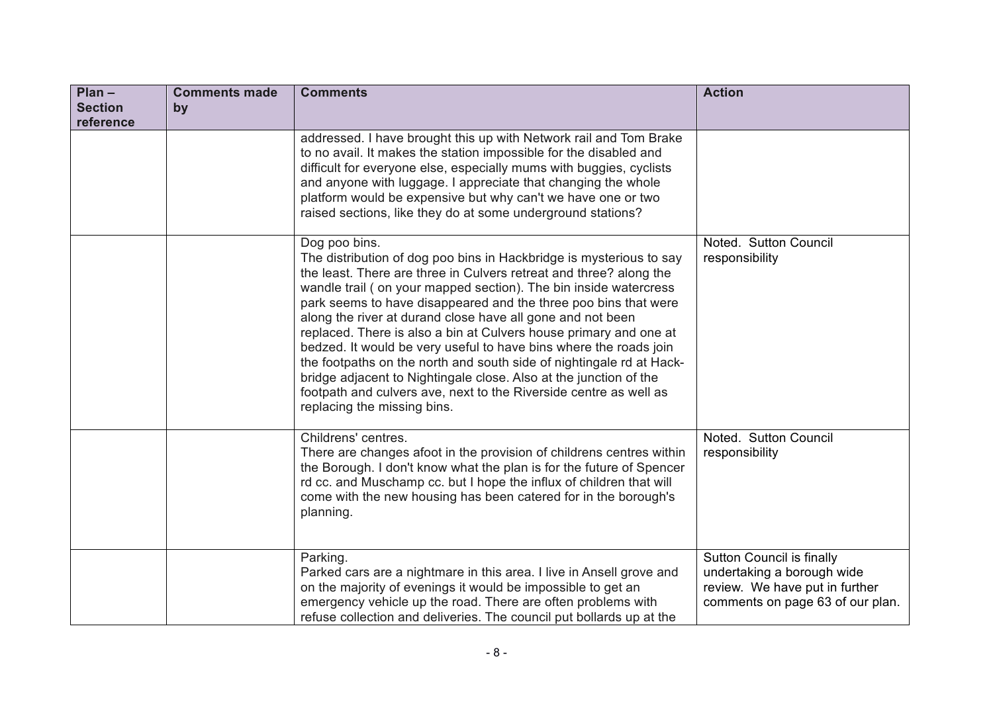| $Plan -$<br><b>Section</b><br>reference | <b>Comments made</b><br>by | <b>Comments</b>                                                                                                                                                                                                                                                                                                                                                                                                                                                                                                                                                                                                                                                                                                                                            | <b>Action</b>                                                                                                                 |
|-----------------------------------------|----------------------------|------------------------------------------------------------------------------------------------------------------------------------------------------------------------------------------------------------------------------------------------------------------------------------------------------------------------------------------------------------------------------------------------------------------------------------------------------------------------------------------------------------------------------------------------------------------------------------------------------------------------------------------------------------------------------------------------------------------------------------------------------------|-------------------------------------------------------------------------------------------------------------------------------|
|                                         |                            | addressed. I have brought this up with Network rail and Tom Brake<br>to no avail. It makes the station impossible for the disabled and<br>difficult for everyone else, especially mums with buggies, cyclists<br>and anyone with luggage. I appreciate that changing the whole<br>platform would be expensive but why can't we have one or two<br>raised sections, like they do at some underground stations?                                                                                                                                                                                                                                                                                                                                              |                                                                                                                               |
|                                         |                            | Dog poo bins.<br>The distribution of dog poo bins in Hackbridge is mysterious to say<br>the least. There are three in Culvers retreat and three? along the<br>wandle trail (on your mapped section). The bin inside watercress<br>park seems to have disappeared and the three poo bins that were<br>along the river at durand close have all gone and not been<br>replaced. There is also a bin at Culvers house primary and one at<br>bedzed. It would be very useful to have bins where the roads join<br>the footpaths on the north and south side of nightingale rd at Hack-<br>bridge adjacent to Nightingale close. Also at the junction of the<br>footpath and culvers ave, next to the Riverside centre as well as<br>replacing the missing bins. | Noted. Sutton Council<br>responsibility                                                                                       |
|                                         |                            | Childrens' centres.<br>There are changes afoot in the provision of childrens centres within<br>the Borough. I don't know what the plan is for the future of Spencer<br>rd cc. and Muschamp cc. but I hope the influx of children that will<br>come with the new housing has been catered for in the borough's<br>planning.                                                                                                                                                                                                                                                                                                                                                                                                                                 | Noted. Sutton Council<br>responsibility                                                                                       |
|                                         |                            | Parking.<br>Parked cars are a nightmare in this area. I live in Ansell grove and<br>on the majority of evenings it would be impossible to get an<br>emergency vehicle up the road. There are often problems with<br>refuse collection and deliveries. The council put bollards up at the                                                                                                                                                                                                                                                                                                                                                                                                                                                                   | Sutton Council is finally<br>undertaking a borough wide<br>review. We have put in further<br>comments on page 63 of our plan. |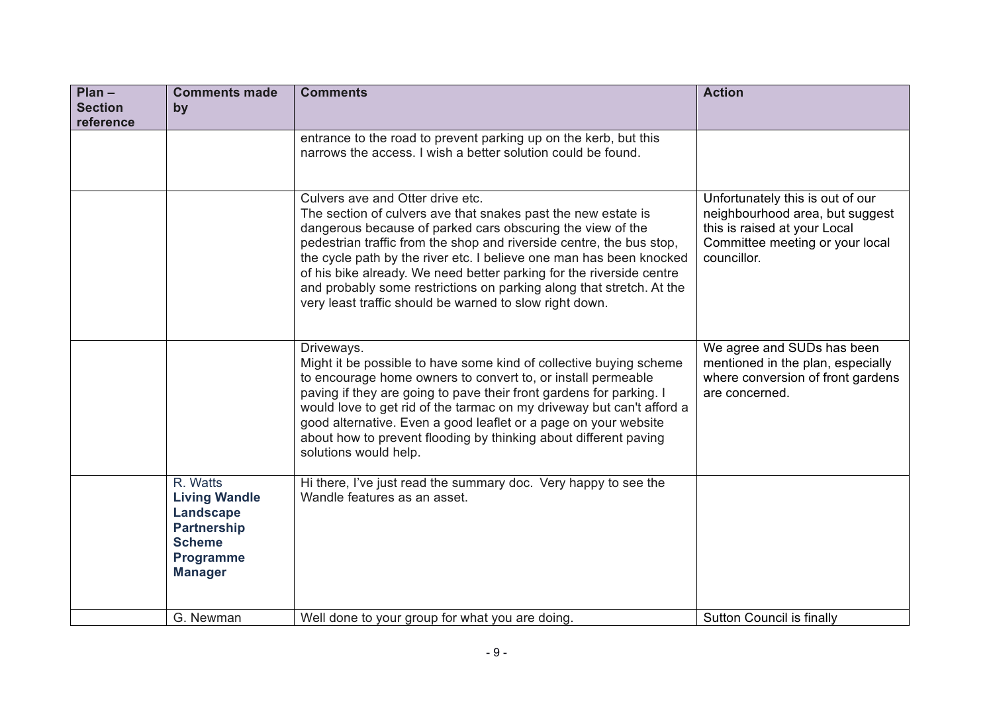| $Plan -$<br><b>Section</b><br>reference | <b>Comments made</b><br>by                                                                                                        | <b>Comments</b>                                                                                                                                                                                                                                                                                                                                                                                                                                                                                                           | <b>Action</b>                                                                                                                                         |
|-----------------------------------------|-----------------------------------------------------------------------------------------------------------------------------------|---------------------------------------------------------------------------------------------------------------------------------------------------------------------------------------------------------------------------------------------------------------------------------------------------------------------------------------------------------------------------------------------------------------------------------------------------------------------------------------------------------------------------|-------------------------------------------------------------------------------------------------------------------------------------------------------|
|                                         |                                                                                                                                   | entrance to the road to prevent parking up on the kerb, but this<br>narrows the access. I wish a better solution could be found.                                                                                                                                                                                                                                                                                                                                                                                          |                                                                                                                                                       |
|                                         |                                                                                                                                   | Culvers ave and Otter drive etc.<br>The section of culvers ave that snakes past the new estate is<br>dangerous because of parked cars obscuring the view of the<br>pedestrian traffic from the shop and riverside centre, the bus stop,<br>the cycle path by the river etc. I believe one man has been knocked<br>of his bike already. We need better parking for the riverside centre<br>and probably some restrictions on parking along that stretch. At the<br>very least traffic should be warned to slow right down. | Unfortunately this is out of our<br>neighbourhood area, but suggest<br>this is raised at your Local<br>Committee meeting or your local<br>councillor. |
|                                         |                                                                                                                                   | Driveways.<br>Might it be possible to have some kind of collective buying scheme<br>to encourage home owners to convert to, or install permeable<br>paving if they are going to pave their front gardens for parking. I<br>would love to get rid of the tarmac on my driveway but can't afford a<br>good alternative. Even a good leaflet or a page on your website<br>about how to prevent flooding by thinking about different paving<br>solutions would help.                                                          | We agree and SUDs has been<br>mentioned in the plan, especially<br>where conversion of front gardens<br>are concerned.                                |
|                                         | R. Watts<br><b>Living Wandle</b><br><b>Landscape</b><br><b>Partnership</b><br><b>Scheme</b><br><b>Programme</b><br><b>Manager</b> | Hi there, I've just read the summary doc. Very happy to see the<br>Wandle features as an asset.                                                                                                                                                                                                                                                                                                                                                                                                                           |                                                                                                                                                       |
|                                         | G. Newman                                                                                                                         | Well done to your group for what you are doing.                                                                                                                                                                                                                                                                                                                                                                                                                                                                           | Sutton Council is finally                                                                                                                             |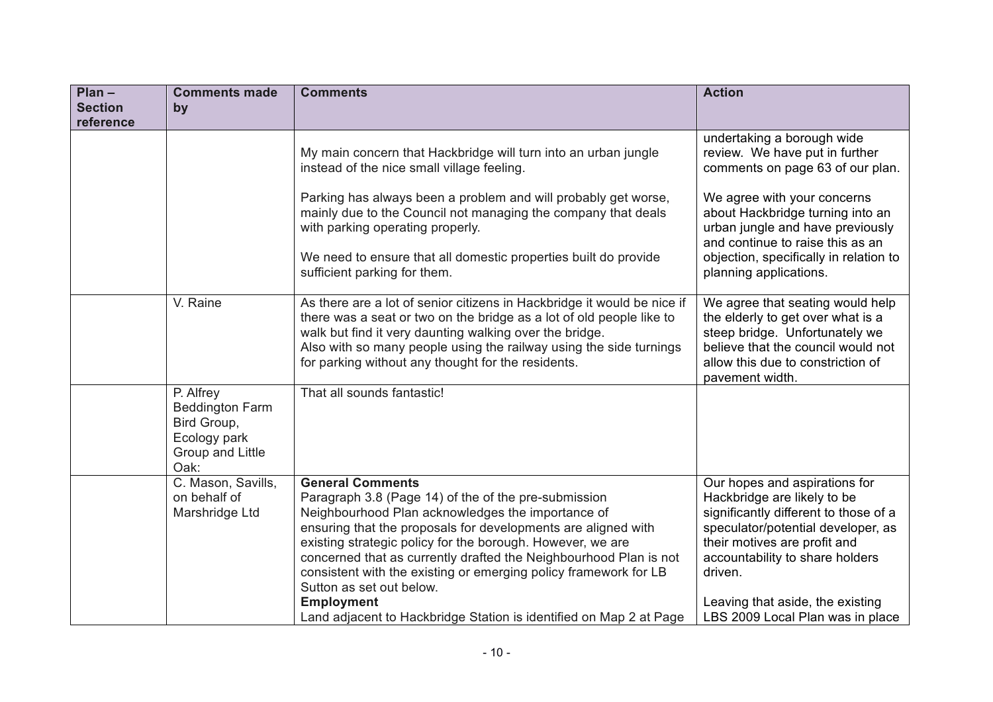| $Plan -$                    | <b>Comments made</b>                                                                           | <b>Comments</b>                                                                                                                                                                                                                                                                                                                                                                                                                                                                                                                     | <b>Action</b>                                                                                                                                                                                                                                                                                     |
|-----------------------------|------------------------------------------------------------------------------------------------|-------------------------------------------------------------------------------------------------------------------------------------------------------------------------------------------------------------------------------------------------------------------------------------------------------------------------------------------------------------------------------------------------------------------------------------------------------------------------------------------------------------------------------------|---------------------------------------------------------------------------------------------------------------------------------------------------------------------------------------------------------------------------------------------------------------------------------------------------|
| <b>Section</b><br>reference | by                                                                                             |                                                                                                                                                                                                                                                                                                                                                                                                                                                                                                                                     |                                                                                                                                                                                                                                                                                                   |
|                             |                                                                                                | My main concern that Hackbridge will turn into an urban jungle<br>instead of the nice small village feeling.                                                                                                                                                                                                                                                                                                                                                                                                                        | undertaking a borough wide<br>review. We have put in further<br>comments on page 63 of our plan.                                                                                                                                                                                                  |
|                             |                                                                                                | Parking has always been a problem and will probably get worse,<br>mainly due to the Council not managing the company that deals<br>with parking operating properly.<br>We need to ensure that all domestic properties built do provide<br>sufficient parking for them.                                                                                                                                                                                                                                                              | We agree with your concerns<br>about Hackbridge turning into an<br>urban jungle and have previously<br>and continue to raise this as an<br>objection, specifically in relation to<br>planning applications.                                                                                       |
|                             | V. Raine                                                                                       | As there are a lot of senior citizens in Hackbridge it would be nice if<br>there was a seat or two on the bridge as a lot of old people like to<br>walk but find it very daunting walking over the bridge.<br>Also with so many people using the railway using the side turnings<br>for parking without any thought for the residents.                                                                                                                                                                                              | We agree that seating would help<br>the elderly to get over what is a<br>steep bridge. Unfortunately we<br>believe that the council would not<br>allow this due to constriction of<br>pavement width.                                                                                             |
|                             | P. Alfrey<br><b>Beddington Farm</b><br>Bird Group,<br>Ecology park<br>Group and Little<br>Oak: | That all sounds fantastic!                                                                                                                                                                                                                                                                                                                                                                                                                                                                                                          |                                                                                                                                                                                                                                                                                                   |
|                             | C. Mason, Savills,<br>on behalf of<br>Marshridge Ltd                                           | <b>General Comments</b><br>Paragraph 3.8 (Page 14) of the of the pre-submission<br>Neighbourhood Plan acknowledges the importance of<br>ensuring that the proposals for developments are aligned with<br>existing strategic policy for the borough. However, we are<br>concerned that as currently drafted the Neighbourhood Plan is not<br>consistent with the existing or emerging policy framework for LB<br>Sutton as set out below.<br><b>Employment</b><br>Land adjacent to Hackbridge Station is identified on Map 2 at Page | Our hopes and aspirations for<br>Hackbridge are likely to be<br>significantly different to those of a<br>speculator/potential developer, as<br>their motives are profit and<br>accountability to share holders<br>driven.<br>Leaving that aside, the existing<br>LBS 2009 Local Plan was in place |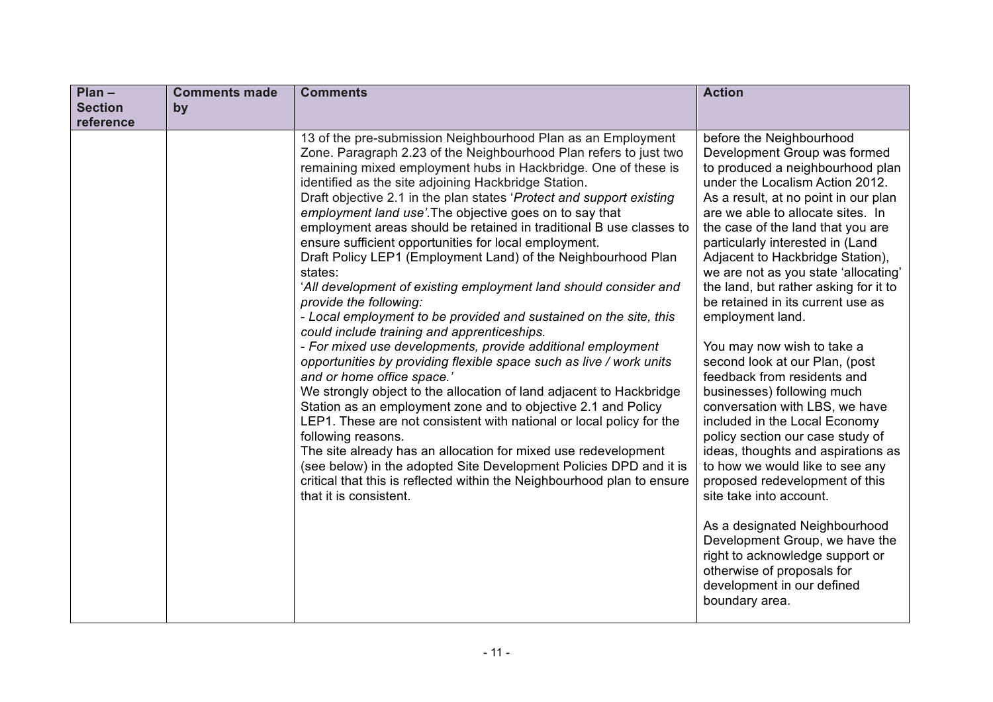| $Plan -$       | <b>Comments made</b> | <b>Comments</b>                                                                                                                                                                                                                                                                                                                                                                                                                                                                                                                                                                                                                                                                                                                                                                                                                                                                                                                                                                                                                                                                                                                                                                                                                                                                                                                                                                                                                                                                     | <b>Action</b>                                                                                                                                                                                                                                                                                                                                                                                                                                                                                                                                                                                                                                                                                                                                                                                                                                                                                                                                                                                                   |
|----------------|----------------------|-------------------------------------------------------------------------------------------------------------------------------------------------------------------------------------------------------------------------------------------------------------------------------------------------------------------------------------------------------------------------------------------------------------------------------------------------------------------------------------------------------------------------------------------------------------------------------------------------------------------------------------------------------------------------------------------------------------------------------------------------------------------------------------------------------------------------------------------------------------------------------------------------------------------------------------------------------------------------------------------------------------------------------------------------------------------------------------------------------------------------------------------------------------------------------------------------------------------------------------------------------------------------------------------------------------------------------------------------------------------------------------------------------------------------------------------------------------------------------------|-----------------------------------------------------------------------------------------------------------------------------------------------------------------------------------------------------------------------------------------------------------------------------------------------------------------------------------------------------------------------------------------------------------------------------------------------------------------------------------------------------------------------------------------------------------------------------------------------------------------------------------------------------------------------------------------------------------------------------------------------------------------------------------------------------------------------------------------------------------------------------------------------------------------------------------------------------------------------------------------------------------------|
| <b>Section</b> | by                   |                                                                                                                                                                                                                                                                                                                                                                                                                                                                                                                                                                                                                                                                                                                                                                                                                                                                                                                                                                                                                                                                                                                                                                                                                                                                                                                                                                                                                                                                                     |                                                                                                                                                                                                                                                                                                                                                                                                                                                                                                                                                                                                                                                                                                                                                                                                                                                                                                                                                                                                                 |
| reference      |                      |                                                                                                                                                                                                                                                                                                                                                                                                                                                                                                                                                                                                                                                                                                                                                                                                                                                                                                                                                                                                                                                                                                                                                                                                                                                                                                                                                                                                                                                                                     |                                                                                                                                                                                                                                                                                                                                                                                                                                                                                                                                                                                                                                                                                                                                                                                                                                                                                                                                                                                                                 |
|                |                      | 13 of the pre-submission Neighbourhood Plan as an Employment<br>Zone. Paragraph 2.23 of the Neighbourhood Plan refers to just two<br>remaining mixed employment hubs in Hackbridge. One of these is<br>identified as the site adjoining Hackbridge Station.<br>Draft objective 2.1 in the plan states 'Protect and support existing<br>employment land use'. The objective goes on to say that<br>employment areas should be retained in traditional B use classes to<br>ensure sufficient opportunities for local employment.<br>Draft Policy LEP1 (Employment Land) of the Neighbourhood Plan<br>states:<br>'All development of existing employment land should consider and<br>provide the following:<br>- Local employment to be provided and sustained on the site, this<br>could include training and apprenticeships.<br>- For mixed use developments, provide additional employment<br>opportunities by providing flexible space such as live / work units<br>and or home office space.'<br>We strongly object to the allocation of land adjacent to Hackbridge<br>Station as an employment zone and to objective 2.1 and Policy<br>LEP1. These are not consistent with national or local policy for the<br>following reasons.<br>The site already has an allocation for mixed use redevelopment<br>(see below) in the adopted Site Development Policies DPD and it is<br>critical that this is reflected within the Neighbourhood plan to ensure<br>that it is consistent. | before the Neighbourhood<br>Development Group was formed<br>to produced a neighbourhood plan<br>under the Localism Action 2012.<br>As a result, at no point in our plan<br>are we able to allocate sites. In<br>the case of the land that you are<br>particularly interested in (Land<br>Adjacent to Hackbridge Station),<br>we are not as you state 'allocating'<br>the land, but rather asking for it to<br>be retained in its current use as<br>employment land.<br>You may now wish to take a<br>second look at our Plan, (post<br>feedback from residents and<br>businesses) following much<br>conversation with LBS, we have<br>included in the Local Economy<br>policy section our case study of<br>ideas, thoughts and aspirations as<br>to how we would like to see any<br>proposed redevelopment of this<br>site take into account.<br>As a designated Neighbourhood<br>Development Group, we have the<br>right to acknowledge support or<br>otherwise of proposals for<br>development in our defined |
|                |                      |                                                                                                                                                                                                                                                                                                                                                                                                                                                                                                                                                                                                                                                                                                                                                                                                                                                                                                                                                                                                                                                                                                                                                                                                                                                                                                                                                                                                                                                                                     | boundary area.                                                                                                                                                                                                                                                                                                                                                                                                                                                                                                                                                                                                                                                                                                                                                                                                                                                                                                                                                                                                  |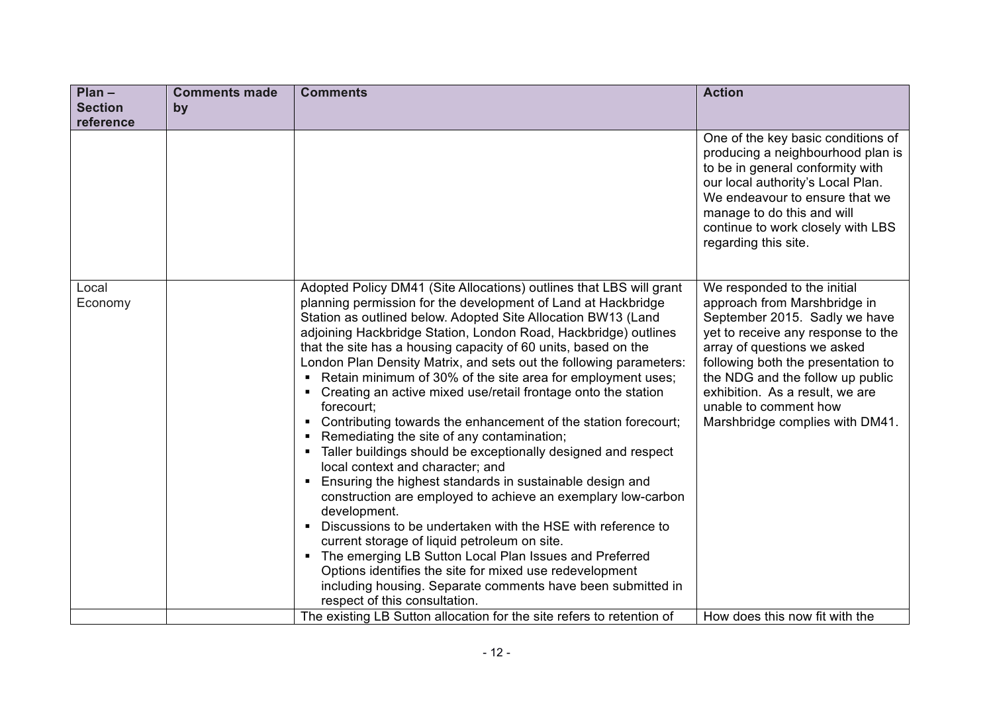| $Plan -$         | <b>Comments made</b> | <b>Comments</b>                                                                                                                                                                                                                                                                                                                                                                                                                                                                                                                                                                                                                                                                                                                                                                                                                                                                                                                                                                                                                                                                                                                                                                                                                                                                                                                           | <b>Action</b>                                                                                                                                                                                                                                                                                                                              |
|------------------|----------------------|-------------------------------------------------------------------------------------------------------------------------------------------------------------------------------------------------------------------------------------------------------------------------------------------------------------------------------------------------------------------------------------------------------------------------------------------------------------------------------------------------------------------------------------------------------------------------------------------------------------------------------------------------------------------------------------------------------------------------------------------------------------------------------------------------------------------------------------------------------------------------------------------------------------------------------------------------------------------------------------------------------------------------------------------------------------------------------------------------------------------------------------------------------------------------------------------------------------------------------------------------------------------------------------------------------------------------------------------|--------------------------------------------------------------------------------------------------------------------------------------------------------------------------------------------------------------------------------------------------------------------------------------------------------------------------------------------|
| <b>Section</b>   | by                   |                                                                                                                                                                                                                                                                                                                                                                                                                                                                                                                                                                                                                                                                                                                                                                                                                                                                                                                                                                                                                                                                                                                                                                                                                                                                                                                                           |                                                                                                                                                                                                                                                                                                                                            |
| reference        |                      |                                                                                                                                                                                                                                                                                                                                                                                                                                                                                                                                                                                                                                                                                                                                                                                                                                                                                                                                                                                                                                                                                                                                                                                                                                                                                                                                           |                                                                                                                                                                                                                                                                                                                                            |
|                  |                      |                                                                                                                                                                                                                                                                                                                                                                                                                                                                                                                                                                                                                                                                                                                                                                                                                                                                                                                                                                                                                                                                                                                                                                                                                                                                                                                                           | One of the key basic conditions of<br>producing a neighbourhood plan is<br>to be in general conformity with<br>our local authority's Local Plan.<br>We endeavour to ensure that we<br>manage to do this and will<br>continue to work closely with LBS<br>regarding this site.                                                              |
| Local<br>Economy |                      | Adopted Policy DM41 (Site Allocations) outlines that LBS will grant<br>planning permission for the development of Land at Hackbridge<br>Station as outlined below. Adopted Site Allocation BW13 (Land<br>adjoining Hackbridge Station, London Road, Hackbridge) outlines<br>that the site has a housing capacity of 60 units, based on the<br>London Plan Density Matrix, and sets out the following parameters:<br>Retain minimum of 30% of the site area for employment uses;<br>$\blacksquare$<br>Creating an active mixed use/retail frontage onto the station<br>$\blacksquare$<br>forecourt;<br>Contributing towards the enhancement of the station forecourt;<br>Remediating the site of any contamination;<br>Taller buildings should be exceptionally designed and respect<br>л.<br>local context and character; and<br>Ensuring the highest standards in sustainable design and<br>٠<br>construction are employed to achieve an exemplary low-carbon<br>development.<br>Discussions to be undertaken with the HSE with reference to<br>٠<br>current storage of liquid petroleum on site.<br>The emerging LB Sutton Local Plan Issues and Preferred<br>$\blacksquare$<br>Options identifies the site for mixed use redevelopment<br>including housing. Separate comments have been submitted in<br>respect of this consultation. | We responded to the initial<br>approach from Marshbridge in<br>September 2015. Sadly we have<br>yet to receive any response to the<br>array of questions we asked<br>following both the presentation to<br>the NDG and the follow up public<br>exhibition. As a result, we are<br>unable to comment how<br>Marshbridge complies with DM41. |
|                  |                      | The existing LB Sutton allocation for the site refers to retention of                                                                                                                                                                                                                                                                                                                                                                                                                                                                                                                                                                                                                                                                                                                                                                                                                                                                                                                                                                                                                                                                                                                                                                                                                                                                     | How does this now fit with the                                                                                                                                                                                                                                                                                                             |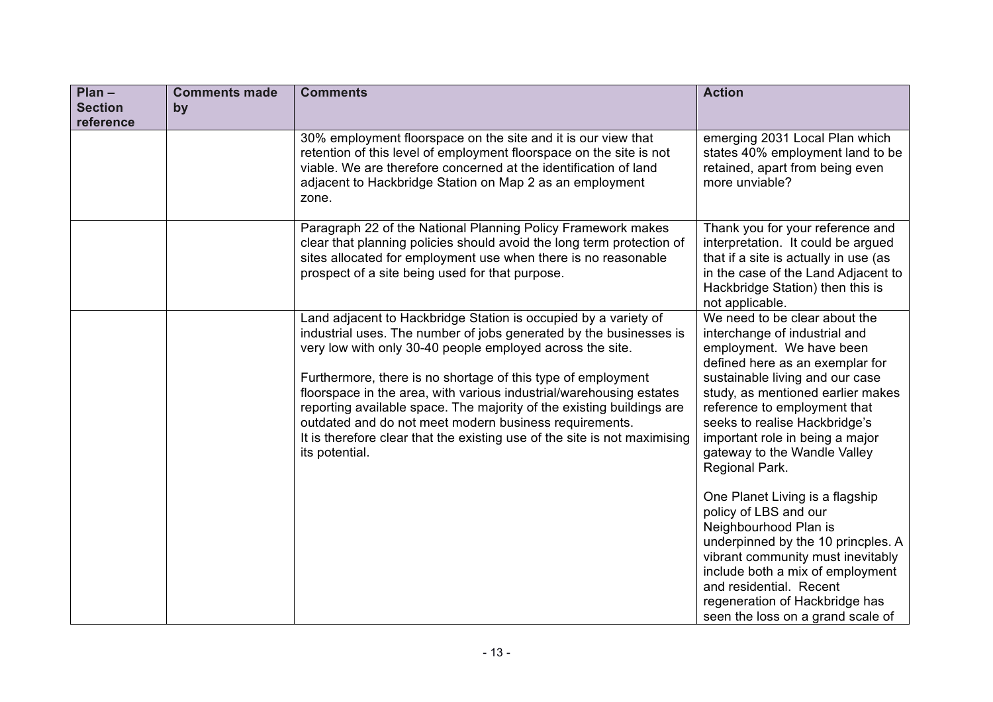| $Plan -$<br><b>Section</b><br>reference | <b>Comments made</b><br>by | <b>Comments</b>                                                                                                                                                                                                                                                                                                                                                                                                                                                                                                                                                             | <b>Action</b>                                                                                                                                                                                                                                                                                                                                                                                                                                                                                                                                                                                                                                                     |
|-----------------------------------------|----------------------------|-----------------------------------------------------------------------------------------------------------------------------------------------------------------------------------------------------------------------------------------------------------------------------------------------------------------------------------------------------------------------------------------------------------------------------------------------------------------------------------------------------------------------------------------------------------------------------|-------------------------------------------------------------------------------------------------------------------------------------------------------------------------------------------------------------------------------------------------------------------------------------------------------------------------------------------------------------------------------------------------------------------------------------------------------------------------------------------------------------------------------------------------------------------------------------------------------------------------------------------------------------------|
|                                         |                            | 30% employment floorspace on the site and it is our view that<br>retention of this level of employment floorspace on the site is not<br>viable. We are therefore concerned at the identification of land<br>adjacent to Hackbridge Station on Map 2 as an employment<br>zone.                                                                                                                                                                                                                                                                                               | emerging 2031 Local Plan which<br>states 40% employment land to be<br>retained, apart from being even<br>more unviable?                                                                                                                                                                                                                                                                                                                                                                                                                                                                                                                                           |
|                                         |                            | Paragraph 22 of the National Planning Policy Framework makes<br>clear that planning policies should avoid the long term protection of<br>sites allocated for employment use when there is no reasonable<br>prospect of a site being used for that purpose.                                                                                                                                                                                                                                                                                                                  | Thank you for your reference and<br>interpretation. It could be argued<br>that if a site is actually in use (as<br>in the case of the Land Adjacent to<br>Hackbridge Station) then this is<br>not applicable.                                                                                                                                                                                                                                                                                                                                                                                                                                                     |
|                                         |                            | Land adjacent to Hackbridge Station is occupied by a variety of<br>industrial uses. The number of jobs generated by the businesses is<br>very low with only 30-40 people employed across the site.<br>Furthermore, there is no shortage of this type of employment<br>floorspace in the area, with various industrial/warehousing estates<br>reporting available space. The majority of the existing buildings are<br>outdated and do not meet modern business requirements.<br>It is therefore clear that the existing use of the site is not maximising<br>its potential. | We need to be clear about the<br>interchange of industrial and<br>employment. We have been<br>defined here as an exemplar for<br>sustainable living and our case<br>study, as mentioned earlier makes<br>reference to employment that<br>seeks to realise Hackbridge's<br>important role in being a major<br>gateway to the Wandle Valley<br>Regional Park.<br>One Planet Living is a flagship<br>policy of LBS and our<br>Neighbourhood Plan is<br>underpinned by the 10 princples. A<br>vibrant community must inevitably<br>include both a mix of employment<br>and residential. Recent<br>regeneration of Hackbridge has<br>seen the loss on a grand scale of |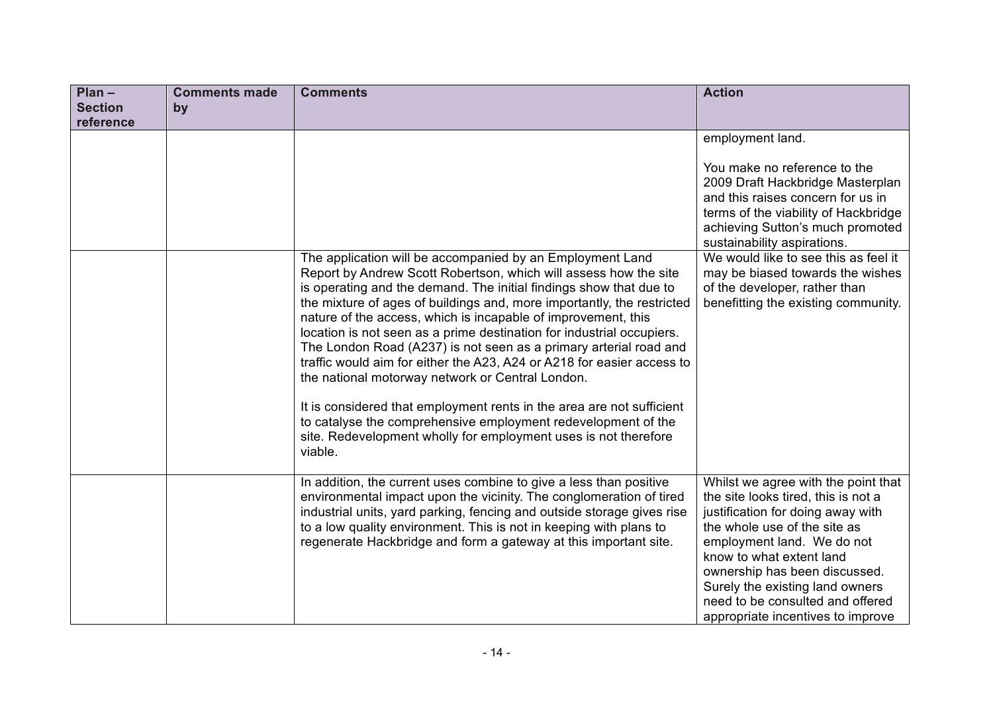| $Plan -$       | <b>Comments made</b> | <b>Comments</b>                                                                                                                                                                                                                                                                                                                                                                                                                                                                                                                                                                                                                                                                                                                                                                                                                                    | <b>Action</b>                                                                                                                                                                                                                                                                                                                                          |
|----------------|----------------------|----------------------------------------------------------------------------------------------------------------------------------------------------------------------------------------------------------------------------------------------------------------------------------------------------------------------------------------------------------------------------------------------------------------------------------------------------------------------------------------------------------------------------------------------------------------------------------------------------------------------------------------------------------------------------------------------------------------------------------------------------------------------------------------------------------------------------------------------------|--------------------------------------------------------------------------------------------------------------------------------------------------------------------------------------------------------------------------------------------------------------------------------------------------------------------------------------------------------|
| <b>Section</b> | by                   |                                                                                                                                                                                                                                                                                                                                                                                                                                                                                                                                                                                                                                                                                                                                                                                                                                                    |                                                                                                                                                                                                                                                                                                                                                        |
| reference      |                      |                                                                                                                                                                                                                                                                                                                                                                                                                                                                                                                                                                                                                                                                                                                                                                                                                                                    |                                                                                                                                                                                                                                                                                                                                                        |
|                |                      |                                                                                                                                                                                                                                                                                                                                                                                                                                                                                                                                                                                                                                                                                                                                                                                                                                                    | employment land.                                                                                                                                                                                                                                                                                                                                       |
|                |                      |                                                                                                                                                                                                                                                                                                                                                                                                                                                                                                                                                                                                                                                                                                                                                                                                                                                    | You make no reference to the<br>2009 Draft Hackbridge Masterplan<br>and this raises concern for us in<br>terms of the viability of Hackbridge<br>achieving Sutton's much promoted<br>sustainability aspirations.                                                                                                                                       |
|                |                      | The application will be accompanied by an Employment Land<br>Report by Andrew Scott Robertson, which will assess how the site<br>is operating and the demand. The initial findings show that due to<br>the mixture of ages of buildings and, more importantly, the restricted<br>nature of the access, which is incapable of improvement, this<br>location is not seen as a prime destination for industrial occupiers.<br>The London Road (A237) is not seen as a primary arterial road and<br>traffic would aim for either the A23, A24 or A218 for easier access to<br>the national motorway network or Central London.<br>It is considered that employment rents in the area are not sufficient<br>to catalyse the comprehensive employment redevelopment of the<br>site. Redevelopment wholly for employment uses is not therefore<br>viable. | We would like to see this as feel it<br>may be biased towards the wishes<br>of the developer, rather than<br>benefitting the existing community.                                                                                                                                                                                                       |
|                |                      | In addition, the current uses combine to give a less than positive<br>environmental impact upon the vicinity. The conglomeration of tired<br>industrial units, yard parking, fencing and outside storage gives rise<br>to a low quality environment. This is not in keeping with plans to<br>regenerate Hackbridge and form a gateway at this important site.                                                                                                                                                                                                                                                                                                                                                                                                                                                                                      | Whilst we agree with the point that<br>the site looks tired, this is not a<br>justification for doing away with<br>the whole use of the site as<br>employment land. We do not<br>know to what extent land<br>ownership has been discussed.<br>Surely the existing land owners<br>need to be consulted and offered<br>appropriate incentives to improve |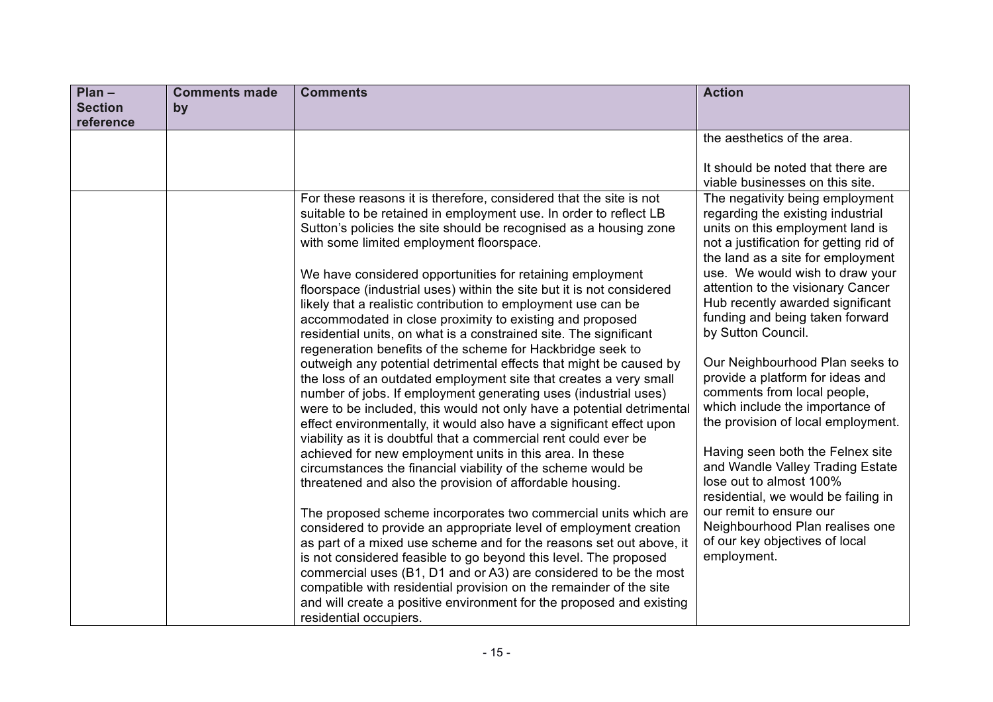| $Plan -$             | <b>Comments made</b><br><b>Comments</b>                            | <b>Action</b>                                                                                                                                                                                                                                                                                                                                                                                                                                                                                                                                                                                                                                                                                                                                                                                                                                                                                                                                                                                                                                                                                                                                                                                                                                                                                                                                                                                                                                                                                                                                                                                                                                                                                                                                                                                                                                                                                                                                                                                                                                                                                                                                                                                                                                                                                                                                                                                                                                                                                                                                              |
|----------------------|--------------------------------------------------------------------|------------------------------------------------------------------------------------------------------------------------------------------------------------------------------------------------------------------------------------------------------------------------------------------------------------------------------------------------------------------------------------------------------------------------------------------------------------------------------------------------------------------------------------------------------------------------------------------------------------------------------------------------------------------------------------------------------------------------------------------------------------------------------------------------------------------------------------------------------------------------------------------------------------------------------------------------------------------------------------------------------------------------------------------------------------------------------------------------------------------------------------------------------------------------------------------------------------------------------------------------------------------------------------------------------------------------------------------------------------------------------------------------------------------------------------------------------------------------------------------------------------------------------------------------------------------------------------------------------------------------------------------------------------------------------------------------------------------------------------------------------------------------------------------------------------------------------------------------------------------------------------------------------------------------------------------------------------------------------------------------------------------------------------------------------------------------------------------------------------------------------------------------------------------------------------------------------------------------------------------------------------------------------------------------------------------------------------------------------------------------------------------------------------------------------------------------------------------------------------------------------------------------------------------------------------|
| <b>Section</b><br>by |                                                                    |                                                                                                                                                                                                                                                                                                                                                                                                                                                                                                                                                                                                                                                                                                                                                                                                                                                                                                                                                                                                                                                                                                                                                                                                                                                                                                                                                                                                                                                                                                                                                                                                                                                                                                                                                                                                                                                                                                                                                                                                                                                                                                                                                                                                                                                                                                                                                                                                                                                                                                                                                            |
| reference            |                                                                    |                                                                                                                                                                                                                                                                                                                                                                                                                                                                                                                                                                                                                                                                                                                                                                                                                                                                                                                                                                                                                                                                                                                                                                                                                                                                                                                                                                                                                                                                                                                                                                                                                                                                                                                                                                                                                                                                                                                                                                                                                                                                                                                                                                                                                                                                                                                                                                                                                                                                                                                                                            |
|                      |                                                                    | the aesthetics of the area.                                                                                                                                                                                                                                                                                                                                                                                                                                                                                                                                                                                                                                                                                                                                                                                                                                                                                                                                                                                                                                                                                                                                                                                                                                                                                                                                                                                                                                                                                                                                                                                                                                                                                                                                                                                                                                                                                                                                                                                                                                                                                                                                                                                                                                                                                                                                                                                                                                                                                                                                |
|                      |                                                                    | It should be noted that there are<br>viable businesses on this site.                                                                                                                                                                                                                                                                                                                                                                                                                                                                                                                                                                                                                                                                                                                                                                                                                                                                                                                                                                                                                                                                                                                                                                                                                                                                                                                                                                                                                                                                                                                                                                                                                                                                                                                                                                                                                                                                                                                                                                                                                                                                                                                                                                                                                                                                                                                                                                                                                                                                                       |
|                      | with some limited employment floorspace.<br>residential occupiers. | For these reasons it is therefore, considered that the site is not<br>The negativity being employment<br>suitable to be retained in employment use. In order to reflect LB<br>regarding the existing industrial<br>Sutton's policies the site should be recognised as a housing zone<br>units on this employment land is<br>not a justification for getting rid of<br>the land as a site for employment<br>use. We would wish to draw your<br>We have considered opportunities for retaining employment<br>attention to the visionary Cancer<br>floorspace (industrial uses) within the site but it is not considered<br>Hub recently awarded significant<br>likely that a realistic contribution to employment use can be<br>funding and being taken forward<br>accommodated in close proximity to existing and proposed<br>by Sutton Council.<br>residential units, on what is a constrained site. The significant<br>regeneration benefits of the scheme for Hackbridge seek to<br>Our Neighbourhood Plan seeks to<br>outweigh any potential detrimental effects that might be caused by<br>provide a platform for ideas and<br>the loss of an outdated employment site that creates a very small<br>comments from local people,<br>number of jobs. If employment generating uses (industrial uses)<br>which include the importance of<br>were to be included, this would not only have a potential detrimental<br>the provision of local employment.<br>effect environmentally, it would also have a significant effect upon<br>viability as it is doubtful that a commercial rent could ever be<br>Having seen both the Felnex site<br>achieved for new employment units in this area. In these<br>and Wandle Valley Trading Estate<br>circumstances the financial viability of the scheme would be<br>lose out to almost 100%<br>threatened and also the provision of affordable housing.<br>residential, we would be failing in<br>our remit to ensure our<br>The proposed scheme incorporates two commercial units which are<br>Neighbourhood Plan realises one<br>considered to provide an appropriate level of employment creation<br>of our key objectives of local<br>as part of a mixed use scheme and for the reasons set out above, it<br>employment.<br>is not considered feasible to go beyond this level. The proposed<br>commercial uses (B1, D1 and or A3) are considered to be the most<br>compatible with residential provision on the remainder of the site<br>and will create a positive environment for the proposed and existing |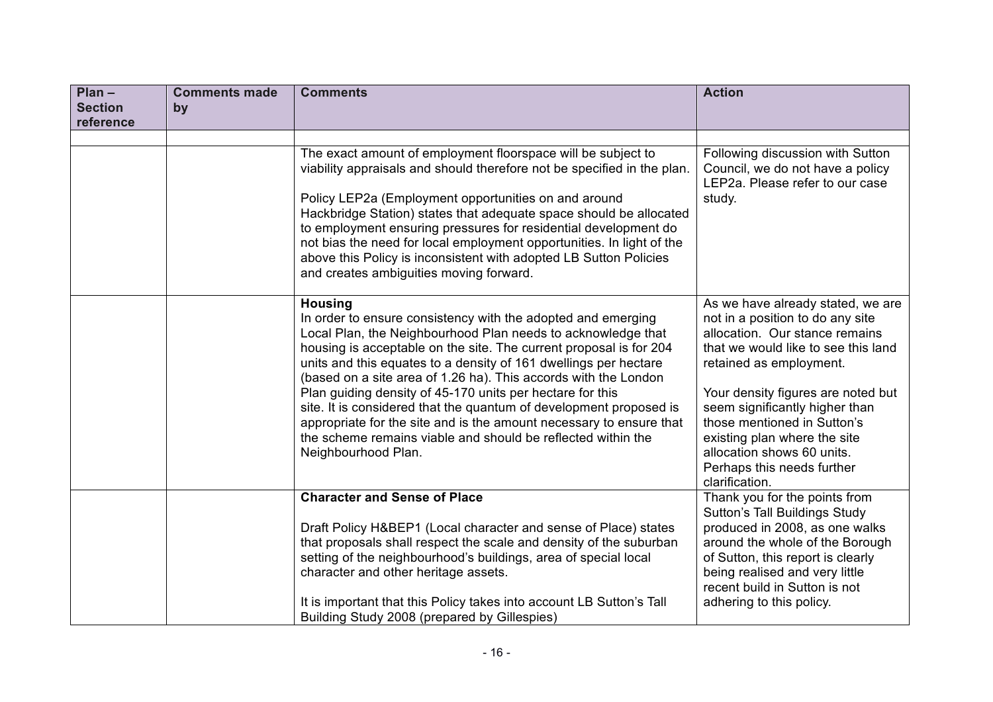| $Plan -$<br><b>Section</b><br>reference | <b>Comments made</b><br>by | <b>Comments</b>                                                                                                                                                                                                                                                                                                                                                                                                                                                                                                                                                                                                                                              | <b>Action</b>                                                                                                                                                                                                                                                                                                                                                                                  |
|-----------------------------------------|----------------------------|--------------------------------------------------------------------------------------------------------------------------------------------------------------------------------------------------------------------------------------------------------------------------------------------------------------------------------------------------------------------------------------------------------------------------------------------------------------------------------------------------------------------------------------------------------------------------------------------------------------------------------------------------------------|------------------------------------------------------------------------------------------------------------------------------------------------------------------------------------------------------------------------------------------------------------------------------------------------------------------------------------------------------------------------------------------------|
|                                         |                            | The exact amount of employment floorspace will be subject to<br>viability appraisals and should therefore not be specified in the plan.<br>Policy LEP2a (Employment opportunities on and around<br>Hackbridge Station) states that adequate space should be allocated<br>to employment ensuring pressures for residential development do<br>not bias the need for local employment opportunities. In light of the<br>above this Policy is inconsistent with adopted LB Sutton Policies<br>and creates ambiguities moving forward.                                                                                                                            | Following discussion with Sutton<br>Council, we do not have a policy<br>LEP2a. Please refer to our case<br>study.                                                                                                                                                                                                                                                                              |
|                                         |                            | <b>Housing</b><br>In order to ensure consistency with the adopted and emerging<br>Local Plan, the Neighbourhood Plan needs to acknowledge that<br>housing is acceptable on the site. The current proposal is for 204<br>units and this equates to a density of 161 dwellings per hectare<br>(based on a site area of 1.26 ha). This accords with the London<br>Plan guiding density of 45-170 units per hectare for this<br>site. It is considered that the quantum of development proposed is<br>appropriate for the site and is the amount necessary to ensure that<br>the scheme remains viable and should be reflected within the<br>Neighbourhood Plan. | As we have already stated, we are<br>not in a position to do any site<br>allocation. Our stance remains<br>that we would like to see this land<br>retained as employment.<br>Your density figures are noted but<br>seem significantly higher than<br>those mentioned in Sutton's<br>existing plan where the site<br>allocation shows 60 units.<br>Perhaps this needs further<br>clarification. |
|                                         |                            | <b>Character and Sense of Place</b><br>Draft Policy H&BEP1 (Local character and sense of Place) states<br>that proposals shall respect the scale and density of the suburban<br>setting of the neighbourhood's buildings, area of special local<br>character and other heritage assets.<br>It is important that this Policy takes into account LB Sutton's Tall<br>Building Study 2008 (prepared by Gillespies)                                                                                                                                                                                                                                              | Thank you for the points from<br><b>Sutton's Tall Buildings Study</b><br>produced in 2008, as one walks<br>around the whole of the Borough<br>of Sutton, this report is clearly<br>being realised and very little<br>recent build in Sutton is not<br>adhering to this policy.                                                                                                                 |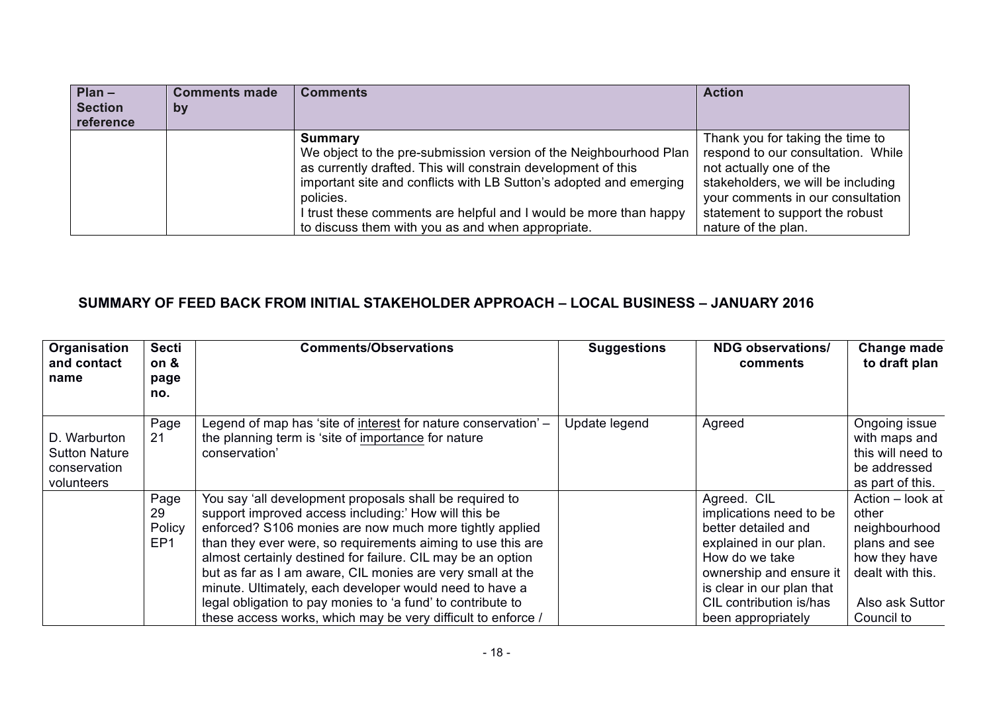| $Plan -$<br><b>Section</b><br>reference | <b>Comments made</b><br>by | <b>Comments</b>                                                                                                                                                                                                                                                                                                                                            | <b>Action</b>                                                                                                                                                                                                                          |
|-----------------------------------------|----------------------------|------------------------------------------------------------------------------------------------------------------------------------------------------------------------------------------------------------------------------------------------------------------------------------------------------------------------------------------------------------|----------------------------------------------------------------------------------------------------------------------------------------------------------------------------------------------------------------------------------------|
|                                         |                            | Summary<br>We object to the pre-submission version of the Neighbourhood Plan<br>as currently drafted. This will constrain development of this<br>important site and conflicts with LB Sutton's adopted and emerging<br>policies.<br>I trust these comments are helpful and I would be more than happy<br>to discuss them with you as and when appropriate. | Thank you for taking the time to<br>respond to our consultation. While<br>not actually one of the<br>stakeholders, we will be including<br>your comments in our consultation<br>statement to support the robust<br>nature of the plan. |

## **SUMMARY OF FEED BACK FROM INITIAL STAKEHOLDER APPROACH – LOCAL BUSINESS – JANUARY 2016**

| Organisation<br>and contact<br>name                                | <b>Secti</b><br>on &<br>page<br>no.     | <b>Comments/Observations</b>                                                                                                                                                                                                                                                                                                                                                                                                                                                                                                                                     | <b>Suggestions</b> | <b>NDG observations/</b><br>comments                                                                                                                                                                               | Change made<br>to draft plan                                                                                                      |
|--------------------------------------------------------------------|-----------------------------------------|------------------------------------------------------------------------------------------------------------------------------------------------------------------------------------------------------------------------------------------------------------------------------------------------------------------------------------------------------------------------------------------------------------------------------------------------------------------------------------------------------------------------------------------------------------------|--------------------|--------------------------------------------------------------------------------------------------------------------------------------------------------------------------------------------------------------------|-----------------------------------------------------------------------------------------------------------------------------------|
| D. Warburton<br><b>Sutton Nature</b><br>conservation<br>volunteers | Page<br>21                              | Legend of map has 'site of interest for nature conservation' -<br>the planning term is 'site of importance for nature<br>conservation'                                                                                                                                                                                                                                                                                                                                                                                                                           | Update legend      | Agreed                                                                                                                                                                                                             | Ongoing issue<br>with maps and<br>this will need to<br>be addressed<br>as part of this.                                           |
|                                                                    | Page<br>29<br>Policy<br>EP <sub>1</sub> | You say 'all development proposals shall be required to<br>support improved access including:' How will this be<br>enforced? S106 monies are now much more tightly applied<br>than they ever were, so requirements aiming to use this are<br>almost certainly destined for failure. CIL may be an option<br>but as far as I am aware, CIL monies are very small at the<br>minute. Ultimately, each developer would need to have a<br>legal obligation to pay monies to 'a fund' to contribute to<br>these access works, which may be very difficult to enforce / |                    | Agreed. CIL<br>implications need to be<br>better detailed and<br>explained in our plan.<br>How do we take<br>ownership and ensure it<br>is clear in our plan that<br>CIL contribution is/has<br>been appropriately | Action - look at<br>other<br>neighbourhood<br>plans and see<br>how they have<br>dealt with this.<br>Also ask Suttor<br>Council to |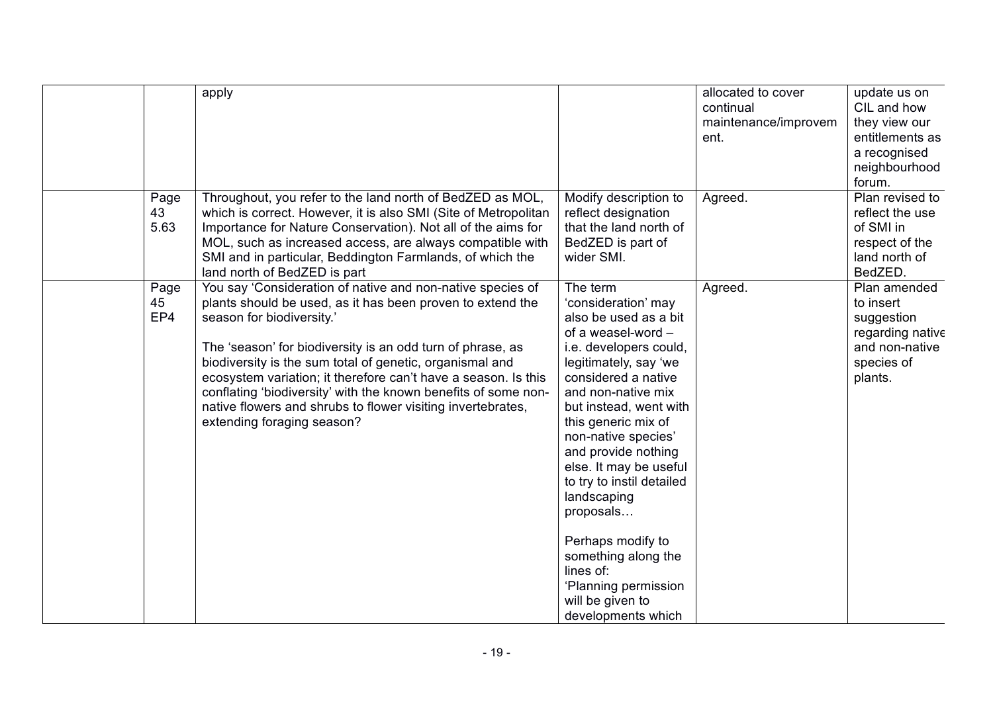|                    | apply                                                                                                                                                                                                                                                                                                                                                                                                                                                                                                            |                                                                                                                                                                                                                                                                                                                                                                                                                                                                                             | allocated to cover<br>continual<br>maintenance/improvem<br>ent. | update us on<br>CIL and how<br>they view our<br>entitlements as<br>a recognised<br>neighbourhood<br>forum. |
|--------------------|------------------------------------------------------------------------------------------------------------------------------------------------------------------------------------------------------------------------------------------------------------------------------------------------------------------------------------------------------------------------------------------------------------------------------------------------------------------------------------------------------------------|---------------------------------------------------------------------------------------------------------------------------------------------------------------------------------------------------------------------------------------------------------------------------------------------------------------------------------------------------------------------------------------------------------------------------------------------------------------------------------------------|-----------------------------------------------------------------|------------------------------------------------------------------------------------------------------------|
| Page<br>43<br>5.63 | Throughout, you refer to the land north of BedZED as MOL,<br>which is correct. However, it is also SMI (Site of Metropolitan<br>Importance for Nature Conservation). Not all of the aims for<br>MOL, such as increased access, are always compatible with<br>SMI and in particular, Beddington Farmlands, of which the<br>land north of BedZED is part                                                                                                                                                           | Modify description to<br>reflect designation<br>that the land north of<br>BedZED is part of<br>wider SMI.                                                                                                                                                                                                                                                                                                                                                                                   | Agreed.                                                         | Plan revised to<br>reflect the use<br>of SMI in<br>respect of the<br>land north of<br>BedZED.              |
| Page<br>45<br>EP4  | You say 'Consideration of native and non-native species of<br>plants should be used, as it has been proven to extend the<br>season for biodiversity.'<br>The 'season' for biodiversity is an odd turn of phrase, as<br>biodiversity is the sum total of genetic, organismal and<br>ecosystem variation; it therefore can't have a season. Is this<br>conflating 'biodiversity' with the known benefits of some non-<br>native flowers and shrubs to flower visiting invertebrates,<br>extending foraging season? | The term<br>'consideration' may<br>also be used as a bit<br>of a weasel-word -<br>i.e. developers could,<br>legitimately, say 'we<br>considered a native<br>and non-native mix<br>but instead, went with<br>this generic mix of<br>non-native species'<br>and provide nothing<br>else. It may be useful<br>to try to instil detailed<br>landscaping<br>proposals<br>Perhaps modify to<br>something along the<br>lines of:<br>'Planning permission<br>will be given to<br>developments which | Agreed.                                                         | Plan amended<br>to insert<br>suggestion<br>regarding native<br>and non-native<br>species of<br>plants.     |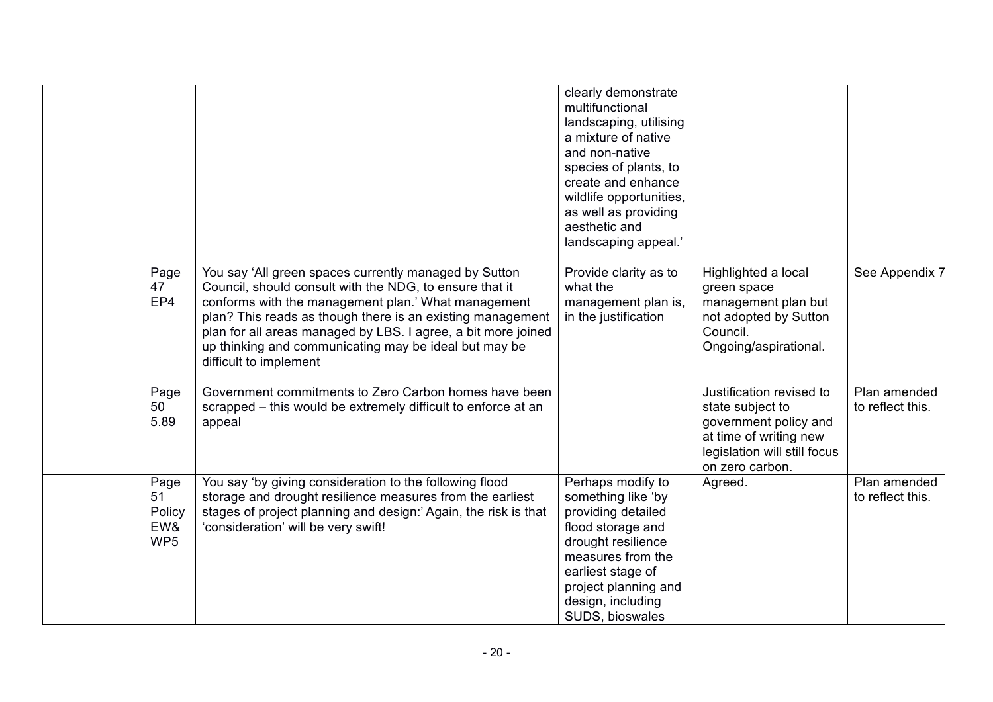|                                                |                                                                                                                                                                                                                                                                                                                                                                                           | clearly demonstrate<br>multifunctional<br>landscaping, utilising<br>a mixture of native<br>and non-native<br>species of plants, to<br>create and enhance<br>wildlife opportunities,<br>as well as providing<br>aesthetic and<br>landscaping appeal.' |                                                                                                                                                    |                                  |
|------------------------------------------------|-------------------------------------------------------------------------------------------------------------------------------------------------------------------------------------------------------------------------------------------------------------------------------------------------------------------------------------------------------------------------------------------|------------------------------------------------------------------------------------------------------------------------------------------------------------------------------------------------------------------------------------------------------|----------------------------------------------------------------------------------------------------------------------------------------------------|----------------------------------|
| Page<br>47<br>EP4                              | You say 'All green spaces currently managed by Sutton<br>Council, should consult with the NDG, to ensure that it<br>conforms with the management plan.' What management<br>plan? This reads as though there is an existing management<br>plan for all areas managed by LBS. I agree, a bit more joined<br>up thinking and communicating may be ideal but may be<br>difficult to implement | Provide clarity as to<br>what the<br>management plan is,<br>in the justification                                                                                                                                                                     | Highlighted a local<br>green space<br>management plan but<br>not adopted by Sutton<br>Council.<br>Ongoing/aspirational.                            | See Appendix 7                   |
| Page<br>50<br>5.89                             | Government commitments to Zero Carbon homes have been<br>scrapped – this would be extremely difficult to enforce at an<br>appeal                                                                                                                                                                                                                                                          |                                                                                                                                                                                                                                                      | Justification revised to<br>state subject to<br>government policy and<br>at time of writing new<br>legislation will still focus<br>on zero carbon. | Plan amended<br>to reflect this. |
| Page<br>51<br>Policy<br>EW&<br>WP <sub>5</sub> | You say 'by giving consideration to the following flood<br>storage and drought resilience measures from the earliest<br>stages of project planning and design:' Again, the risk is that<br>'consideration' will be very swift!                                                                                                                                                            | Perhaps modify to<br>something like 'by<br>providing detailed<br>flood storage and<br>drought resilience<br>measures from the<br>earliest stage of<br>project planning and<br>design, including<br>SUDS, bioswales                                   | Agreed.                                                                                                                                            | Plan amended<br>to reflect this. |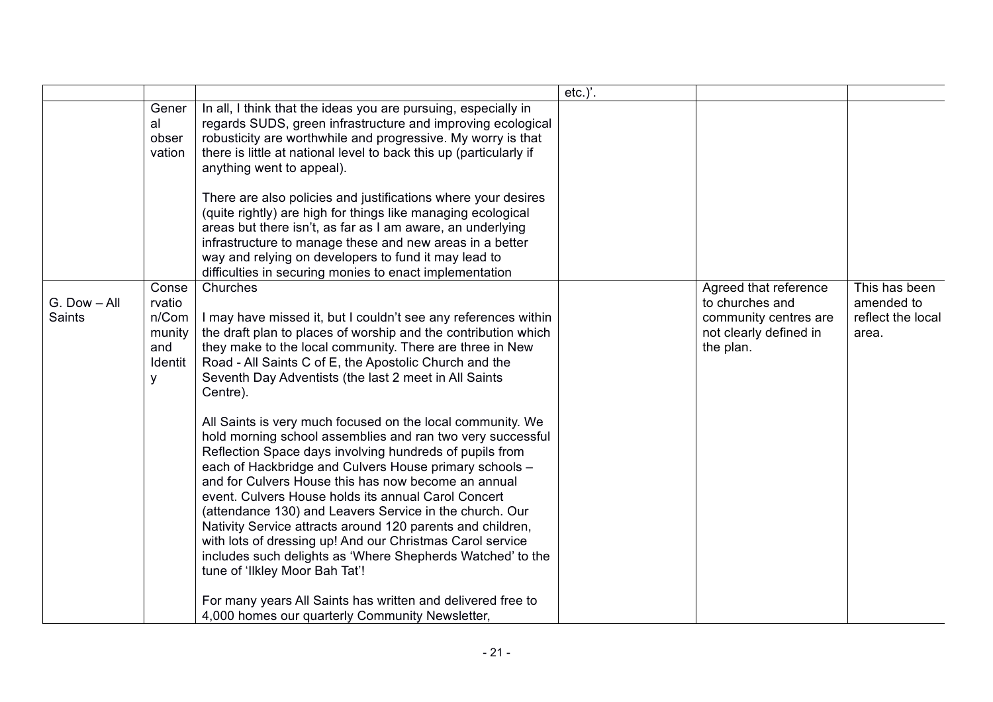|                               |                                                           |                                                                                                                                                                                                                                                                                                                                                                                                                                                                                                                                                                                                                                                                                                                                                                                                                                                                                                                                                                                                                                                                                                                | $etc.$ )'. |                                                                                                          |                                                           |
|-------------------------------|-----------------------------------------------------------|----------------------------------------------------------------------------------------------------------------------------------------------------------------------------------------------------------------------------------------------------------------------------------------------------------------------------------------------------------------------------------------------------------------------------------------------------------------------------------------------------------------------------------------------------------------------------------------------------------------------------------------------------------------------------------------------------------------------------------------------------------------------------------------------------------------------------------------------------------------------------------------------------------------------------------------------------------------------------------------------------------------------------------------------------------------------------------------------------------------|------------|----------------------------------------------------------------------------------------------------------|-----------------------------------------------------------|
|                               | Gener<br>al<br>obser<br>vation                            | In all, I think that the ideas you are pursuing, especially in<br>regards SUDS, green infrastructure and improving ecological<br>robusticity are worthwhile and progressive. My worry is that<br>there is little at national level to back this up (particularly if<br>anything went to appeal).<br>There are also policies and justifications where your desires<br>(quite rightly) are high for things like managing ecological<br>areas but there isn't, as far as I am aware, an underlying<br>infrastructure to manage these and new areas in a better<br>way and relying on developers to fund it may lead to<br>difficulties in securing monies to enact implementation                                                                                                                                                                                                                                                                                                                                                                                                                                 |            |                                                                                                          |                                                           |
| G. Dow - All<br><b>Saints</b> | Conse<br>rvatio<br>n/Com<br>munity<br>and<br>Identit<br>У | Churches<br>I may have missed it, but I couldn't see any references within<br>the draft plan to places of worship and the contribution which<br>they make to the local community. There are three in New<br>Road - All Saints C of E, the Apostolic Church and the<br>Seventh Day Adventists (the last 2 meet in All Saints<br>Centre).<br>All Saints is very much focused on the local community. We<br>hold morning school assemblies and ran two very successful<br>Reflection Space days involving hundreds of pupils from<br>each of Hackbridge and Culvers House primary schools -<br>and for Culvers House this has now become an annual<br>event. Culvers House holds its annual Carol Concert<br>(attendance 130) and Leavers Service in the church. Our<br>Nativity Service attracts around 120 parents and children,<br>with lots of dressing up! And our Christmas Carol service<br>includes such delights as 'Where Shepherds Watched' to the<br>tune of 'Ilkley Moor Bah Tat'!<br>For many years All Saints has written and delivered free to<br>4,000 homes our quarterly Community Newsletter, |            | Agreed that reference<br>to churches and<br>community centres are<br>not clearly defined in<br>the plan. | This has been<br>amended to<br>reflect the local<br>area. |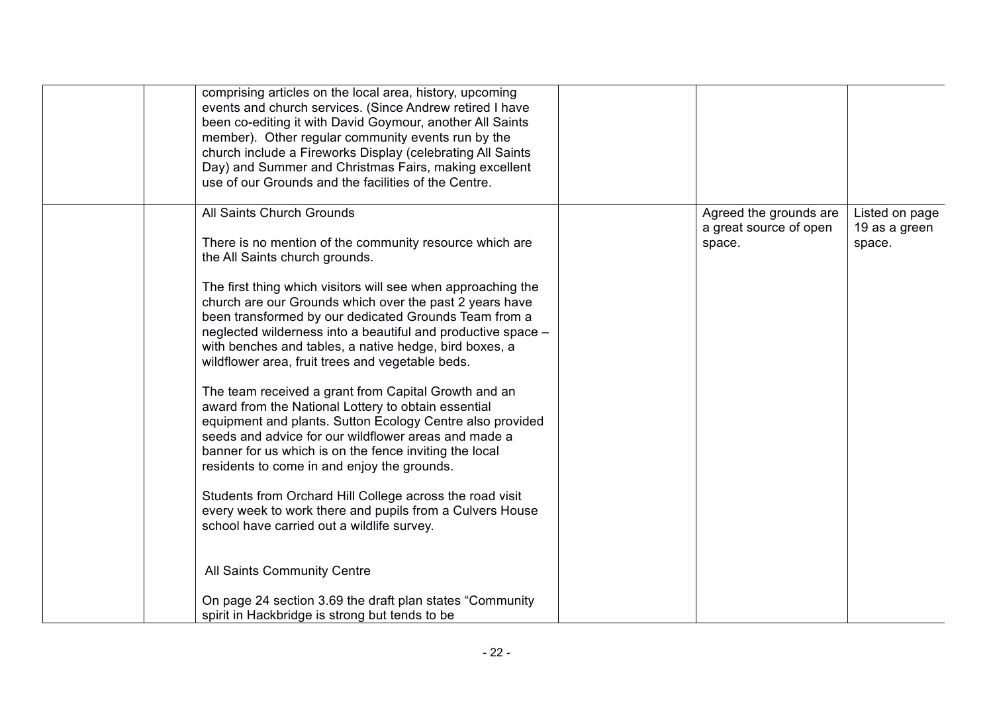| comprising articles on the local area, history, upcoming<br>events and church services. (Since Andrew retired I have<br>been co-editing it with David Goymour, another All Saints<br>member). Other regular community events run by the<br>church include a Fireworks Display (celebrating All Saints<br>Day) and Summer and Christmas Fairs, making excellent<br>use of our Grounds and the facilities of the Centre. |                                                            |                                           |
|------------------------------------------------------------------------------------------------------------------------------------------------------------------------------------------------------------------------------------------------------------------------------------------------------------------------------------------------------------------------------------------------------------------------|------------------------------------------------------------|-------------------------------------------|
| All Saints Church Grounds<br>There is no mention of the community resource which are<br>the All Saints church grounds.                                                                                                                                                                                                                                                                                                 | Agreed the grounds are<br>a great source of open<br>space. | Listed on page<br>19 as a green<br>space. |
| The first thing which visitors will see when approaching the<br>church are our Grounds which over the past 2 years have<br>been transformed by our dedicated Grounds Team from a<br>neglected wilderness into a beautiful and productive space -<br>with benches and tables, a native hedge, bird boxes, a<br>wildflower area, fruit trees and vegetable beds.                                                         |                                                            |                                           |
| The team received a grant from Capital Growth and an<br>award from the National Lottery to obtain essential<br>equipment and plants. Sutton Ecology Centre also provided<br>seeds and advice for our wildflower areas and made a<br>banner for us which is on the fence inviting the local<br>residents to come in and enjoy the grounds.                                                                              |                                                            |                                           |
| Students from Orchard Hill College across the road visit<br>every week to work there and pupils from a Culvers House<br>school have carried out a wildlife survey.                                                                                                                                                                                                                                                     |                                                            |                                           |
| All Saints Community Centre                                                                                                                                                                                                                                                                                                                                                                                            |                                                            |                                           |
| On page 24 section 3.69 the draft plan states "Community"<br>spirit in Hackbridge is strong but tends to be                                                                                                                                                                                                                                                                                                            |                                                            |                                           |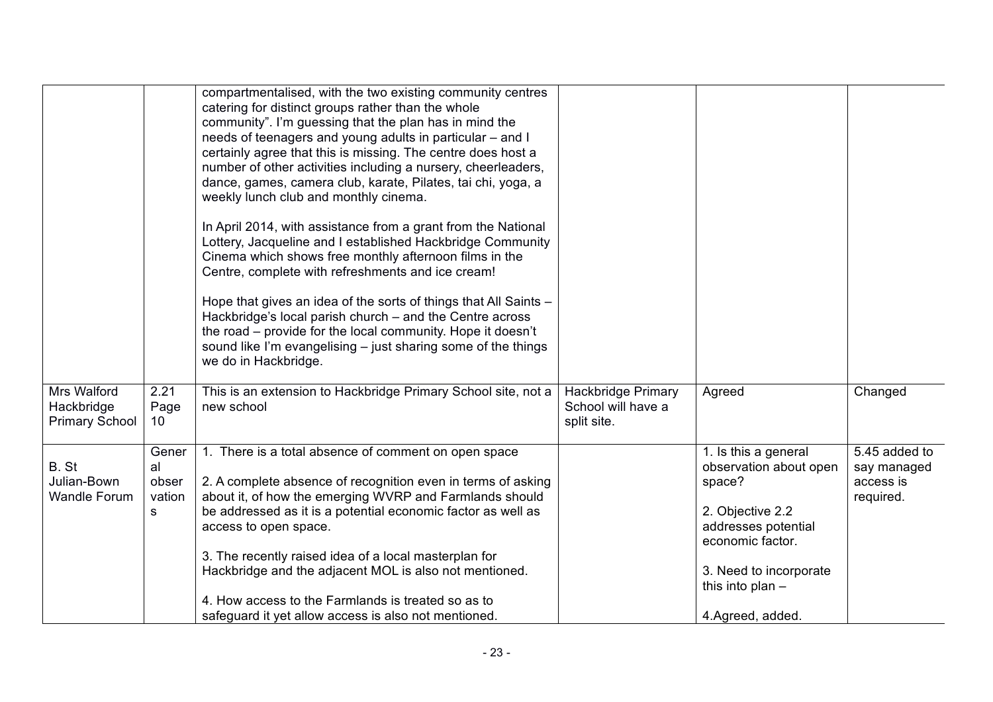|                                                    |                                     | compartmentalised, with the two existing community centres<br>catering for distinct groups rather than the whole<br>community". I'm guessing that the plan has in mind the<br>needs of teenagers and young adults in particular - and I<br>certainly agree that this is missing. The centre does host a<br>number of other activities including a nursery, cheerleaders,<br>dance, games, camera club, karate, Pilates, tai chi, yoga, a<br>weekly lunch club and monthly cinema.<br>In April 2014, with assistance from a grant from the National<br>Lottery, Jacqueline and I established Hackbridge Community<br>Cinema which shows free monthly afternoon films in the<br>Centre, complete with refreshments and ice cream!<br>Hope that gives an idea of the sorts of things that All Saints -<br>Hackbridge's local parish church - and the Centre across<br>the road - provide for the local community. Hope it doesn't<br>sound like I'm evangelising $-$ just sharing some of the things<br>we do in Hackbridge. |                                                                |                                                                                                                                                                                             |                                                        |
|----------------------------------------------------|-------------------------------------|---------------------------------------------------------------------------------------------------------------------------------------------------------------------------------------------------------------------------------------------------------------------------------------------------------------------------------------------------------------------------------------------------------------------------------------------------------------------------------------------------------------------------------------------------------------------------------------------------------------------------------------------------------------------------------------------------------------------------------------------------------------------------------------------------------------------------------------------------------------------------------------------------------------------------------------------------------------------------------------------------------------------------|----------------------------------------------------------------|---------------------------------------------------------------------------------------------------------------------------------------------------------------------------------------------|--------------------------------------------------------|
| Mrs Walford<br>Hackbridge<br><b>Primary School</b> | 2.21<br>Page<br>10                  | This is an extension to Hackbridge Primary School site, not a<br>new school                                                                                                                                                                                                                                                                                                                                                                                                                                                                                                                                                                                                                                                                                                                                                                                                                                                                                                                                               | <b>Hackbridge Primary</b><br>School will have a<br>split site. | Agreed                                                                                                                                                                                      | Changed                                                |
| B. St<br>Julian-Bown<br><b>Wandle Forum</b>        | Gener<br>al<br>obser<br>vation<br>s | 1. There is a total absence of comment on open space<br>2. A complete absence of recognition even in terms of asking<br>about it, of how the emerging WVRP and Farmlands should<br>be addressed as it is a potential economic factor as well as<br>access to open space.<br>3. The recently raised idea of a local masterplan for<br>Hackbridge and the adjacent MOL is also not mentioned.<br>4. How access to the Farmlands is treated so as to<br>safeguard it yet allow access is also not mentioned.                                                                                                                                                                                                                                                                                                                                                                                                                                                                                                                 |                                                                | 1. Is this a general<br>observation about open<br>space?<br>2. Objective 2.2<br>addresses potential<br>economic factor.<br>3. Need to incorporate<br>this into plan $-$<br>4.Agreed, added. | 5.45 added to<br>say managed<br>access is<br>required. |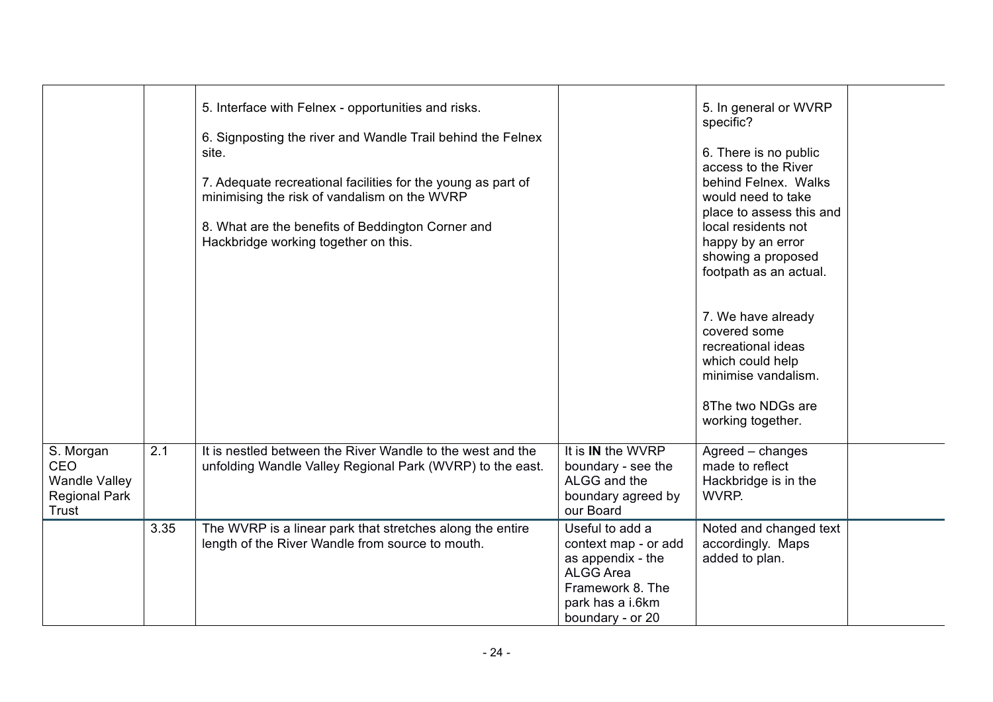|                                                                           |      | 5. Interface with Felnex - opportunities and risks.<br>6. Signposting the river and Wandle Trail behind the Felnex<br>site.<br>7. Adequate recreational facilities for the young as part of<br>minimising the risk of vandalism on the WVRP<br>8. What are the benefits of Beddington Corner and<br>Hackbridge working together on this. |                                                                                                                                              | 5. In general or WVRP<br>specific?<br>6. There is no public<br>access to the River<br>behind Felnex. Walks<br>would need to take<br>place to assess this and<br>local residents not<br>happy by an error<br>showing a proposed<br>footpath as an actual. |  |
|---------------------------------------------------------------------------|------|------------------------------------------------------------------------------------------------------------------------------------------------------------------------------------------------------------------------------------------------------------------------------------------------------------------------------------------|----------------------------------------------------------------------------------------------------------------------------------------------|----------------------------------------------------------------------------------------------------------------------------------------------------------------------------------------------------------------------------------------------------------|--|
|                                                                           |      |                                                                                                                                                                                                                                                                                                                                          |                                                                                                                                              | 7. We have already<br>covered some<br>recreational ideas<br>which could help<br>minimise vandalism.<br>8The two NDGs are<br>working together.                                                                                                            |  |
| S. Morgan<br>CEO<br><b>Wandle Valley</b><br><b>Regional Park</b><br>Trust | 2.1  | It is nestled between the River Wandle to the west and the<br>unfolding Wandle Valley Regional Park (WVRP) to the east.                                                                                                                                                                                                                  | It is <b>IN</b> the WVRP<br>boundary - see the<br>ALGG and the<br>boundary agreed by<br>our Board                                            | Agreed - changes<br>made to reflect<br>Hackbridge is in the<br>WVRP.                                                                                                                                                                                     |  |
|                                                                           | 3.35 | The WVRP is a linear park that stretches along the entire<br>length of the River Wandle from source to mouth.                                                                                                                                                                                                                            | Useful to add a<br>context map - or add<br>as appendix - the<br><b>ALGG Area</b><br>Framework 8. The<br>park has a i.6km<br>boundary - or 20 | Noted and changed text<br>accordingly. Maps<br>added to plan.                                                                                                                                                                                            |  |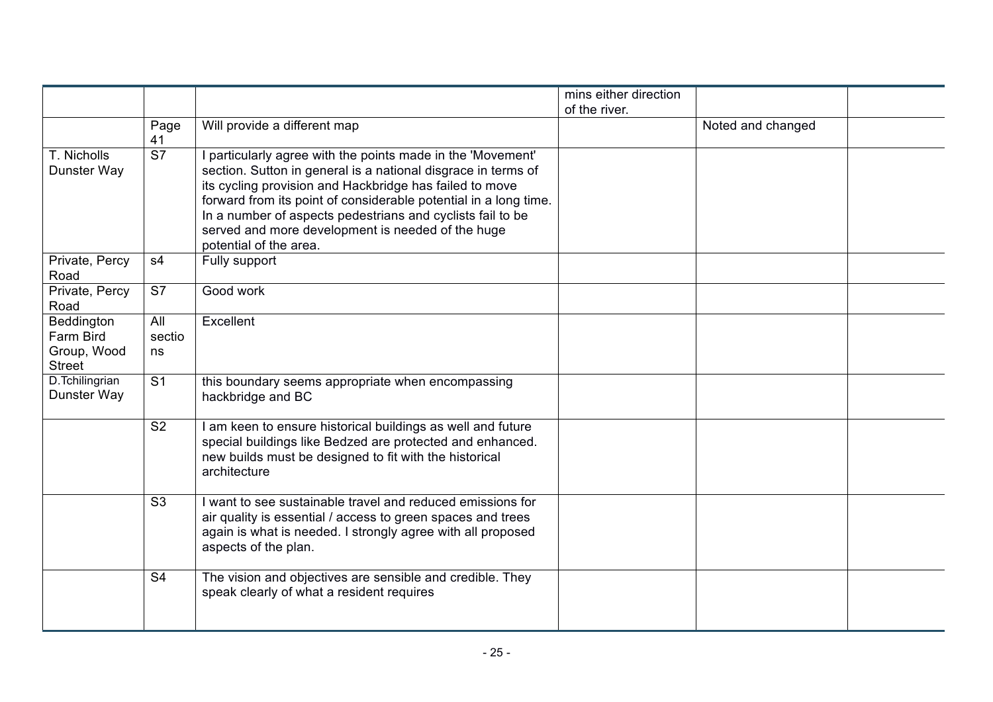|                                                         |                          |                                                                                                                                                                                                                                                                                                                                                                                                          | mins either direction |                   |  |
|---------------------------------------------------------|--------------------------|----------------------------------------------------------------------------------------------------------------------------------------------------------------------------------------------------------------------------------------------------------------------------------------------------------------------------------------------------------------------------------------------------------|-----------------------|-------------------|--|
|                                                         |                          |                                                                                                                                                                                                                                                                                                                                                                                                          | of the river.         |                   |  |
|                                                         | Page<br>41               | Will provide a different map                                                                                                                                                                                                                                                                                                                                                                             |                       | Noted and changed |  |
| T. Nicholls<br>Dunster Way                              | $\overline{\mathsf{S}7}$ | I particularly agree with the points made in the 'Movement'<br>section. Sutton in general is a national disgrace in terms of<br>its cycling provision and Hackbridge has failed to move<br>forward from its point of considerable potential in a long time.<br>In a number of aspects pedestrians and cyclists fail to be<br>served and more development is needed of the huge<br>potential of the area. |                       |                   |  |
| Private, Percy<br>Road                                  | s4                       | Fully support                                                                                                                                                                                                                                                                                                                                                                                            |                       |                   |  |
| Private, Percy<br>Road                                  | S7                       | Good work                                                                                                                                                                                                                                                                                                                                                                                                |                       |                   |  |
| Beddington<br>Farm Bird<br>Group, Wood<br><b>Street</b> | All<br>sectio<br>ns      | Excellent                                                                                                                                                                                                                                                                                                                                                                                                |                       |                   |  |
| D.Tchilingrian<br>Dunster Way                           | S <sub>1</sub>           | this boundary seems appropriate when encompassing<br>hackbridge and BC                                                                                                                                                                                                                                                                                                                                   |                       |                   |  |
|                                                         | S <sub>2</sub>           | I am keen to ensure historical buildings as well and future<br>special buildings like Bedzed are protected and enhanced.<br>new builds must be designed to fit with the historical<br>architecture                                                                                                                                                                                                       |                       |                   |  |
|                                                         | S <sub>3</sub>           | I want to see sustainable travel and reduced emissions for<br>air quality is essential / access to green spaces and trees<br>again is what is needed. I strongly agree with all proposed<br>aspects of the plan.                                                                                                                                                                                         |                       |                   |  |
|                                                         | S <sub>4</sub>           | The vision and objectives are sensible and credible. They<br>speak clearly of what a resident requires                                                                                                                                                                                                                                                                                                   |                       |                   |  |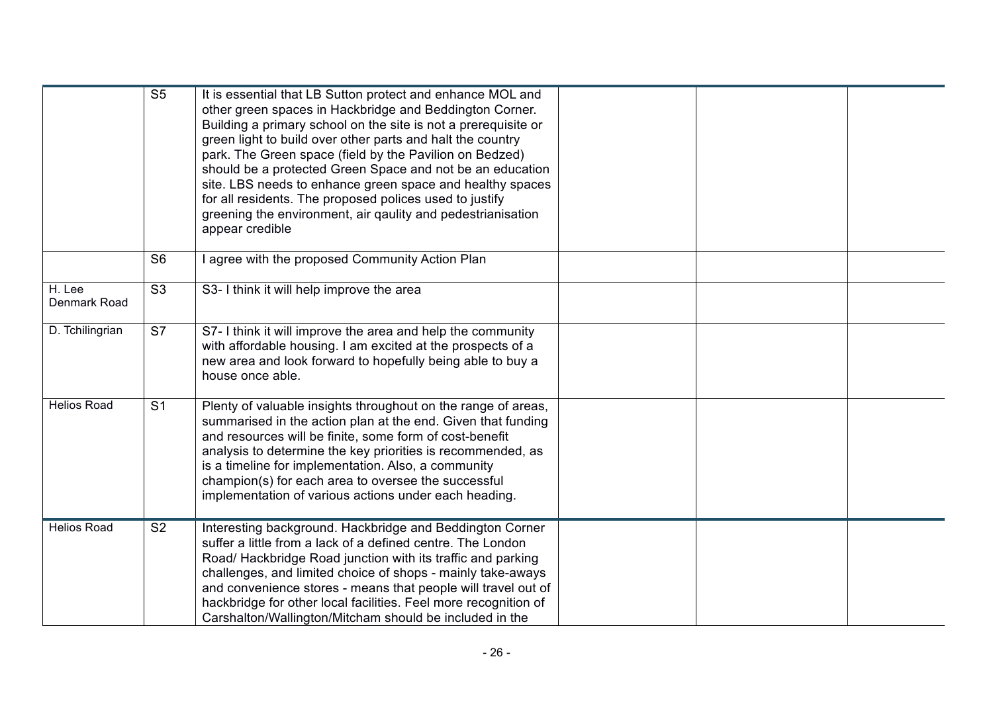|                        | S <sub>5</sub> | It is essential that LB Sutton protect and enhance MOL and<br>other green spaces in Hackbridge and Beddington Corner.<br>Building a primary school on the site is not a prerequisite or<br>green light to build over other parts and halt the country<br>park. The Green space (field by the Pavilion on Bedzed)<br>should be a protected Green Space and not be an education<br>site. LBS needs to enhance green space and healthy spaces<br>for all residents. The proposed polices used to justify<br>greening the environment, air qaulity and pedestrianisation<br>appear credible |  |  |
|------------------------|----------------|-----------------------------------------------------------------------------------------------------------------------------------------------------------------------------------------------------------------------------------------------------------------------------------------------------------------------------------------------------------------------------------------------------------------------------------------------------------------------------------------------------------------------------------------------------------------------------------------|--|--|
|                        | S <sub>6</sub> | agree with the proposed Community Action Plan                                                                                                                                                                                                                                                                                                                                                                                                                                                                                                                                           |  |  |
| H. Lee<br>Denmark Road | S <sub>3</sub> | S3- I think it will help improve the area                                                                                                                                                                                                                                                                                                                                                                                                                                                                                                                                               |  |  |
| D. Tchilingrian        | S7             | S7- I think it will improve the area and help the community<br>with affordable housing. I am excited at the prospects of a<br>new area and look forward to hopefully being able to buy a<br>house once able.                                                                                                                                                                                                                                                                                                                                                                            |  |  |
| <b>Helios Road</b>     | S <sub>1</sub> | Plenty of valuable insights throughout on the range of areas,<br>summarised in the action plan at the end. Given that funding<br>and resources will be finite, some form of cost-benefit<br>analysis to determine the key priorities is recommended, as<br>is a timeline for implementation. Also, a community<br>champion(s) for each area to oversee the successful<br>implementation of various actions under each heading.                                                                                                                                                          |  |  |
| <b>Helios Road</b>     | S <sub>2</sub> | Interesting background. Hackbridge and Beddington Corner<br>suffer a little from a lack of a defined centre. The London<br>Road/ Hackbridge Road junction with its traffic and parking<br>challenges, and limited choice of shops - mainly take-aways<br>and convenience stores - means that people will travel out of<br>hackbridge for other local facilities. Feel more recognition of<br>Carshalton/Wallington/Mitcham should be included in the                                                                                                                                    |  |  |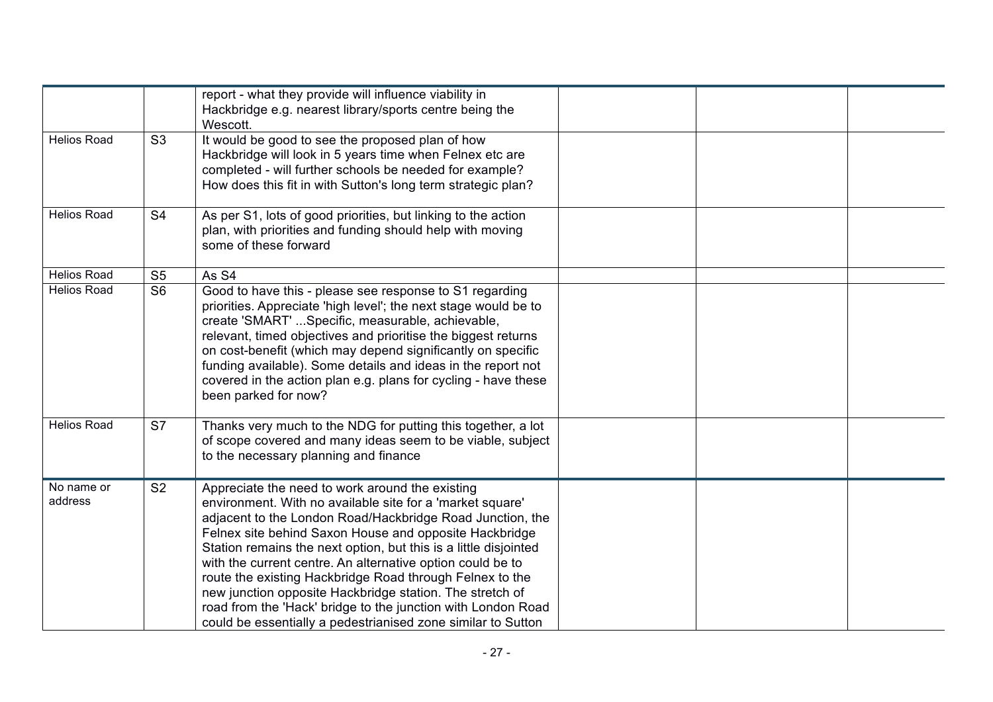|                       |                          | report - what they provide will influence viability in<br>Hackbridge e.g. nearest library/sports centre being the<br>Wescott.                                                                                                                                                                                                                                                                                                                                                                                                                                                                                                 |  |  |
|-----------------------|--------------------------|-------------------------------------------------------------------------------------------------------------------------------------------------------------------------------------------------------------------------------------------------------------------------------------------------------------------------------------------------------------------------------------------------------------------------------------------------------------------------------------------------------------------------------------------------------------------------------------------------------------------------------|--|--|
| <b>Helios Road</b>    | S <sub>3</sub>           | It would be good to see the proposed plan of how<br>Hackbridge will look in 5 years time when Felnex etc are<br>completed - will further schools be needed for example?<br>How does this fit in with Sutton's long term strategic plan?                                                                                                                                                                                                                                                                                                                                                                                       |  |  |
| <b>Helios Road</b>    | S <sub>4</sub>           | As per S1, lots of good priorities, but linking to the action<br>plan, with priorities and funding should help with moving<br>some of these forward                                                                                                                                                                                                                                                                                                                                                                                                                                                                           |  |  |
| <b>Helios Road</b>    | S <sub>5</sub>           | As S4                                                                                                                                                                                                                                                                                                                                                                                                                                                                                                                                                                                                                         |  |  |
| <b>Helios Road</b>    | S <sub>6</sub>           | Good to have this - please see response to S1 regarding<br>priorities. Appreciate 'high level'; the next stage would be to<br>create 'SMART'  Specific, measurable, achievable,<br>relevant, timed objectives and prioritise the biggest returns<br>on cost-benefit (which may depend significantly on specific<br>funding available). Some details and ideas in the report not<br>covered in the action plan e.g. plans for cycling - have these<br>been parked for now?                                                                                                                                                     |  |  |
| <b>Helios Road</b>    | $\overline{\mathsf{S}7}$ | Thanks very much to the NDG for putting this together, a lot<br>of scope covered and many ideas seem to be viable, subject<br>to the necessary planning and finance                                                                                                                                                                                                                                                                                                                                                                                                                                                           |  |  |
| No name or<br>address | S <sub>2</sub>           | Appreciate the need to work around the existing<br>environment. With no available site for a 'market square'<br>adjacent to the London Road/Hackbridge Road Junction, the<br>Felnex site behind Saxon House and opposite Hackbridge<br>Station remains the next option, but this is a little disjointed<br>with the current centre. An alternative option could be to<br>route the existing Hackbridge Road through Felnex to the<br>new junction opposite Hackbridge station. The stretch of<br>road from the 'Hack' bridge to the junction with London Road<br>could be essentially a pedestrianised zone similar to Sutton |  |  |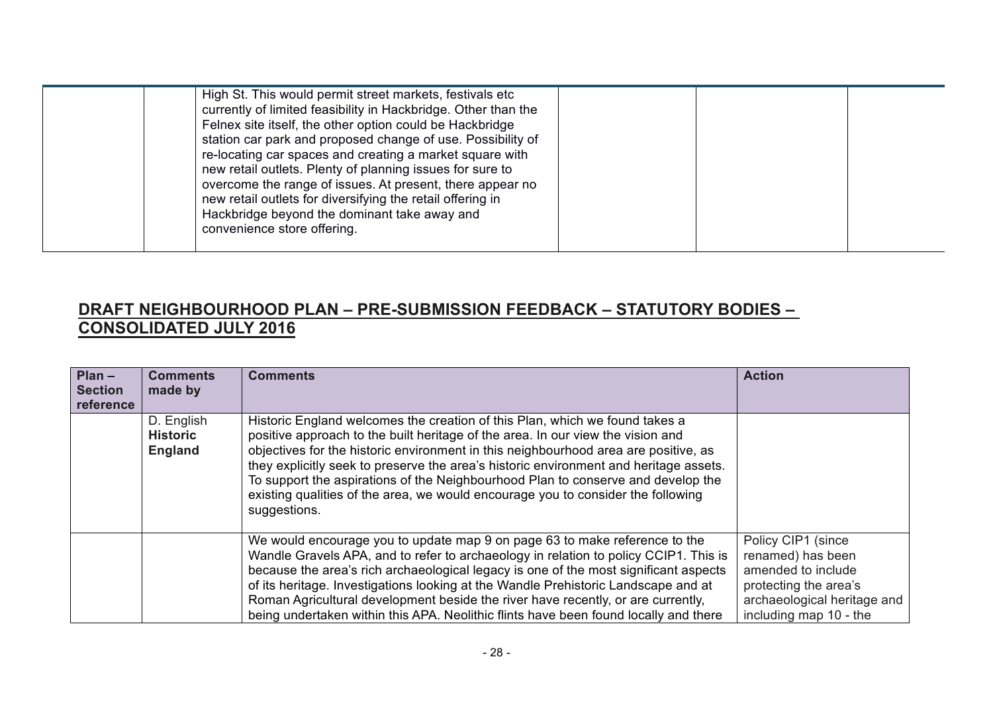| re-locating car spaces and creating a market square with<br>new retail outlets. Plenty of planning issues for sure to<br>overcome the range of issues. At present, there appear no<br>new retail outlets for diversifying the retail offering in<br>Hackbridge beyond the dominant take away and<br>convenience store offering. |  | High St. This would permit street markets, festivals etc<br>currently of limited feasibility in Hackbridge. Other than the<br>Felnex site itself, the other option could be Hackbridge<br>station car park and proposed change of use. Possibility of |  |  |  |
|---------------------------------------------------------------------------------------------------------------------------------------------------------------------------------------------------------------------------------------------------------------------------------------------------------------------------------|--|-------------------------------------------------------------------------------------------------------------------------------------------------------------------------------------------------------------------------------------------------------|--|--|--|
|---------------------------------------------------------------------------------------------------------------------------------------------------------------------------------------------------------------------------------------------------------------------------------------------------------------------------------|--|-------------------------------------------------------------------------------------------------------------------------------------------------------------------------------------------------------------------------------------------------------|--|--|--|

## **DRAFT NEIGHBOURHOOD PLAN – PRE-SUBMISSION FEEDBACK – STATUTORY BODIES – CONSOLIDATED JULY 2016**

| $Plan -$<br><b>Section</b><br>reference | <b>Comments</b><br>made by                      | <b>Comments</b>                                                                                                                                                                                                                                                                                                                                                                                                                                                                                                                        | <b>Action</b>                                                                                                                                   |
|-----------------------------------------|-------------------------------------------------|----------------------------------------------------------------------------------------------------------------------------------------------------------------------------------------------------------------------------------------------------------------------------------------------------------------------------------------------------------------------------------------------------------------------------------------------------------------------------------------------------------------------------------------|-------------------------------------------------------------------------------------------------------------------------------------------------|
|                                         | D. English<br><b>Historic</b><br><b>England</b> | Historic England welcomes the creation of this Plan, which we found takes a<br>positive approach to the built heritage of the area. In our view the vision and<br>objectives for the historic environment in this neighbourhood area are positive, as<br>they explicitly seek to preserve the area's historic environment and heritage assets.<br>To support the aspirations of the Neighbourhood Plan to conserve and develop the<br>existing qualities of the area, we would encourage you to consider the following<br>suggestions. |                                                                                                                                                 |
|                                         |                                                 | We would encourage you to update map 9 on page 63 to make reference to the<br>Wandle Gravels APA, and to refer to archaeology in relation to policy CCIP1. This is<br>because the area's rich archaeological legacy is one of the most significant aspects<br>of its heritage. Investigations looking at the Wandle Prehistoric Landscape and at<br>Roman Agricultural development beside the river have recently, or are currently,<br>being undertaken within this APA. Neolithic flints have been found locally and there           | Policy CIP1 (since<br>renamed) has been<br>amended to include<br>protecting the area's<br>archaeological heritage and<br>including map 10 - the |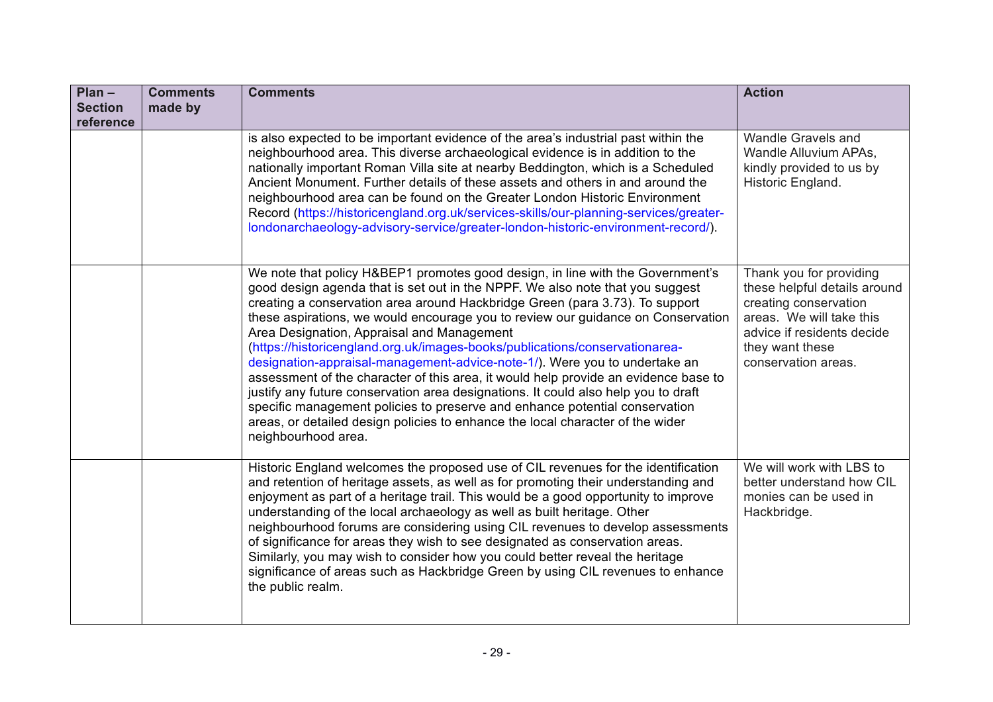| $Plan -$<br><b>Section</b><br>reference | <b>Comments</b><br>made by | <b>Comments</b>                                                                                                                                                                                                                                                                                                                                                                                                                                                                                                                                                                                                                                                                                                                                                                                                                                                                                                     | <b>Action</b>                                                                                                                                                                        |
|-----------------------------------------|----------------------------|---------------------------------------------------------------------------------------------------------------------------------------------------------------------------------------------------------------------------------------------------------------------------------------------------------------------------------------------------------------------------------------------------------------------------------------------------------------------------------------------------------------------------------------------------------------------------------------------------------------------------------------------------------------------------------------------------------------------------------------------------------------------------------------------------------------------------------------------------------------------------------------------------------------------|--------------------------------------------------------------------------------------------------------------------------------------------------------------------------------------|
|                                         |                            | is also expected to be important evidence of the area's industrial past within the<br>neighbourhood area. This diverse archaeological evidence is in addition to the<br>nationally important Roman Villa site at nearby Beddington, which is a Scheduled<br>Ancient Monument. Further details of these assets and others in and around the<br>neighbourhood area can be found on the Greater London Historic Environment<br>Record (https://historicengland.org.uk/services-skills/our-planning-services/greater-<br>londonarchaeology-advisory-service/greater-london-historic-environment-record/).                                                                                                                                                                                                                                                                                                               | Wandle Gravels and<br>Wandle Alluvium APAs,<br>kindly provided to us by<br>Historic England.                                                                                         |
|                                         |                            | We note that policy H&BEP1 promotes good design, in line with the Government's<br>good design agenda that is set out in the NPPF. We also note that you suggest<br>creating a conservation area around Hackbridge Green (para 3.73). To support<br>these aspirations, we would encourage you to review our guidance on Conservation<br>Area Designation, Appraisal and Management<br>(https://historicengland.org.uk/images-books/publications/conservationarea-<br>designation-appraisal-management-advice-note-1/). Were you to undertake an<br>assessment of the character of this area, it would help provide an evidence base to<br>justify any future conservation area designations. It could also help you to draft<br>specific management policies to preserve and enhance potential conservation<br>areas, or detailed design policies to enhance the local character of the wider<br>neighbourhood area. | Thank you for providing<br>these helpful details around<br>creating conservation<br>areas. We will take this<br>advice if residents decide<br>they want these<br>conservation areas. |
|                                         |                            | Historic England welcomes the proposed use of CIL revenues for the identification<br>and retention of heritage assets, as well as for promoting their understanding and<br>enjoyment as part of a heritage trail. This would be a good opportunity to improve<br>understanding of the local archaeology as well as built heritage. Other<br>neighbourhood forums are considering using CIL revenues to develop assessments<br>of significance for areas they wish to see designated as conservation areas.<br>Similarly, you may wish to consider how you could better reveal the heritage<br>significance of areas such as Hackbridge Green by using CIL revenues to enhance<br>the public realm.                                                                                                                                                                                                                  | We will work with LBS to<br>better understand how CIL<br>monies can be used in<br>Hackbridge.                                                                                        |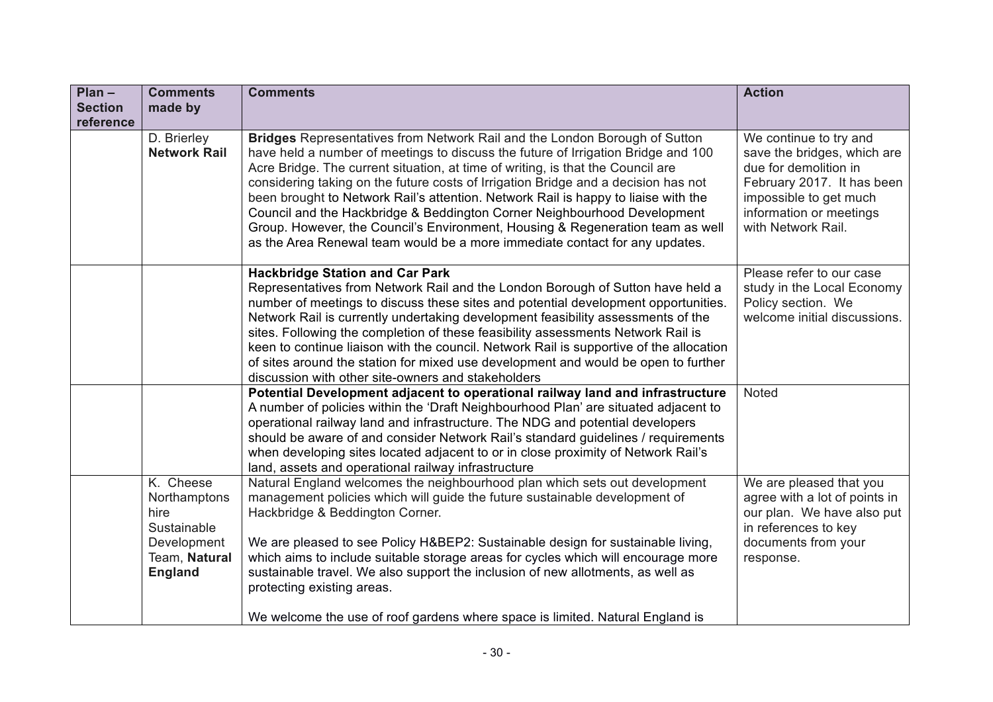| $Plan -$<br><b>Section</b> | <b>Comments</b><br>made by                                                                         | <b>Comments</b>                                                                                                                                                                                                                                                                                                                                                                                                                                                                                                                                                                                                                                                             | <b>Action</b>                                                                                                                                                                           |
|----------------------------|----------------------------------------------------------------------------------------------------|-----------------------------------------------------------------------------------------------------------------------------------------------------------------------------------------------------------------------------------------------------------------------------------------------------------------------------------------------------------------------------------------------------------------------------------------------------------------------------------------------------------------------------------------------------------------------------------------------------------------------------------------------------------------------------|-----------------------------------------------------------------------------------------------------------------------------------------------------------------------------------------|
| reference                  |                                                                                                    |                                                                                                                                                                                                                                                                                                                                                                                                                                                                                                                                                                                                                                                                             |                                                                                                                                                                                         |
|                            | D. Brierley<br><b>Network Rail</b>                                                                 | Bridges Representatives from Network Rail and the London Borough of Sutton<br>have held a number of meetings to discuss the future of Irrigation Bridge and 100<br>Acre Bridge. The current situation, at time of writing, is that the Council are<br>considering taking on the future costs of Irrigation Bridge and a decision has not<br>been brought to Network Rail's attention. Network Rail is happy to liaise with the<br>Council and the Hackbridge & Beddington Corner Neighbourhood Development<br>Group. However, the Council's Environment, Housing & Regeneration team as well<br>as the Area Renewal team would be a more immediate contact for any updates. | We continue to try and<br>save the bridges, which are<br>due for demolition in<br>February 2017. It has been<br>impossible to get much<br>information or meetings<br>with Network Rail. |
|                            |                                                                                                    | <b>Hackbridge Station and Car Park</b><br>Representatives from Network Rail and the London Borough of Sutton have held a<br>number of meetings to discuss these sites and potential development opportunities.<br>Network Rail is currently undertaking development feasibility assessments of the<br>sites. Following the completion of these feasibility assessments Network Rail is<br>keen to continue liaison with the council. Network Rail is supportive of the allocation<br>of sites around the station for mixed use development and would be open to further<br>discussion with other site-owners and stakeholders                                               | Please refer to our case<br>study in the Local Economy<br>Policy section. We<br>welcome initial discussions.                                                                            |
|                            |                                                                                                    | Potential Development adjacent to operational railway land and infrastructure<br>A number of policies within the 'Draft Neighbourhood Plan' are situated adjacent to<br>operational railway land and infrastructure. The NDG and potential developers<br>should be aware of and consider Network Rail's standard guidelines / requirements<br>when developing sites located adjacent to or in close proximity of Network Rail's<br>land, assets and operational railway infrastructure                                                                                                                                                                                      | Noted                                                                                                                                                                                   |
|                            | K. Cheese<br>Northamptons<br>hire<br>Sustainable<br>Development<br>Team, Natural<br><b>England</b> | Natural England welcomes the neighbourhood plan which sets out development<br>management policies which will guide the future sustainable development of<br>Hackbridge & Beddington Corner.<br>We are pleased to see Policy H&BEP2: Sustainable design for sustainable living,<br>which aims to include suitable storage areas for cycles which will encourage more<br>sustainable travel. We also support the inclusion of new allotments, as well as<br>protecting existing areas.<br>We welcome the use of roof gardens where space is limited. Natural England is                                                                                                       | We are pleased that you<br>agree with a lot of points in<br>our plan. We have also put<br>in references to key<br>documents from your<br>response.                                      |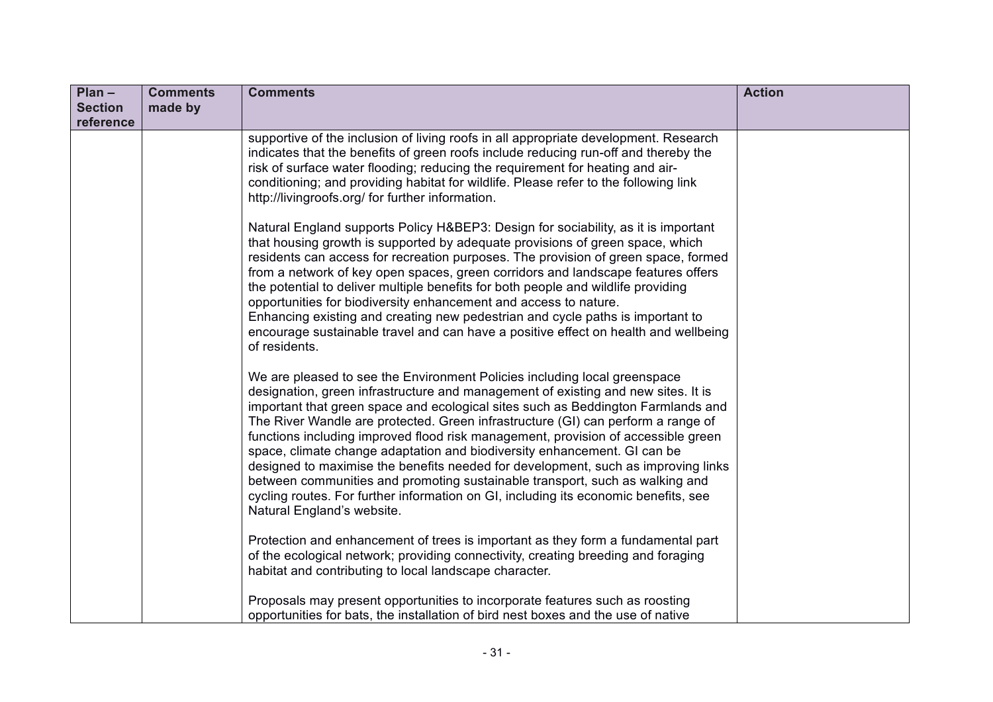| $Plan -$                    | <b>Comments</b> | <b>Comments</b>                                                                                                                                                                                                                                                                                                                                                                                                                                                                                                                                                                                                                                                                                                                                                                                   | <b>Action</b> |
|-----------------------------|-----------------|---------------------------------------------------------------------------------------------------------------------------------------------------------------------------------------------------------------------------------------------------------------------------------------------------------------------------------------------------------------------------------------------------------------------------------------------------------------------------------------------------------------------------------------------------------------------------------------------------------------------------------------------------------------------------------------------------------------------------------------------------------------------------------------------------|---------------|
| <b>Section</b><br>reference | made by         |                                                                                                                                                                                                                                                                                                                                                                                                                                                                                                                                                                                                                                                                                                                                                                                                   |               |
|                             |                 | supportive of the inclusion of living roofs in all appropriate development. Research<br>indicates that the benefits of green roofs include reducing run-off and thereby the<br>risk of surface water flooding; reducing the requirement for heating and air-<br>conditioning; and providing habitat for wildlife. Please refer to the following link<br>http://livingroofs.org/ for further information.                                                                                                                                                                                                                                                                                                                                                                                          |               |
|                             |                 | Natural England supports Policy H&BEP3: Design for sociability, as it is important<br>that housing growth is supported by adequate provisions of green space, which<br>residents can access for recreation purposes. The provision of green space, formed<br>from a network of key open spaces, green corridors and landscape features offers<br>the potential to deliver multiple benefits for both people and wildlife providing<br>opportunities for biodiversity enhancement and access to nature.<br>Enhancing existing and creating new pedestrian and cycle paths is important to<br>encourage sustainable travel and can have a positive effect on health and wellbeing<br>of residents.                                                                                                  |               |
|                             |                 | We are pleased to see the Environment Policies including local greenspace<br>designation, green infrastructure and management of existing and new sites. It is<br>important that green space and ecological sites such as Beddington Farmlands and<br>The River Wandle are protected. Green infrastructure (GI) can perform a range of<br>functions including improved flood risk management, provision of accessible green<br>space, climate change adaptation and biodiversity enhancement. GI can be<br>designed to maximise the benefits needed for development, such as improving links<br>between communities and promoting sustainable transport, such as walking and<br>cycling routes. For further information on GI, including its economic benefits, see<br>Natural England's website. |               |
|                             |                 | Protection and enhancement of trees is important as they form a fundamental part<br>of the ecological network; providing connectivity, creating breeding and foraging<br>habitat and contributing to local landscape character.                                                                                                                                                                                                                                                                                                                                                                                                                                                                                                                                                                   |               |
|                             |                 | Proposals may present opportunities to incorporate features such as roosting<br>opportunities for bats, the installation of bird nest boxes and the use of native                                                                                                                                                                                                                                                                                                                                                                                                                                                                                                                                                                                                                                 |               |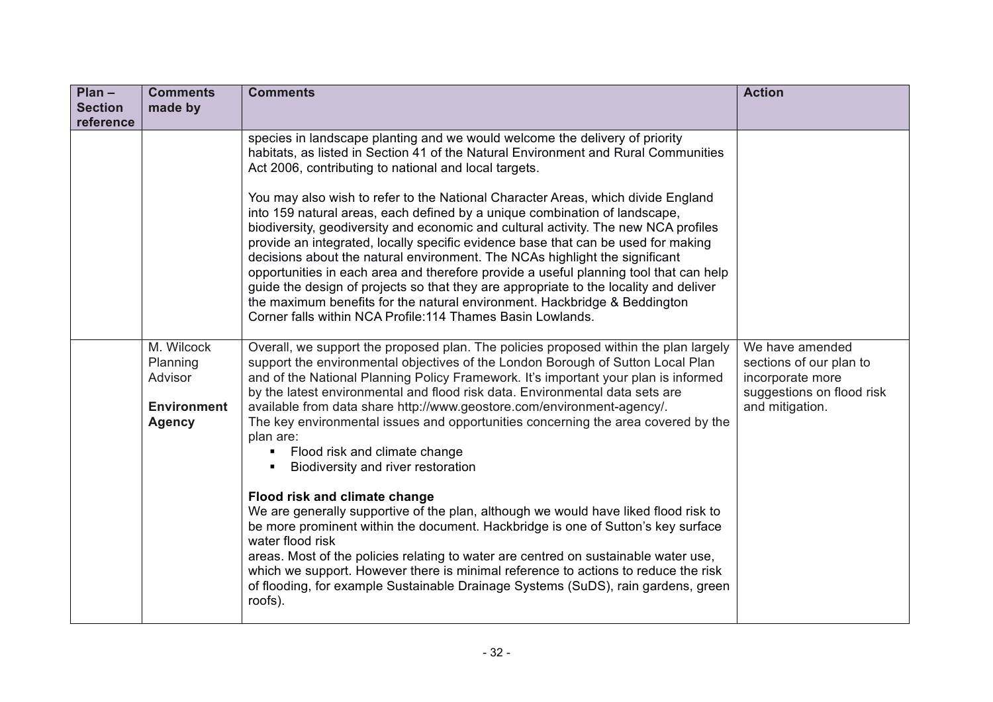| $Plan -$                    | <b>Comments</b>                                                          | <b>Comments</b>                                                                                                                                                                                                                                                                                                                                                                                                                                                                                                                                                                                                                                                                                                                                         | <b>Action</b>                                                                                                  |
|-----------------------------|--------------------------------------------------------------------------|---------------------------------------------------------------------------------------------------------------------------------------------------------------------------------------------------------------------------------------------------------------------------------------------------------------------------------------------------------------------------------------------------------------------------------------------------------------------------------------------------------------------------------------------------------------------------------------------------------------------------------------------------------------------------------------------------------------------------------------------------------|----------------------------------------------------------------------------------------------------------------|
| <b>Section</b><br>reference | made by                                                                  |                                                                                                                                                                                                                                                                                                                                                                                                                                                                                                                                                                                                                                                                                                                                                         |                                                                                                                |
|                             |                                                                          | species in landscape planting and we would welcome the delivery of priority<br>habitats, as listed in Section 41 of the Natural Environment and Rural Communities<br>Act 2006, contributing to national and local targets.                                                                                                                                                                                                                                                                                                                                                                                                                                                                                                                              |                                                                                                                |
|                             |                                                                          | You may also wish to refer to the National Character Areas, which divide England<br>into 159 natural areas, each defined by a unique combination of landscape,<br>biodiversity, geodiversity and economic and cultural activity. The new NCA profiles<br>provide an integrated, locally specific evidence base that can be used for making<br>decisions about the natural environment. The NCAs highlight the significant<br>opportunities in each area and therefore provide a useful planning tool that can help<br>guide the design of projects so that they are appropriate to the locality and deliver<br>the maximum benefits for the natural environment. Hackbridge & Beddington<br>Corner falls within NCA Profile: 114 Thames Basin Lowlands. |                                                                                                                |
|                             | M. Wilcock<br>Planning<br>Advisor<br><b>Environment</b><br><b>Agency</b> | Overall, we support the proposed plan. The policies proposed within the plan largely<br>support the environmental objectives of the London Borough of Sutton Local Plan<br>and of the National Planning Policy Framework. It's important your plan is informed<br>by the latest environmental and flood risk data. Environmental data sets are<br>available from data share http://www.geostore.com/environment-agency/.<br>The key environmental issues and opportunities concerning the area covered by the<br>plan are:<br>Flood risk and climate change<br>٠<br>Biodiversity and river restoration                                                                                                                                                  | We have amended<br>sections of our plan to<br>incorporate more<br>suggestions on flood risk<br>and mitigation. |
|                             |                                                                          | Flood risk and climate change<br>We are generally supportive of the plan, although we would have liked flood risk to<br>be more prominent within the document. Hackbridge is one of Sutton's key surface<br>water flood risk<br>areas. Most of the policies relating to water are centred on sustainable water use,<br>which we support. However there is minimal reference to actions to reduce the risk<br>of flooding, for example Sustainable Drainage Systems (SuDS), rain gardens, green<br>roofs).                                                                                                                                                                                                                                               |                                                                                                                |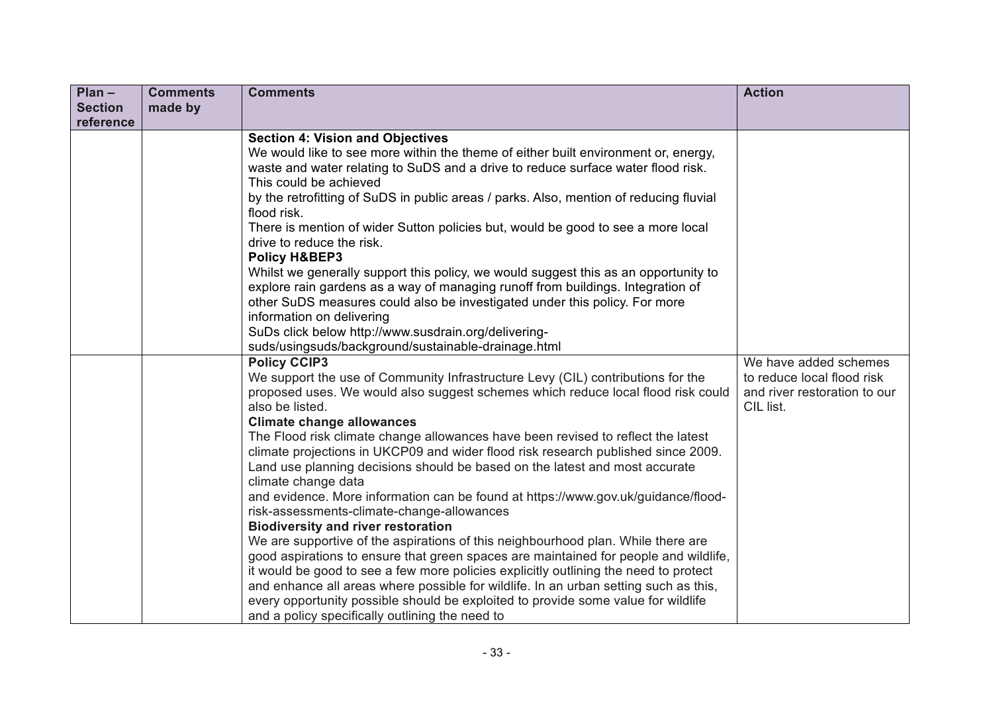| $Plan -$       | <b>Comments</b> | <b>Comments</b>                                                                                                                                                     | <b>Action</b>                                              |
|----------------|-----------------|---------------------------------------------------------------------------------------------------------------------------------------------------------------------|------------------------------------------------------------|
| <b>Section</b> | made by         |                                                                                                                                                                     |                                                            |
| reference      |                 |                                                                                                                                                                     |                                                            |
|                |                 | <b>Section 4: Vision and Objectives</b>                                                                                                                             |                                                            |
|                |                 | We would like to see more within the theme of either built environment or, energy,                                                                                  |                                                            |
|                |                 | waste and water relating to SuDS and a drive to reduce surface water flood risk.                                                                                    |                                                            |
|                |                 | This could be achieved                                                                                                                                              |                                                            |
|                |                 | by the retrofitting of SuDS in public areas / parks. Also, mention of reducing fluvial<br>flood risk.                                                               |                                                            |
|                |                 | There is mention of wider Sutton policies but, would be good to see a more local                                                                                    |                                                            |
|                |                 | drive to reduce the risk.                                                                                                                                           |                                                            |
|                |                 | <b>Policy H&amp;BEP3</b>                                                                                                                                            |                                                            |
|                |                 | Whilst we generally support this policy, we would suggest this as an opportunity to                                                                                 |                                                            |
|                |                 | explore rain gardens as a way of managing runoff from buildings. Integration of                                                                                     |                                                            |
|                |                 | other SuDS measures could also be investigated under this policy. For more                                                                                          |                                                            |
|                |                 | information on delivering                                                                                                                                           |                                                            |
|                |                 | SuDs click below http://www.susdrain.org/delivering-                                                                                                                |                                                            |
|                |                 | suds/usingsuds/background/sustainable-drainage.html                                                                                                                 |                                                            |
|                |                 | <b>Policy CCIP3</b>                                                                                                                                                 | We have added schemes                                      |
|                |                 | We support the use of Community Infrastructure Levy (CIL) contributions for the<br>proposed uses. We would also suggest schemes which reduce local flood risk could | to reduce local flood risk<br>and river restoration to our |
|                |                 | also be listed.                                                                                                                                                     | CIL list.                                                  |
|                |                 | <b>Climate change allowances</b>                                                                                                                                    |                                                            |
|                |                 | The Flood risk climate change allowances have been revised to reflect the latest                                                                                    |                                                            |
|                |                 | climate projections in UKCP09 and wider flood risk research published since 2009.                                                                                   |                                                            |
|                |                 | Land use planning decisions should be based on the latest and most accurate                                                                                         |                                                            |
|                |                 | climate change data                                                                                                                                                 |                                                            |
|                |                 | and evidence. More information can be found at https://www.gov.uk/guidance/flood-                                                                                   |                                                            |
|                |                 | risk-assessments-climate-change-allowances                                                                                                                          |                                                            |
|                |                 | <b>Biodiversity and river restoration</b>                                                                                                                           |                                                            |
|                |                 | We are supportive of the aspirations of this neighbourhood plan. While there are                                                                                    |                                                            |
|                |                 | good aspirations to ensure that green spaces are maintained for people and wildlife,                                                                                |                                                            |
|                |                 | it would be good to see a few more policies explicitly outlining the need to protect                                                                                |                                                            |
|                |                 | and enhance all areas where possible for wildlife. In an urban setting such as this,                                                                                |                                                            |
|                |                 | every opportunity possible should be exploited to provide some value for wildlife                                                                                   |                                                            |
|                |                 | and a policy specifically outlining the need to                                                                                                                     |                                                            |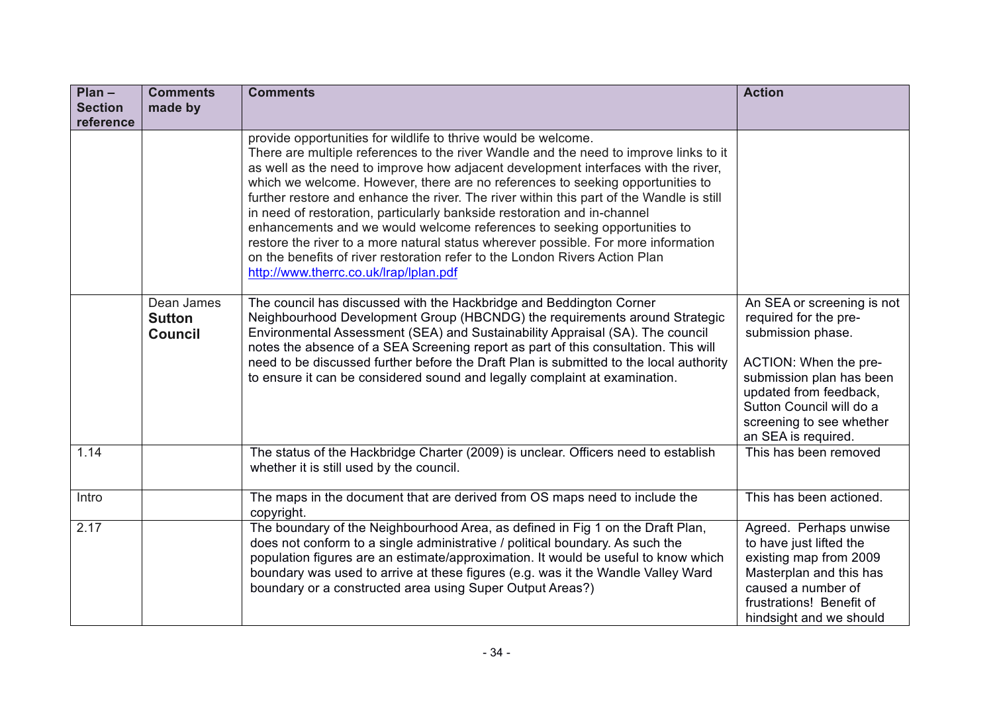| $Plan -$       | <b>Comments</b>                               | <b>Comments</b>                                                                                                                                                                                                                                                                                                                                                                                                                                                                                                                                                                                                                                                                                                                                                                                    | <b>Action</b>                                                                                                                                                                                                                          |
|----------------|-----------------------------------------------|----------------------------------------------------------------------------------------------------------------------------------------------------------------------------------------------------------------------------------------------------------------------------------------------------------------------------------------------------------------------------------------------------------------------------------------------------------------------------------------------------------------------------------------------------------------------------------------------------------------------------------------------------------------------------------------------------------------------------------------------------------------------------------------------------|----------------------------------------------------------------------------------------------------------------------------------------------------------------------------------------------------------------------------------------|
| <b>Section</b> | made by                                       |                                                                                                                                                                                                                                                                                                                                                                                                                                                                                                                                                                                                                                                                                                                                                                                                    |                                                                                                                                                                                                                                        |
| reference      |                                               |                                                                                                                                                                                                                                                                                                                                                                                                                                                                                                                                                                                                                                                                                                                                                                                                    |                                                                                                                                                                                                                                        |
|                |                                               | provide opportunities for wildlife to thrive would be welcome.<br>There are multiple references to the river Wandle and the need to improve links to it<br>as well as the need to improve how adjacent development interfaces with the river,<br>which we welcome. However, there are no references to seeking opportunities to<br>further restore and enhance the river. The river within this part of the Wandle is still<br>in need of restoration, particularly bankside restoration and in-channel<br>enhancements and we would welcome references to seeking opportunities to<br>restore the river to a more natural status wherever possible. For more information<br>on the benefits of river restoration refer to the London Rivers Action Plan<br>http://www.therrc.co.uk/lrap/lplan.pdf |                                                                                                                                                                                                                                        |
|                | Dean James<br><b>Sutton</b><br><b>Council</b> | The council has discussed with the Hackbridge and Beddington Corner<br>Neighbourhood Development Group (HBCNDG) the requirements around Strategic<br>Environmental Assessment (SEA) and Sustainability Appraisal (SA). The council<br>notes the absence of a SEA Screening report as part of this consultation. This will<br>need to be discussed further before the Draft Plan is submitted to the local authority<br>to ensure it can be considered sound and legally complaint at examination.                                                                                                                                                                                                                                                                                                  | An SEA or screening is not<br>required for the pre-<br>submission phase.<br>ACTION: When the pre-<br>submission plan has been<br>updated from feedback,<br>Sutton Council will do a<br>screening to see whether<br>an SEA is required. |
| 1.14           |                                               | The status of the Hackbridge Charter (2009) is unclear. Officers need to establish<br>whether it is still used by the council.                                                                                                                                                                                                                                                                                                                                                                                                                                                                                                                                                                                                                                                                     | This has been removed                                                                                                                                                                                                                  |
| Intro          |                                               | The maps in the document that are derived from OS maps need to include the<br>copyright.                                                                                                                                                                                                                                                                                                                                                                                                                                                                                                                                                                                                                                                                                                           | This has been actioned.                                                                                                                                                                                                                |
| 2.17           |                                               | The boundary of the Neighbourhood Area, as defined in Fig 1 on the Draft Plan,<br>does not conform to a single administrative / political boundary. As such the<br>population figures are an estimate/approximation. It would be useful to know which<br>boundary was used to arrive at these figures (e.g. was it the Wandle Valley Ward<br>boundary or a constructed area using Super Output Areas?)                                                                                                                                                                                                                                                                                                                                                                                             | Agreed. Perhaps unwise<br>to have just lifted the<br>existing map from 2009<br>Masterplan and this has<br>caused a number of<br>frustrations! Benefit of<br>hindsight and we should                                                    |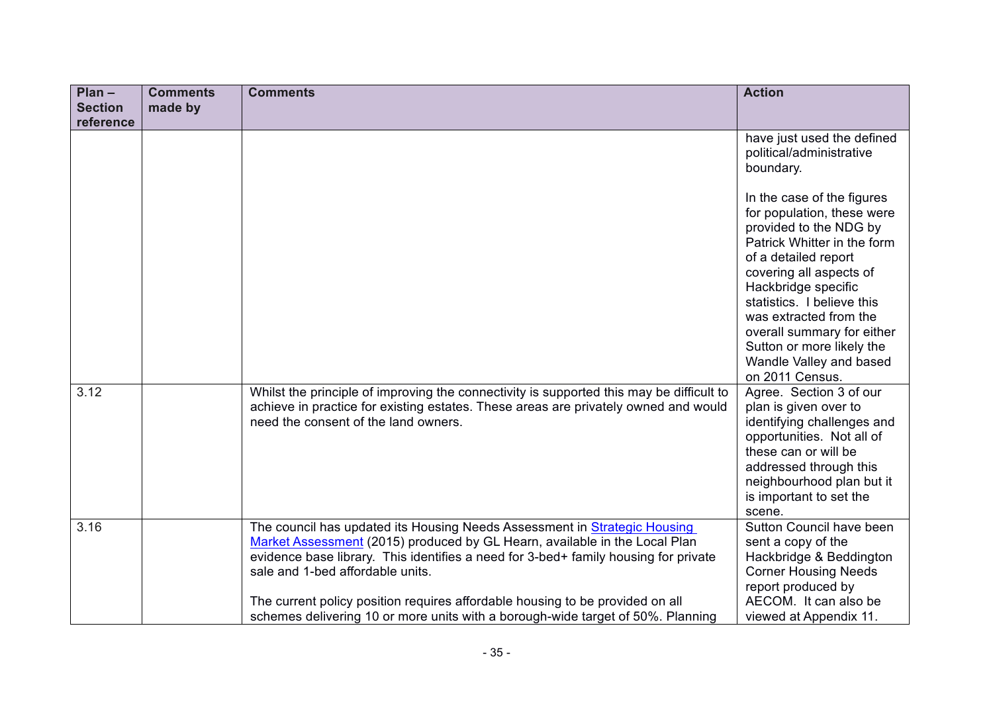| $Plan -$                    | <b>Comments</b> | <b>Comments</b>                                                                                                                                                                                                                                                                                                                                                                                                                                        | <b>Action</b>                                                                                                                                                                                                                                                                                                                                                |
|-----------------------------|-----------------|--------------------------------------------------------------------------------------------------------------------------------------------------------------------------------------------------------------------------------------------------------------------------------------------------------------------------------------------------------------------------------------------------------------------------------------------------------|--------------------------------------------------------------------------------------------------------------------------------------------------------------------------------------------------------------------------------------------------------------------------------------------------------------------------------------------------------------|
| <b>Section</b><br>reference | made by         |                                                                                                                                                                                                                                                                                                                                                                                                                                                        |                                                                                                                                                                                                                                                                                                                                                              |
|                             |                 |                                                                                                                                                                                                                                                                                                                                                                                                                                                        | have just used the defined<br>political/administrative<br>boundary.                                                                                                                                                                                                                                                                                          |
|                             |                 |                                                                                                                                                                                                                                                                                                                                                                                                                                                        | In the case of the figures<br>for population, these were<br>provided to the NDG by<br>Patrick Whitter in the form<br>of a detailed report<br>covering all aspects of<br>Hackbridge specific<br>statistics. I believe this<br>was extracted from the<br>overall summary for either<br>Sutton or more likely the<br>Wandle Valley and based<br>on 2011 Census. |
| 3.12                        |                 | Whilst the principle of improving the connectivity is supported this may be difficult to<br>achieve in practice for existing estates. These areas are privately owned and would<br>need the consent of the land owners.                                                                                                                                                                                                                                | Agree. Section 3 of our<br>plan is given over to<br>identifying challenges and<br>opportunities. Not all of<br>these can or will be<br>addressed through this<br>neighbourhood plan but it<br>is important to set the<br>scene.                                                                                                                              |
| 3.16                        |                 | The council has updated its Housing Needs Assessment in Strategic Housing<br>Market Assessment (2015) produced by GL Hearn, available in the Local Plan<br>evidence base library. This identifies a need for 3-bed+ family housing for private<br>sale and 1-bed affordable units.<br>The current policy position requires affordable housing to be provided on all<br>schemes delivering 10 or more units with a borough-wide target of 50%. Planning | Sutton Council have been<br>sent a copy of the<br>Hackbridge & Beddington<br><b>Corner Housing Needs</b><br>report produced by<br>AECOM. It can also be<br>viewed at Appendix 11.                                                                                                                                                                            |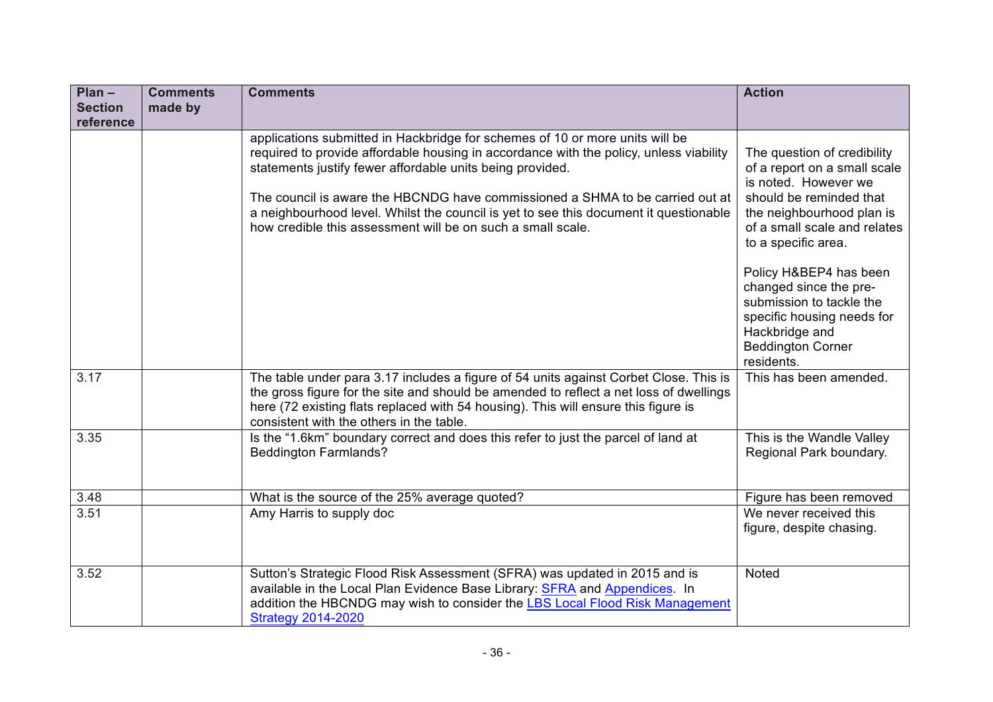| $Plan -$                    | <b>Comments</b> | <b>Comments</b>                                                                                                                                                                                                                                                                                                                                                                                                                                                              | <b>Action</b>                                                                                                                                                                                                                                                                                                    |
|-----------------------------|-----------------|------------------------------------------------------------------------------------------------------------------------------------------------------------------------------------------------------------------------------------------------------------------------------------------------------------------------------------------------------------------------------------------------------------------------------------------------------------------------------|------------------------------------------------------------------------------------------------------------------------------------------------------------------------------------------------------------------------------------------------------------------------------------------------------------------|
| <b>Section</b><br>reference | made by         |                                                                                                                                                                                                                                                                                                                                                                                                                                                                              |                                                                                                                                                                                                                                                                                                                  |
|                             |                 | applications submitted in Hackbridge for schemes of 10 or more units will be<br>required to provide affordable housing in accordance with the policy, unless viability<br>statements justify fewer affordable units being provided.<br>The council is aware the HBCNDG have commissioned a SHMA to be carried out at<br>a neighbourhood level. Whilst the council is yet to see this document it questionable<br>how credible this assessment will be on such a small scale. | The question of credibility<br>of a report on a small scale<br>is noted. However we<br>should be reminded that<br>the neighbourhood plan is<br>of a small scale and relates<br>to a specific area.<br>Policy H&BEP4 has been<br>changed since the pre-<br>submission to tackle the<br>specific housing needs for |
|                             |                 |                                                                                                                                                                                                                                                                                                                                                                                                                                                                              | Hackbridge and<br><b>Beddington Corner</b><br>residents.                                                                                                                                                                                                                                                         |
| 3.17                        |                 | The table under para 3.17 includes a figure of 54 units against Corbet Close. This is<br>the gross figure for the site and should be amended to reflect a net loss of dwellings<br>here (72 existing flats replaced with 54 housing). This will ensure this figure is<br>consistent with the others in the table.                                                                                                                                                            | This has been amended.                                                                                                                                                                                                                                                                                           |
| 3.35                        |                 | Is the "1.6km" boundary correct and does this refer to just the parcel of land at<br><b>Beddington Farmlands?</b>                                                                                                                                                                                                                                                                                                                                                            | This is the Wandle Valley<br>Regional Park boundary.                                                                                                                                                                                                                                                             |
| 3.48                        |                 | What is the source of the 25% average quoted?                                                                                                                                                                                                                                                                                                                                                                                                                                | Figure has been removed                                                                                                                                                                                                                                                                                          |
| 3.51                        |                 | Amy Harris to supply doc                                                                                                                                                                                                                                                                                                                                                                                                                                                     | We never received this<br>figure, despite chasing.                                                                                                                                                                                                                                                               |
| 3.52                        |                 | Sutton's Strategic Flood Risk Assessment (SFRA) was updated in 2015 and is<br>available in the Local Plan Evidence Base Library: SFRA and Appendices. In<br>addition the HBCNDG may wish to consider the LBS Local Flood Risk Management<br><b>Strategy 2014-2020</b>                                                                                                                                                                                                        | <b>Noted</b>                                                                                                                                                                                                                                                                                                     |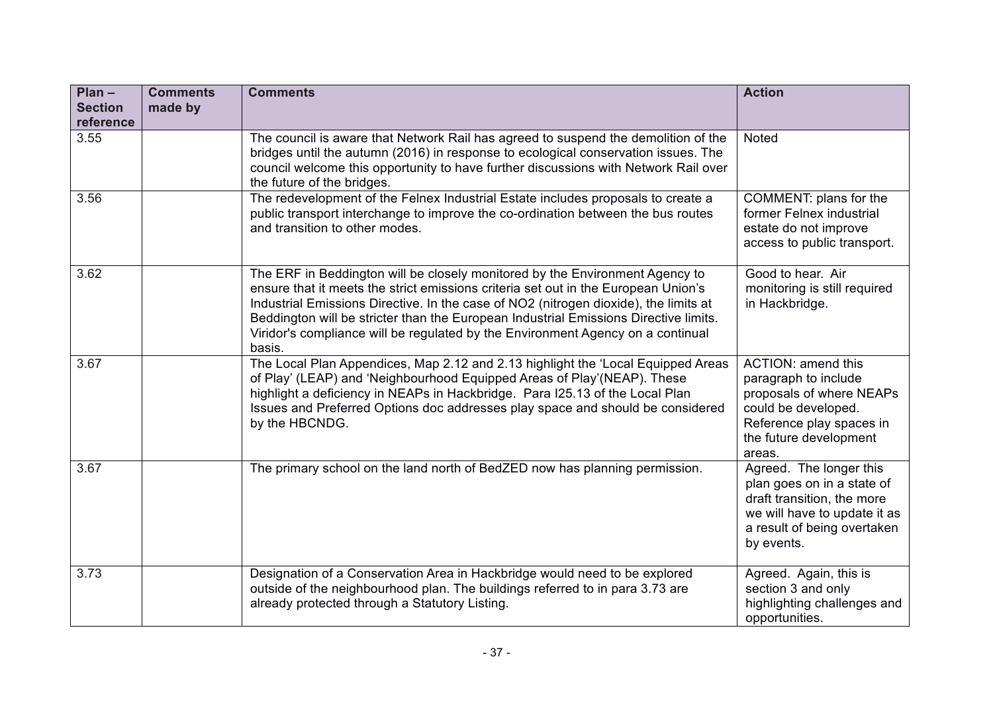| $Plan -$<br><b>Section</b><br>reference | <b>Comments</b><br>made by | <b>Comments</b>                                                                                                                                                                                                                                                                                                                                                                                                                                 | <b>Action</b>                                                                                                                                                        |
|-----------------------------------------|----------------------------|-------------------------------------------------------------------------------------------------------------------------------------------------------------------------------------------------------------------------------------------------------------------------------------------------------------------------------------------------------------------------------------------------------------------------------------------------|----------------------------------------------------------------------------------------------------------------------------------------------------------------------|
| 3.55                                    |                            | The council is aware that Network Rail has agreed to suspend the demolition of the<br>bridges until the autumn (2016) in response to ecological conservation issues. The<br>council welcome this opportunity to have further discussions with Network Rail over<br>the future of the bridges.                                                                                                                                                   | Noted                                                                                                                                                                |
| 3.56                                    |                            | The redevelopment of the Felnex Industrial Estate includes proposals to create a<br>public transport interchange to improve the co-ordination between the bus routes<br>and transition to other modes.                                                                                                                                                                                                                                          | COMMENT: plans for the<br>former Felnex industrial<br>estate do not improve<br>access to public transport.                                                           |
| 3.62                                    |                            | The ERF in Beddington will be closely monitored by the Environment Agency to<br>ensure that it meets the strict emissions criteria set out in the European Union's<br>Industrial Emissions Directive. In the case of NO2 (nitrogen dioxide), the limits at<br>Beddington will be stricter than the European Industrial Emissions Directive limits.<br>Viridor's compliance will be regulated by the Environment Agency on a continual<br>basis. | Good to hear. Air<br>monitoring is still required<br>in Hackbridge.                                                                                                  |
| 3.67                                    |                            | The Local Plan Appendices, Map 2.12 and 2.13 highlight the 'Local Equipped Areas<br>of Play' (LEAP) and 'Neighbourhood Equipped Areas of Play' (NEAP). These<br>highlight a deficiency in NEAPs in Hackbridge. Para I25.13 of the Local Plan<br>Issues and Preferred Options doc addresses play space and should be considered<br>by the HBCNDG.                                                                                                | <b>ACTION: amend this</b><br>paragraph to include<br>proposals of where NEAPs<br>could be developed.<br>Reference play spaces in<br>the future development<br>areas. |
| 3.67                                    |                            | The primary school on the land north of BedZED now has planning permission.                                                                                                                                                                                                                                                                                                                                                                     | Agreed. The longer this<br>plan goes on in a state of<br>draft transition, the more<br>we will have to update it as<br>a result of being overtaken<br>by events.     |
| 3.73                                    |                            | Designation of a Conservation Area in Hackbridge would need to be explored<br>outside of the neighbourhood plan. The buildings referred to in para 3.73 are<br>already protected through a Statutory Listing.                                                                                                                                                                                                                                   | Agreed. Again, this is<br>section 3 and only<br>highlighting challenges and<br>opportunities.                                                                        |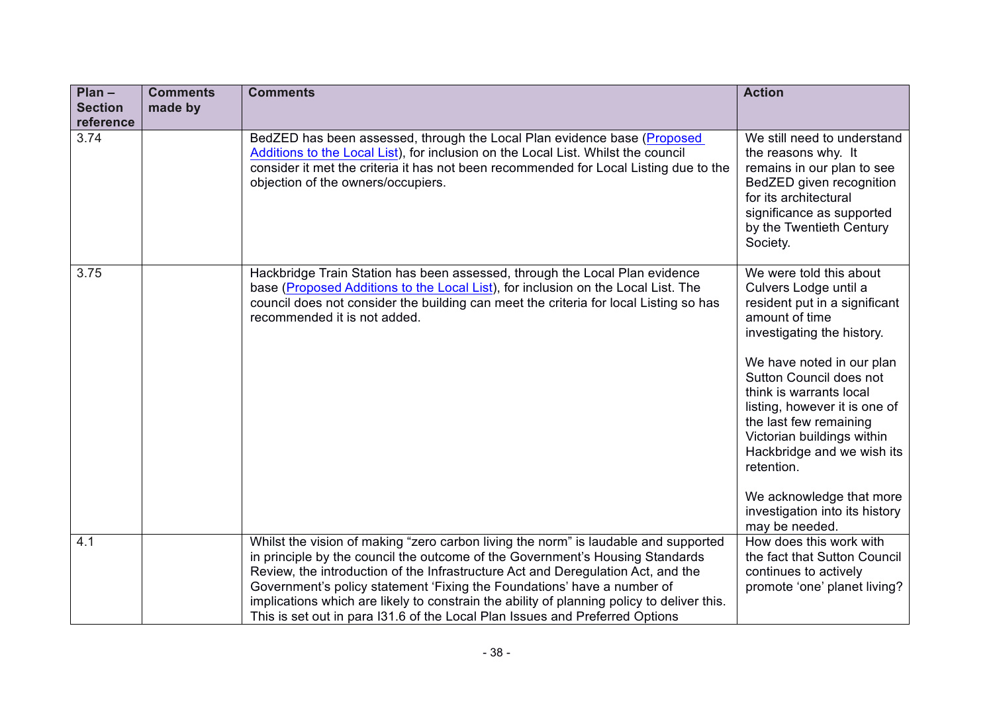| $Plan -$<br><b>Section</b> | <b>Comments</b><br>made by | <b>Comments</b>                                                                                                                                                                                                                                                                                                                                                                                                                                                                                                   | <b>Action</b>                                                                                                                                                                                                                                                                                                                                                                                                                             |
|----------------------------|----------------------------|-------------------------------------------------------------------------------------------------------------------------------------------------------------------------------------------------------------------------------------------------------------------------------------------------------------------------------------------------------------------------------------------------------------------------------------------------------------------------------------------------------------------|-------------------------------------------------------------------------------------------------------------------------------------------------------------------------------------------------------------------------------------------------------------------------------------------------------------------------------------------------------------------------------------------------------------------------------------------|
| reference                  |                            |                                                                                                                                                                                                                                                                                                                                                                                                                                                                                                                   |                                                                                                                                                                                                                                                                                                                                                                                                                                           |
| 3.74                       |                            | BedZED has been assessed, through the Local Plan evidence base (Proposed<br>Additions to the Local List), for inclusion on the Local List. Whilst the council<br>consider it met the criteria it has not been recommended for Local Listing due to the<br>objection of the owners/occupiers.                                                                                                                                                                                                                      | We still need to understand<br>the reasons why. It<br>remains in our plan to see<br>BedZED given recognition<br>for its architectural<br>significance as supported<br>by the Twentieth Century<br>Society.                                                                                                                                                                                                                                |
| 3.75                       |                            | Hackbridge Train Station has been assessed, through the Local Plan evidence<br>base (Proposed Additions to the Local List), for inclusion on the Local List. The<br>council does not consider the building can meet the criteria for local Listing so has<br>recommended it is not added.                                                                                                                                                                                                                         | We were told this about<br>Culvers Lodge until a<br>resident put in a significant<br>amount of time<br>investigating the history.<br>We have noted in our plan<br>Sutton Council does not<br>think is warrants local<br>listing, however it is one of<br>the last few remaining<br>Victorian buildings within<br>Hackbridge and we wish its<br>retention.<br>We acknowledge that more<br>investigation into its history<br>may be needed. |
| 4.1                        |                            | Whilst the vision of making "zero carbon living the norm" is laudable and supported<br>in principle by the council the outcome of the Government's Housing Standards<br>Review, the introduction of the Infrastructure Act and Deregulation Act, and the<br>Government's policy statement 'Fixing the Foundations' have a number of<br>implications which are likely to constrain the ability of planning policy to deliver this.<br>This is set out in para 131.6 of the Local Plan Issues and Preferred Options | How does this work with<br>the fact that Sutton Council<br>continues to actively<br>promote 'one' planet living?                                                                                                                                                                                                                                                                                                                          |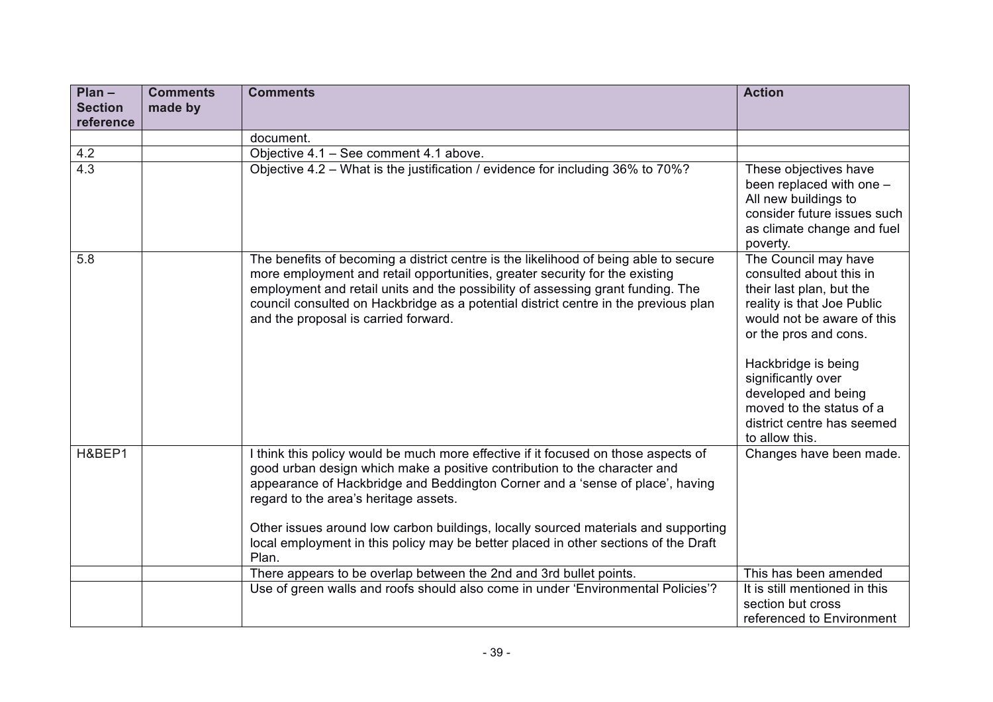| $Plan -$<br><b>Section</b> | <b>Comments</b><br>made by | <b>Comments</b>                                                                                                                                                                                                                                                                                                                                                                       | <b>Action</b>                                                                                                                                                                                                                                                                                                    |
|----------------------------|----------------------------|---------------------------------------------------------------------------------------------------------------------------------------------------------------------------------------------------------------------------------------------------------------------------------------------------------------------------------------------------------------------------------------|------------------------------------------------------------------------------------------------------------------------------------------------------------------------------------------------------------------------------------------------------------------------------------------------------------------|
| reference                  |                            |                                                                                                                                                                                                                                                                                                                                                                                       |                                                                                                                                                                                                                                                                                                                  |
|                            |                            | document.                                                                                                                                                                                                                                                                                                                                                                             |                                                                                                                                                                                                                                                                                                                  |
| 4.2                        |                            | Objective 4.1 - See comment 4.1 above.                                                                                                                                                                                                                                                                                                                                                |                                                                                                                                                                                                                                                                                                                  |
| 4.3                        |                            | Objective 4.2 - What is the justification / evidence for including 36% to 70%?                                                                                                                                                                                                                                                                                                        | These objectives have<br>been replaced with one -<br>All new buildings to<br>consider future issues such<br>as climate change and fuel<br>poverty.                                                                                                                                                               |
| 5.8                        |                            | The benefits of becoming a district centre is the likelihood of being able to secure<br>more employment and retail opportunities, greater security for the existing<br>employment and retail units and the possibility of assessing grant funding. The<br>council consulted on Hackbridge as a potential district centre in the previous plan<br>and the proposal is carried forward. | The Council may have<br>consulted about this in<br>their last plan, but the<br>reality is that Joe Public<br>would not be aware of this<br>or the pros and cons.<br>Hackbridge is being<br>significantly over<br>developed and being<br>moved to the status of a<br>district centre has seemed<br>to allow this. |
| H&BEP1                     |                            | I think this policy would be much more effective if it focused on those aspects of<br>good urban design which make a positive contribution to the character and<br>appearance of Hackbridge and Beddington Corner and a 'sense of place', having<br>regard to the area's heritage assets.<br>Other issues around low carbon buildings, locally sourced materials and supporting       | Changes have been made.                                                                                                                                                                                                                                                                                          |
|                            |                            | local employment in this policy may be better placed in other sections of the Draft<br>Plan.                                                                                                                                                                                                                                                                                          |                                                                                                                                                                                                                                                                                                                  |
|                            |                            | There appears to be overlap between the 2nd and 3rd bullet points.                                                                                                                                                                                                                                                                                                                    | This has been amended                                                                                                                                                                                                                                                                                            |
|                            |                            | Use of green walls and roofs should also come in under 'Environmental Policies'?                                                                                                                                                                                                                                                                                                      | It is still mentioned in this<br>section but cross<br>referenced to Environment                                                                                                                                                                                                                                  |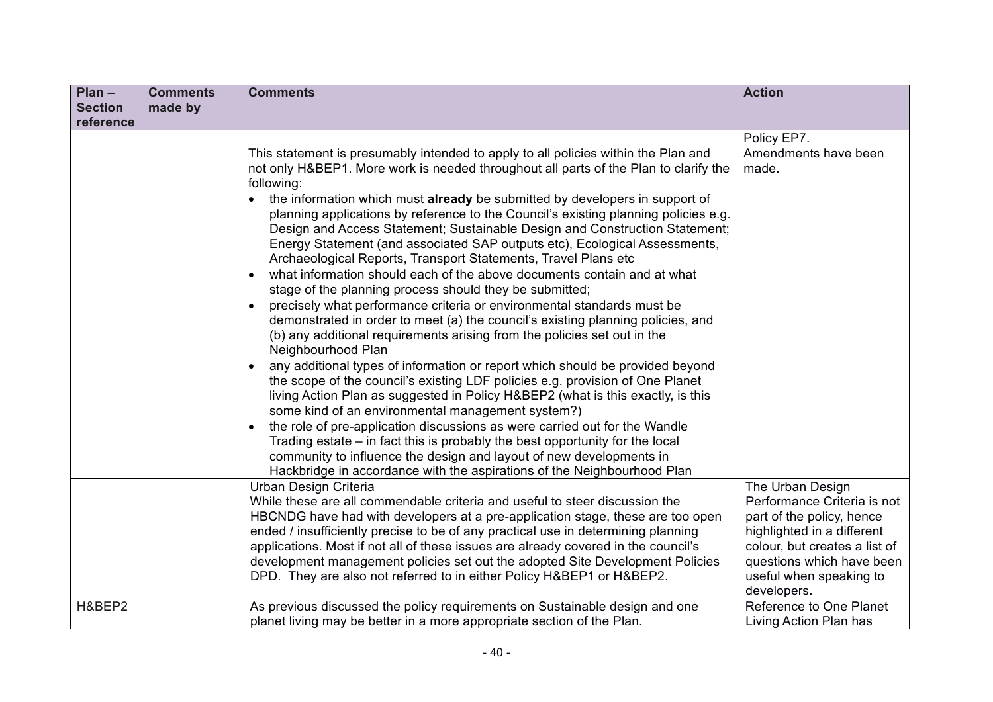| $Plan -$<br><b>Section</b> | <b>Comments</b><br>made by | <b>Comments</b>                                                                                                                                                                                                                                                                                                                                                                                                                                                                                                                                                                                                                                                                                                                                                                                                                                                                                                                                                                                                                                                                                                                                                                                                                                                                                              | <b>Action</b>                                                                                                                                                                                                      |
|----------------------------|----------------------------|--------------------------------------------------------------------------------------------------------------------------------------------------------------------------------------------------------------------------------------------------------------------------------------------------------------------------------------------------------------------------------------------------------------------------------------------------------------------------------------------------------------------------------------------------------------------------------------------------------------------------------------------------------------------------------------------------------------------------------------------------------------------------------------------------------------------------------------------------------------------------------------------------------------------------------------------------------------------------------------------------------------------------------------------------------------------------------------------------------------------------------------------------------------------------------------------------------------------------------------------------------------------------------------------------------------|--------------------------------------------------------------------------------------------------------------------------------------------------------------------------------------------------------------------|
| reference                  |                            |                                                                                                                                                                                                                                                                                                                                                                                                                                                                                                                                                                                                                                                                                                                                                                                                                                                                                                                                                                                                                                                                                                                                                                                                                                                                                                              |                                                                                                                                                                                                                    |
|                            |                            |                                                                                                                                                                                                                                                                                                                                                                                                                                                                                                                                                                                                                                                                                                                                                                                                                                                                                                                                                                                                                                                                                                                                                                                                                                                                                                              | Policy EP7.                                                                                                                                                                                                        |
|                            |                            | This statement is presumably intended to apply to all policies within the Plan and<br>not only H&BEP1. More work is needed throughout all parts of the Plan to clarify the<br>following:<br>the information which must already be submitted by developers in support of<br>planning applications by reference to the Council's existing planning policies e.g.<br>Design and Access Statement; Sustainable Design and Construction Statement;<br>Energy Statement (and associated SAP outputs etc), Ecological Assessments,<br>Archaeological Reports, Transport Statements, Travel Plans etc<br>what information should each of the above documents contain and at what<br>stage of the planning process should they be submitted;<br>precisely what performance criteria or environmental standards must be<br>demonstrated in order to meet (a) the council's existing planning policies, and<br>(b) any additional requirements arising from the policies set out in the<br>Neighbourhood Plan<br>any additional types of information or report which should be provided beyond<br>the scope of the council's existing LDF policies e.g. provision of One Planet<br>living Action Plan as suggested in Policy H&BEP2 (what is this exactly, is this<br>some kind of an environmental management system?) | Amendments have been<br>made.                                                                                                                                                                                      |
|                            |                            | the role of pre-application discussions as were carried out for the Wandle<br>Trading estate – in fact this is probably the best opportunity for the local<br>community to influence the design and layout of new developments in<br>Hackbridge in accordance with the aspirations of the Neighbourhood Plan                                                                                                                                                                                                                                                                                                                                                                                                                                                                                                                                                                                                                                                                                                                                                                                                                                                                                                                                                                                                 |                                                                                                                                                                                                                    |
|                            |                            | Urban Design Criteria<br>While these are all commendable criteria and useful to steer discussion the<br>HBCNDG have had with developers at a pre-application stage, these are too open<br>ended / insufficiently precise to be of any practical use in determining planning<br>applications. Most if not all of these issues are already covered in the council's<br>development management policies set out the adopted Site Development Policies<br>DPD. They are also not referred to in either Policy H&BEP1 or H&BEP2.                                                                                                                                                                                                                                                                                                                                                                                                                                                                                                                                                                                                                                                                                                                                                                                  | The Urban Design<br>Performance Criteria is not<br>part of the policy, hence<br>highlighted in a different<br>colour, but creates a list of<br>questions which have been<br>useful when speaking to<br>developers. |
| H&BEP2                     |                            | As previous discussed the policy requirements on Sustainable design and one<br>planet living may be better in a more appropriate section of the Plan.                                                                                                                                                                                                                                                                                                                                                                                                                                                                                                                                                                                                                                                                                                                                                                                                                                                                                                                                                                                                                                                                                                                                                        | Reference to One Planet<br>Living Action Plan has                                                                                                                                                                  |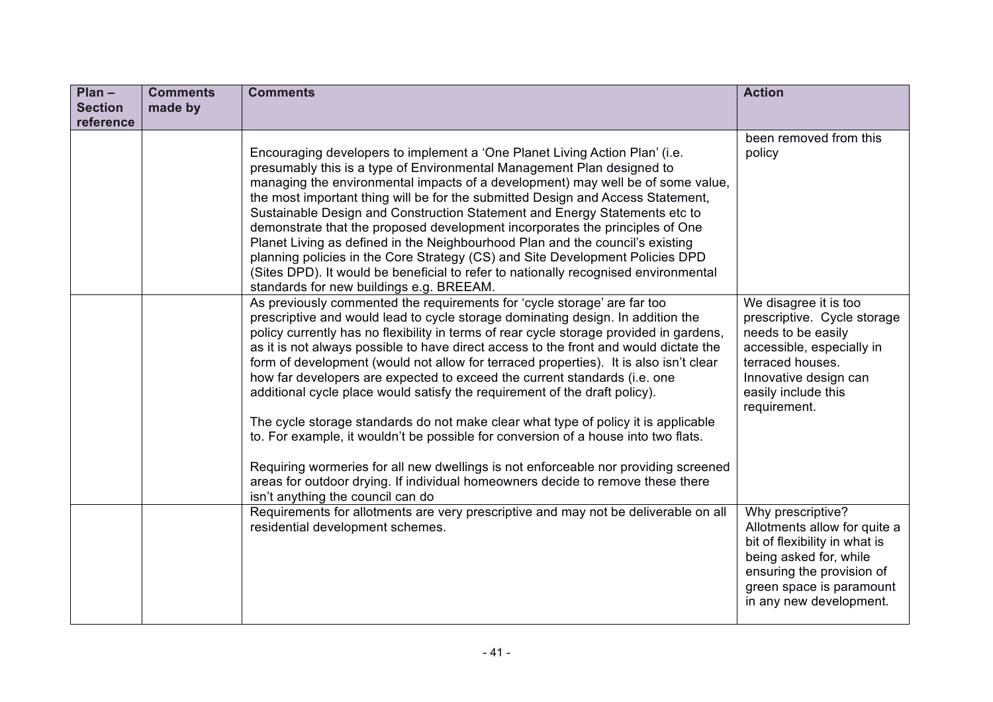| $Plan -$<br><b>Section</b><br>reference | <b>Comments</b><br>made by | <b>Comments</b>                                                                                                                                                                                                                                                                                                                                                                                                                                                                                                                                                                                                                                                                                                                                                                                                                                                                                                                                                                                | <b>Action</b>                                                                                                                                                                                    |
|-----------------------------------------|----------------------------|------------------------------------------------------------------------------------------------------------------------------------------------------------------------------------------------------------------------------------------------------------------------------------------------------------------------------------------------------------------------------------------------------------------------------------------------------------------------------------------------------------------------------------------------------------------------------------------------------------------------------------------------------------------------------------------------------------------------------------------------------------------------------------------------------------------------------------------------------------------------------------------------------------------------------------------------------------------------------------------------|--------------------------------------------------------------------------------------------------------------------------------------------------------------------------------------------------|
|                                         |                            | Encouraging developers to implement a 'One Planet Living Action Plan' (i.e.<br>presumably this is a type of Environmental Management Plan designed to<br>managing the environmental impacts of a development) may well be of some value,<br>the most important thing will be for the submitted Design and Access Statement,<br>Sustainable Design and Construction Statement and Energy Statements etc to<br>demonstrate that the proposed development incorporates the principles of One<br>Planet Living as defined in the Neighbourhood Plan and the council's existing<br>planning policies in the Core Strategy (CS) and Site Development Policies DPD<br>(Sites DPD). It would be beneficial to refer to nationally recognised environmental<br>standards for new buildings e.g. BREEAM.                                                                                                                                                                                                 | been removed from this<br>policy                                                                                                                                                                 |
|                                         |                            | As previously commented the requirements for 'cycle storage' are far too<br>prescriptive and would lead to cycle storage dominating design. In addition the<br>policy currently has no flexibility in terms of rear cycle storage provided in gardens,<br>as it is not always possible to have direct access to the front and would dictate the<br>form of development (would not allow for terraced properties). It is also isn't clear<br>how far developers are expected to exceed the current standards (i.e. one<br>additional cycle place would satisfy the requirement of the draft policy).<br>The cycle storage standards do not make clear what type of policy it is applicable<br>to. For example, it wouldn't be possible for conversion of a house into two flats.<br>Requiring wormeries for all new dwellings is not enforceable nor providing screened<br>areas for outdoor drying. If individual homeowners decide to remove these there<br>isn't anything the council can do | We disagree it is too<br>prescriptive. Cycle storage<br>needs to be easily<br>accessible, especially in<br>terraced houses.<br>Innovative design can<br>easily include this<br>requirement.      |
|                                         |                            | Requirements for allotments are very prescriptive and may not be deliverable on all<br>residential development schemes.                                                                                                                                                                                                                                                                                                                                                                                                                                                                                                                                                                                                                                                                                                                                                                                                                                                                        | Why prescriptive?<br>Allotments allow for quite a<br>bit of flexibility in what is<br>being asked for, while<br>ensuring the provision of<br>green space is paramount<br>in any new development. |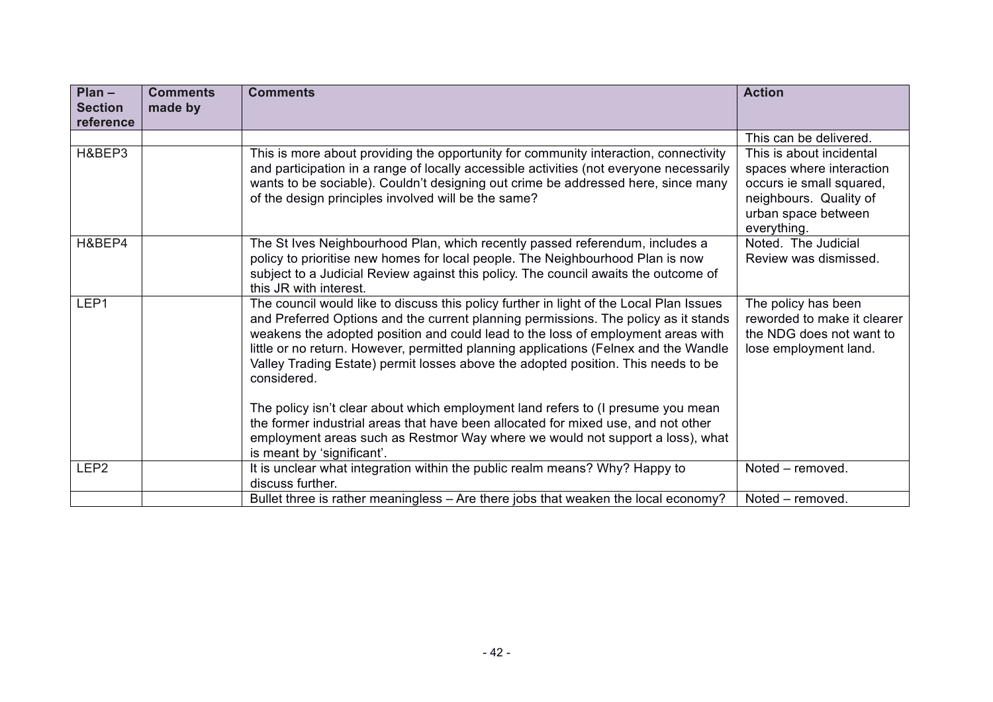| $Plan -$                    | <b>Comments</b> | <b>Comments</b>                                                                                                                                                                                                                                                                                                                                                                                                                                                                                                                                    | <b>Action</b>                                                                                                                                    |
|-----------------------------|-----------------|----------------------------------------------------------------------------------------------------------------------------------------------------------------------------------------------------------------------------------------------------------------------------------------------------------------------------------------------------------------------------------------------------------------------------------------------------------------------------------------------------------------------------------------------------|--------------------------------------------------------------------------------------------------------------------------------------------------|
| <b>Section</b><br>reference | made by         |                                                                                                                                                                                                                                                                                                                                                                                                                                                                                                                                                    |                                                                                                                                                  |
|                             |                 |                                                                                                                                                                                                                                                                                                                                                                                                                                                                                                                                                    | This can be delivered.                                                                                                                           |
| H&BEP3                      |                 | This is more about providing the opportunity for community interaction, connectivity<br>and participation in a range of locally accessible activities (not everyone necessarily<br>wants to be sociable). Couldn't designing out crime be addressed here, since many<br>of the design principles involved will be the same?                                                                                                                                                                                                                        | This is about incidental<br>spaces where interaction<br>occurs ie small squared,<br>neighbours. Quality of<br>urban space between<br>everything. |
| H&BEP4                      |                 | The St Ives Neighbourhood Plan, which recently passed referendum, includes a<br>policy to prioritise new homes for local people. The Neighbourhood Plan is now<br>subject to a Judicial Review against this policy. The council awaits the outcome of<br>this JR with interest.                                                                                                                                                                                                                                                                    | Noted. The Judicial<br>Review was dismissed.                                                                                                     |
| LEP1                        |                 | The council would like to discuss this policy further in light of the Local Plan Issues<br>and Preferred Options and the current planning permissions. The policy as it stands<br>weakens the adopted position and could lead to the loss of employment areas with<br>little or no return. However, permitted planning applications (Felnex and the Wandle<br>Valley Trading Estate) permit losses above the adopted position. This needs to be<br>considered.<br>The policy isn't clear about which employment land refers to (I presume you mean | The policy has been<br>reworded to make it clearer<br>the NDG does not want to<br>lose employment land.                                          |
|                             |                 | the former industrial areas that have been allocated for mixed use, and not other<br>employment areas such as Restmor Way where we would not support a loss), what<br>is meant by 'significant'.                                                                                                                                                                                                                                                                                                                                                   |                                                                                                                                                  |
| LEP <sub>2</sub>            |                 | It is unclear what integration within the public realm means? Why? Happy to<br>discuss further.                                                                                                                                                                                                                                                                                                                                                                                                                                                    | Noted - removed.                                                                                                                                 |
|                             |                 | Bullet three is rather meaningless - Are there jobs that weaken the local economy?                                                                                                                                                                                                                                                                                                                                                                                                                                                                 | Noted – removed.                                                                                                                                 |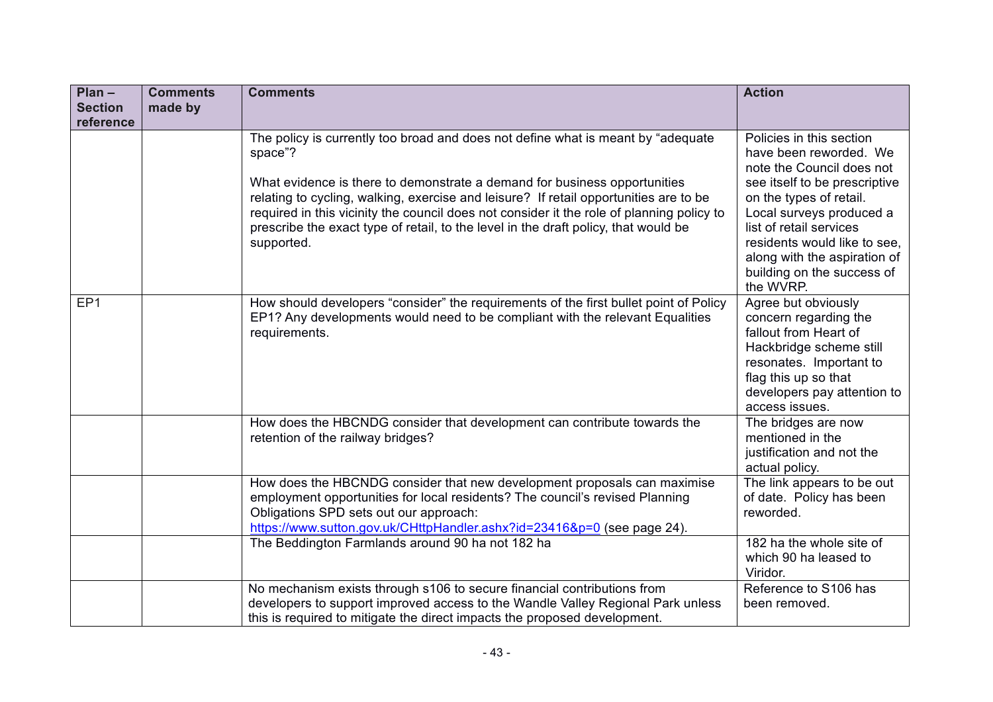| $Plan -$                    | <b>Comments</b> | <b>Comments</b>                                                                                                                                                                                                                                                                                                                                                                                                                                                     | <b>Action</b>                                                                                                                                                                                                                                                                                                 |
|-----------------------------|-----------------|---------------------------------------------------------------------------------------------------------------------------------------------------------------------------------------------------------------------------------------------------------------------------------------------------------------------------------------------------------------------------------------------------------------------------------------------------------------------|---------------------------------------------------------------------------------------------------------------------------------------------------------------------------------------------------------------------------------------------------------------------------------------------------------------|
| <b>Section</b><br>reference | made by         |                                                                                                                                                                                                                                                                                                                                                                                                                                                                     |                                                                                                                                                                                                                                                                                                               |
|                             |                 | The policy is currently too broad and does not define what is meant by "adequate<br>space"?<br>What evidence is there to demonstrate a demand for business opportunities<br>relating to cycling, walking, exercise and leisure? If retail opportunities are to be<br>required in this vicinity the council does not consider it the role of planning policy to<br>prescribe the exact type of retail, to the level in the draft policy, that would be<br>supported. | Policies in this section<br>have been reworded. We<br>note the Council does not<br>see itself to be prescriptive<br>on the types of retail.<br>Local surveys produced a<br>list of retail services<br>residents would like to see,<br>along with the aspiration of<br>building on the success of<br>the WVRP. |
| EP1                         |                 | How should developers "consider" the requirements of the first bullet point of Policy<br>EP1? Any developments would need to be compliant with the relevant Equalities<br>requirements.                                                                                                                                                                                                                                                                             | Agree but obviously<br>concern regarding the<br>fallout from Heart of<br>Hackbridge scheme still<br>resonates. Important to<br>flag this up so that<br>developers pay attention to<br>access issues.                                                                                                          |
|                             |                 | How does the HBCNDG consider that development can contribute towards the<br>retention of the railway bridges?                                                                                                                                                                                                                                                                                                                                                       | The bridges are now<br>mentioned in the<br>justification and not the<br>actual policy.                                                                                                                                                                                                                        |
|                             |                 | How does the HBCNDG consider that new development proposals can maximise<br>employment opportunities for local residents? The council's revised Planning<br>Obligations SPD sets out our approach:<br>https://www.sutton.gov.uk/CHttpHandler.ashx?id=23416&p=0 (see page 24).                                                                                                                                                                                       | The link appears to be out<br>of date. Policy has been<br>reworded.                                                                                                                                                                                                                                           |
|                             |                 | The Beddington Farmlands around 90 ha not 182 ha                                                                                                                                                                                                                                                                                                                                                                                                                    | 182 ha the whole site of<br>which 90 ha leased to<br>Viridor.                                                                                                                                                                                                                                                 |
|                             |                 | No mechanism exists through s106 to secure financial contributions from<br>developers to support improved access to the Wandle Valley Regional Park unless<br>this is required to mitigate the direct impacts the proposed development.                                                                                                                                                                                                                             | Reference to S106 has<br>been removed.                                                                                                                                                                                                                                                                        |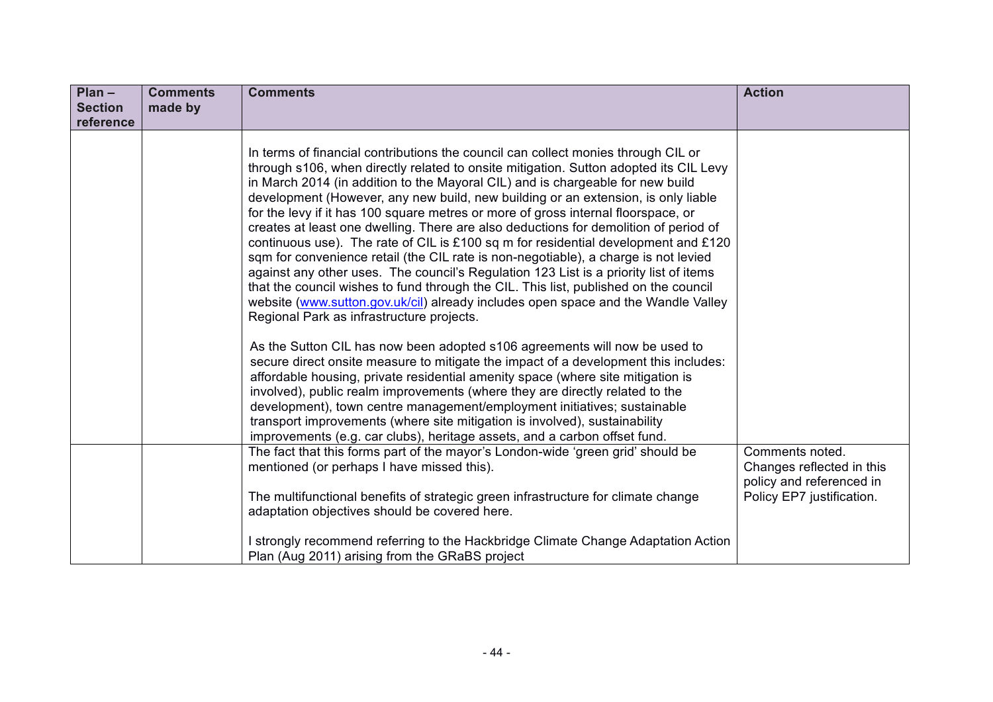| $Plan -$                    | <b>Comments</b> | <b>Comments</b>                                                                                                                                                                                                                                                                                                                                                                                                                                                                                                                                                                                                                                                                                                                                                                                                                                                                                                                                                                                                                                                                                                                                                                                                                                                                                                                                                                                                                                                                                                                  | <b>Action</b>                                                            |
|-----------------------------|-----------------|----------------------------------------------------------------------------------------------------------------------------------------------------------------------------------------------------------------------------------------------------------------------------------------------------------------------------------------------------------------------------------------------------------------------------------------------------------------------------------------------------------------------------------------------------------------------------------------------------------------------------------------------------------------------------------------------------------------------------------------------------------------------------------------------------------------------------------------------------------------------------------------------------------------------------------------------------------------------------------------------------------------------------------------------------------------------------------------------------------------------------------------------------------------------------------------------------------------------------------------------------------------------------------------------------------------------------------------------------------------------------------------------------------------------------------------------------------------------------------------------------------------------------------|--------------------------------------------------------------------------|
| <b>Section</b><br>reference | made by         |                                                                                                                                                                                                                                                                                                                                                                                                                                                                                                                                                                                                                                                                                                                                                                                                                                                                                                                                                                                                                                                                                                                                                                                                                                                                                                                                                                                                                                                                                                                                  |                                                                          |
|                             |                 | In terms of financial contributions the council can collect monies through CIL or<br>through s106, when directly related to onsite mitigation. Sutton adopted its CIL Levy<br>in March 2014 (in addition to the Mayoral CIL) and is chargeable for new build<br>development (However, any new build, new building or an extension, is only liable<br>for the levy if it has 100 square metres or more of gross internal floorspace, or<br>creates at least one dwelling. There are also deductions for demolition of period of<br>continuous use). The rate of CIL is £100 sq m for residential development and £120<br>sqm for convenience retail (the CIL rate is non-negotiable), a charge is not levied<br>against any other uses. The council's Regulation 123 List is a priority list of items<br>that the council wishes to fund through the CIL. This list, published on the council<br>website (www.sutton.gov.uk/cil) already includes open space and the Wandle Valley<br>Regional Park as infrastructure projects.<br>As the Sutton CIL has now been adopted s106 agreements will now be used to<br>secure direct onsite measure to mitigate the impact of a development this includes:<br>affordable housing, private residential amenity space (where site mitigation is<br>involved), public realm improvements (where they are directly related to the<br>development), town centre management/employment initiatives; sustainable<br>transport improvements (where site mitigation is involved), sustainability |                                                                          |
|                             |                 | improvements (e.g. car clubs), heritage assets, and a carbon offset fund.                                                                                                                                                                                                                                                                                                                                                                                                                                                                                                                                                                                                                                                                                                                                                                                                                                                                                                                                                                                                                                                                                                                                                                                                                                                                                                                                                                                                                                                        |                                                                          |
|                             |                 | The fact that this forms part of the mayor's London-wide 'green grid' should be<br>mentioned (or perhaps I have missed this).                                                                                                                                                                                                                                                                                                                                                                                                                                                                                                                                                                                                                                                                                                                                                                                                                                                                                                                                                                                                                                                                                                                                                                                                                                                                                                                                                                                                    | Comments noted.<br>Changes reflected in this<br>policy and referenced in |
|                             |                 | The multifunctional benefits of strategic green infrastructure for climate change<br>adaptation objectives should be covered here.                                                                                                                                                                                                                                                                                                                                                                                                                                                                                                                                                                                                                                                                                                                                                                                                                                                                                                                                                                                                                                                                                                                                                                                                                                                                                                                                                                                               | Policy EP7 justification.                                                |
|                             |                 | I strongly recommend referring to the Hackbridge Climate Change Adaptation Action<br>Plan (Aug 2011) arising from the GRaBS project                                                                                                                                                                                                                                                                                                                                                                                                                                                                                                                                                                                                                                                                                                                                                                                                                                                                                                                                                                                                                                                                                                                                                                                                                                                                                                                                                                                              |                                                                          |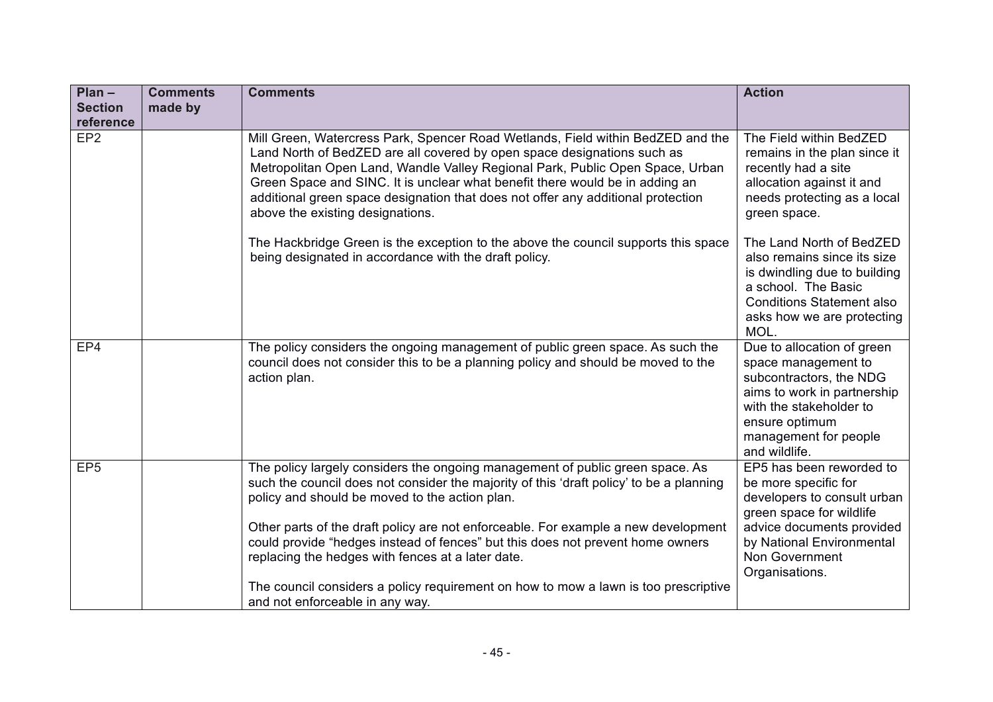| $Plan -$<br><b>Section</b> | <b>Comments</b><br>made by | <b>Comments</b>                                                                                                                                                                                                                                                                                                                                                                                                                                                                                                                                                                   | <b>Action</b>                                                                                                                                                                                             |
|----------------------------|----------------------------|-----------------------------------------------------------------------------------------------------------------------------------------------------------------------------------------------------------------------------------------------------------------------------------------------------------------------------------------------------------------------------------------------------------------------------------------------------------------------------------------------------------------------------------------------------------------------------------|-----------------------------------------------------------------------------------------------------------------------------------------------------------------------------------------------------------|
| reference                  |                            |                                                                                                                                                                                                                                                                                                                                                                                                                                                                                                                                                                                   |                                                                                                                                                                                                           |
| EP <sub>2</sub>            |                            | Mill Green, Watercress Park, Spencer Road Wetlands, Field within BedZED and the<br>Land North of BedZED are all covered by open space designations such as<br>Metropolitan Open Land, Wandle Valley Regional Park, Public Open Space, Urban<br>Green Space and SINC. It is unclear what benefit there would be in adding an<br>additional green space designation that does not offer any additional protection<br>above the existing designations.                                                                                                                               | The Field within BedZED<br>remains in the plan since it<br>recently had a site<br>allocation against it and<br>needs protecting as a local<br>green space.                                                |
|                            |                            | The Hackbridge Green is the exception to the above the council supports this space<br>being designated in accordance with the draft policy.                                                                                                                                                                                                                                                                                                                                                                                                                                       | The Land North of BedZED<br>also remains since its size<br>is dwindling due to building<br>a school. The Basic<br><b>Conditions Statement also</b><br>asks how we are protecting<br>MOL.                  |
| EP4                        |                            | The policy considers the ongoing management of public green space. As such the<br>council does not consider this to be a planning policy and should be moved to the<br>action plan.                                                                                                                                                                                                                                                                                                                                                                                               | Due to allocation of green<br>space management to<br>subcontractors, the NDG<br>aims to work in partnership<br>with the stakeholder to<br>ensure optimum<br>management for people<br>and wildlife.        |
| EP <sub>5</sub>            |                            | The policy largely considers the ongoing management of public green space. As<br>such the council does not consider the majority of this 'draft policy' to be a planning<br>policy and should be moved to the action plan.<br>Other parts of the draft policy are not enforceable. For example a new development<br>could provide "hedges instead of fences" but this does not prevent home owners<br>replacing the hedges with fences at a later date.<br>The council considers a policy requirement on how to mow a lawn is too prescriptive<br>and not enforceable in any way. | EP5 has been reworded to<br>be more specific for<br>developers to consult urban<br>green space for wildlife<br>advice documents provided<br>by National Environmental<br>Non Government<br>Organisations. |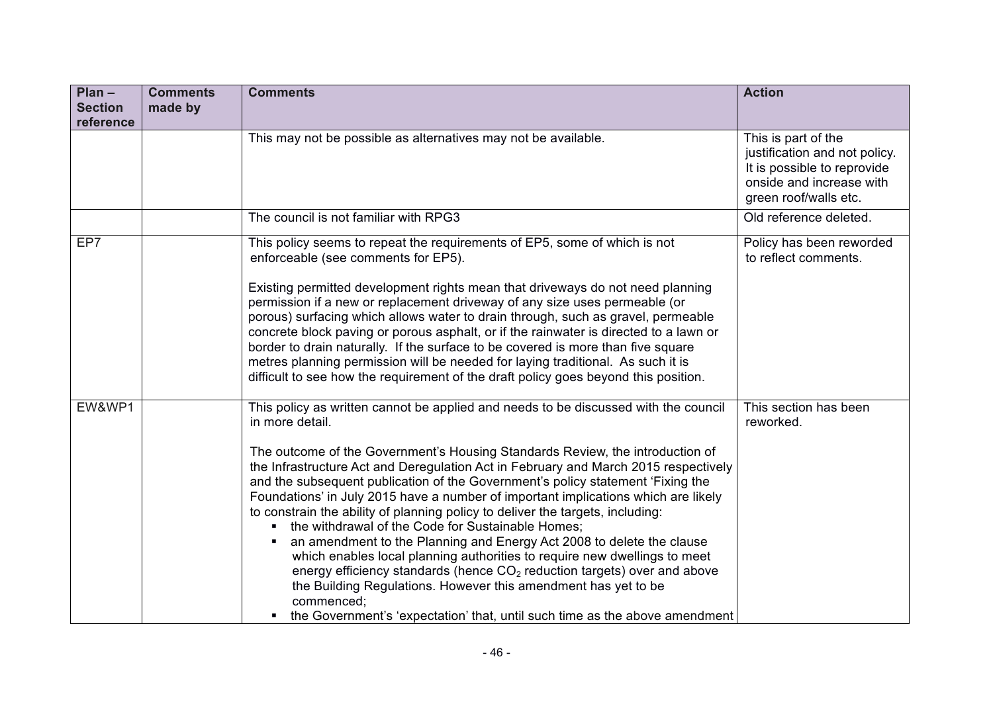| $Plan -$<br><b>Section</b><br>reference | <b>Comments</b><br>made by | <b>Comments</b>                                                                                                                                                                                                                                                                                                                                                                                                                                                                                                                                                                                                                                                                                                                                                                                                                                                                                                                                                                                               | <b>Action</b>                                                                                                                            |
|-----------------------------------------|----------------------------|---------------------------------------------------------------------------------------------------------------------------------------------------------------------------------------------------------------------------------------------------------------------------------------------------------------------------------------------------------------------------------------------------------------------------------------------------------------------------------------------------------------------------------------------------------------------------------------------------------------------------------------------------------------------------------------------------------------------------------------------------------------------------------------------------------------------------------------------------------------------------------------------------------------------------------------------------------------------------------------------------------------|------------------------------------------------------------------------------------------------------------------------------------------|
|                                         |                            | This may not be possible as alternatives may not be available.                                                                                                                                                                                                                                                                                                                                                                                                                                                                                                                                                                                                                                                                                                                                                                                                                                                                                                                                                | This is part of the<br>justification and not policy.<br>It is possible to reprovide<br>onside and increase with<br>green roof/walls etc. |
|                                         |                            | The council is not familiar with RPG3                                                                                                                                                                                                                                                                                                                                                                                                                                                                                                                                                                                                                                                                                                                                                                                                                                                                                                                                                                         | Old reference deleted.                                                                                                                   |
| EP7                                     |                            | This policy seems to repeat the requirements of EP5, some of which is not<br>enforceable (see comments for EP5).<br>Existing permitted development rights mean that driveways do not need planning<br>permission if a new or replacement driveway of any size uses permeable (or<br>porous) surfacing which allows water to drain through, such as gravel, permeable<br>concrete block paving or porous asphalt, or if the rainwater is directed to a lawn or<br>border to drain naturally. If the surface to be covered is more than five square<br>metres planning permission will be needed for laying traditional. As such it is<br>difficult to see how the requirement of the draft policy goes beyond this position.                                                                                                                                                                                                                                                                                   | Policy has been reworded<br>to reflect comments.                                                                                         |
| EW&WP1                                  |                            | This policy as written cannot be applied and needs to be discussed with the council<br>in more detail.<br>The outcome of the Government's Housing Standards Review, the introduction of<br>the Infrastructure Act and Deregulation Act in February and March 2015 respectively<br>and the subsequent publication of the Government's policy statement 'Fixing the<br>Foundations' in July 2015 have a number of important implications which are likely<br>to constrain the ability of planning policy to deliver the targets, including:<br>• the withdrawal of the Code for Sustainable Homes;<br>an amendment to the Planning and Energy Act 2008 to delete the clause<br>which enables local planning authorities to require new dwellings to meet<br>energy efficiency standards (hence CO <sub>2</sub> reduction targets) over and above<br>the Building Regulations. However this amendment has yet to be<br>commenced;<br>the Government's 'expectation' that, until such time as the above amendment | This section has been<br>reworked.                                                                                                       |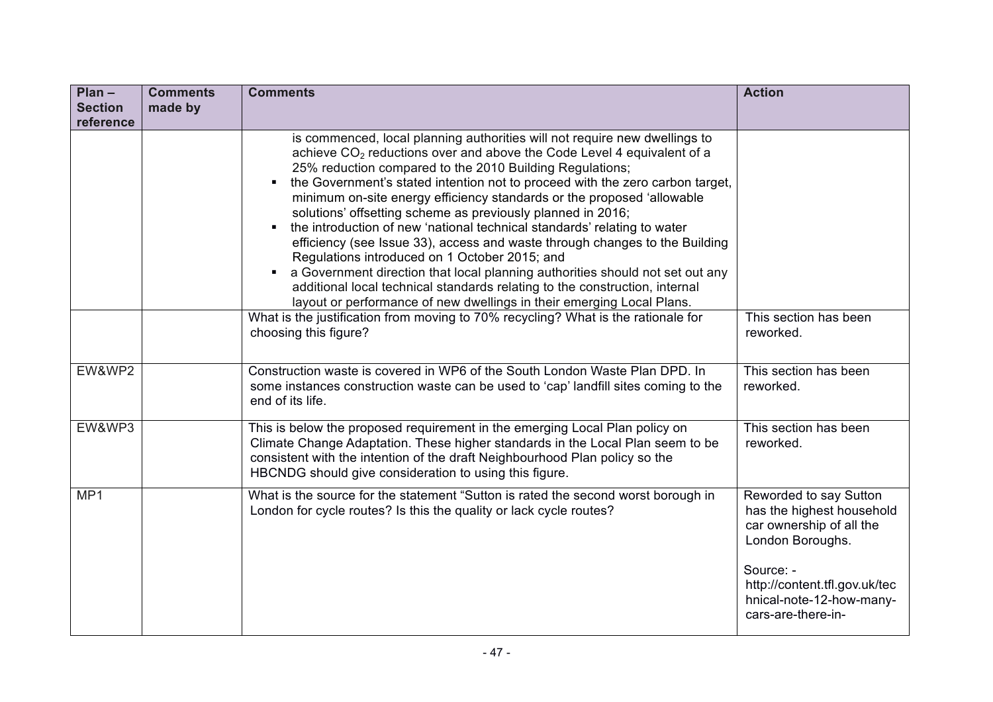| $Plan -$       | <b>Comments</b> | <b>Comments</b>                                                                                                                                                                                                                                                                                                                                                                                                                                                                                                                                                                                                                                                                                                                                                                                                                                                                                                            | <b>Action</b>                                                                                                                                                                                       |
|----------------|-----------------|----------------------------------------------------------------------------------------------------------------------------------------------------------------------------------------------------------------------------------------------------------------------------------------------------------------------------------------------------------------------------------------------------------------------------------------------------------------------------------------------------------------------------------------------------------------------------------------------------------------------------------------------------------------------------------------------------------------------------------------------------------------------------------------------------------------------------------------------------------------------------------------------------------------------------|-----------------------------------------------------------------------------------------------------------------------------------------------------------------------------------------------------|
| <b>Section</b> | made by         |                                                                                                                                                                                                                                                                                                                                                                                                                                                                                                                                                                                                                                                                                                                                                                                                                                                                                                                            |                                                                                                                                                                                                     |
| reference      |                 | is commenced, local planning authorities will not require new dwellings to<br>achieve CO <sub>2</sub> reductions over and above the Code Level 4 equivalent of a<br>25% reduction compared to the 2010 Building Regulations;<br>the Government's stated intention not to proceed with the zero carbon target,<br>٠<br>minimum on-site energy efficiency standards or the proposed 'allowable<br>solutions' offsetting scheme as previously planned in 2016;<br>the introduction of new 'national technical standards' relating to water<br>٠<br>efficiency (see Issue 33), access and waste through changes to the Building<br>Regulations introduced on 1 October 2015; and<br>a Government direction that local planning authorities should not set out any<br>٠<br>additional local technical standards relating to the construction, internal<br>layout or performance of new dwellings in their emerging Local Plans. |                                                                                                                                                                                                     |
|                |                 | What is the justification from moving to 70% recycling? What is the rationale for<br>choosing this figure?                                                                                                                                                                                                                                                                                                                                                                                                                                                                                                                                                                                                                                                                                                                                                                                                                 | This section has been<br>reworked.                                                                                                                                                                  |
| EW&WP2         |                 | Construction waste is covered in WP6 of the South London Waste Plan DPD. In<br>some instances construction waste can be used to 'cap' landfill sites coming to the<br>end of its life.                                                                                                                                                                                                                                                                                                                                                                                                                                                                                                                                                                                                                                                                                                                                     | This section has been<br>reworked.                                                                                                                                                                  |
| EW&WP3         |                 | This is below the proposed requirement in the emerging Local Plan policy on<br>Climate Change Adaptation. These higher standards in the Local Plan seem to be<br>consistent with the intention of the draft Neighbourhood Plan policy so the<br>HBCNDG should give consideration to using this figure.                                                                                                                                                                                                                                                                                                                                                                                                                                                                                                                                                                                                                     | This section has been<br>reworked.                                                                                                                                                                  |
| MP1            |                 | What is the source for the statement "Sutton is rated the second worst borough in<br>London for cycle routes? Is this the quality or lack cycle routes?                                                                                                                                                                                                                                                                                                                                                                                                                                                                                                                                                                                                                                                                                                                                                                    | Reworded to say Sutton<br>has the highest household<br>car ownership of all the<br>London Boroughs.<br>Source: -<br>http://content.tfl.gov.uk/tec<br>hnical-note-12-how-many-<br>cars-are-there-in- |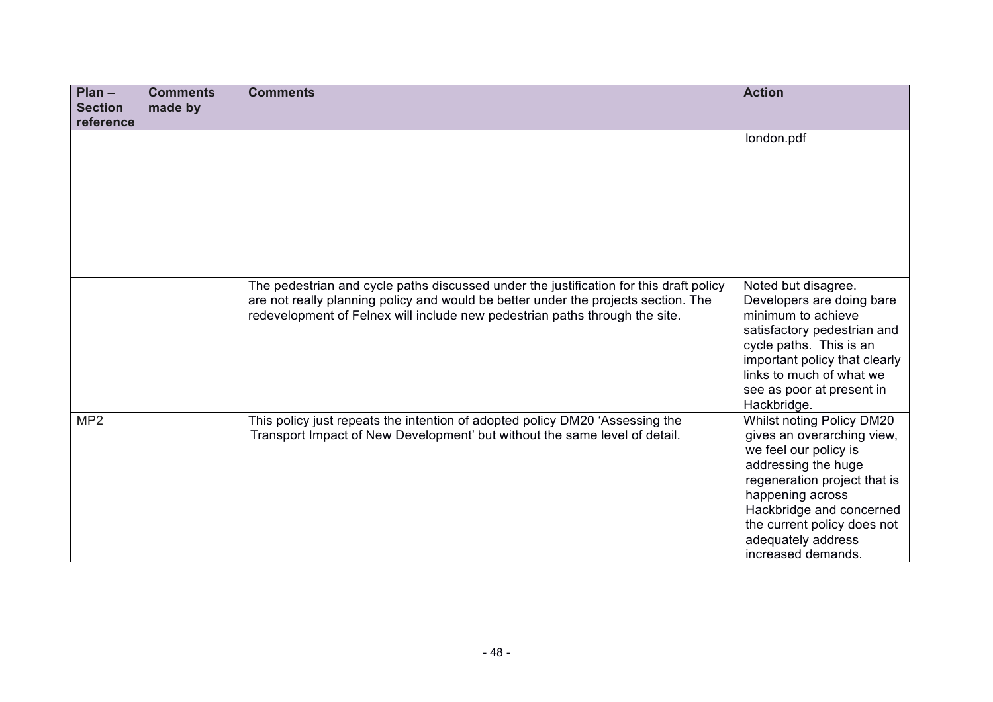| $Plan -$<br><b>Section</b><br>reference | <b>Comments</b><br>made by | <b>Comments</b>                                                                                                                                                                                                                                             | <b>Action</b>                                                                                                                                                                                                                                                      |
|-----------------------------------------|----------------------------|-------------------------------------------------------------------------------------------------------------------------------------------------------------------------------------------------------------------------------------------------------------|--------------------------------------------------------------------------------------------------------------------------------------------------------------------------------------------------------------------------------------------------------------------|
|                                         |                            |                                                                                                                                                                                                                                                             | london.pdf                                                                                                                                                                                                                                                         |
|                                         |                            | The pedestrian and cycle paths discussed under the justification for this draft policy<br>are not really planning policy and would be better under the projects section. The<br>redevelopment of Felnex will include new pedestrian paths through the site. | Noted but disagree.<br>Developers are doing bare<br>minimum to achieve<br>satisfactory pedestrian and<br>cycle paths. This is an<br>important policy that clearly<br>links to much of what we<br>see as poor at present in<br>Hackbridge.                          |
| MP2                                     |                            | This policy just repeats the intention of adopted policy DM20 'Assessing the<br>Transport Impact of New Development' but without the same level of detail.                                                                                                  | Whilst noting Policy DM20<br>gives an overarching view,<br>we feel our policy is<br>addressing the huge<br>regeneration project that is<br>happening across<br>Hackbridge and concerned<br>the current policy does not<br>adequately address<br>increased demands. |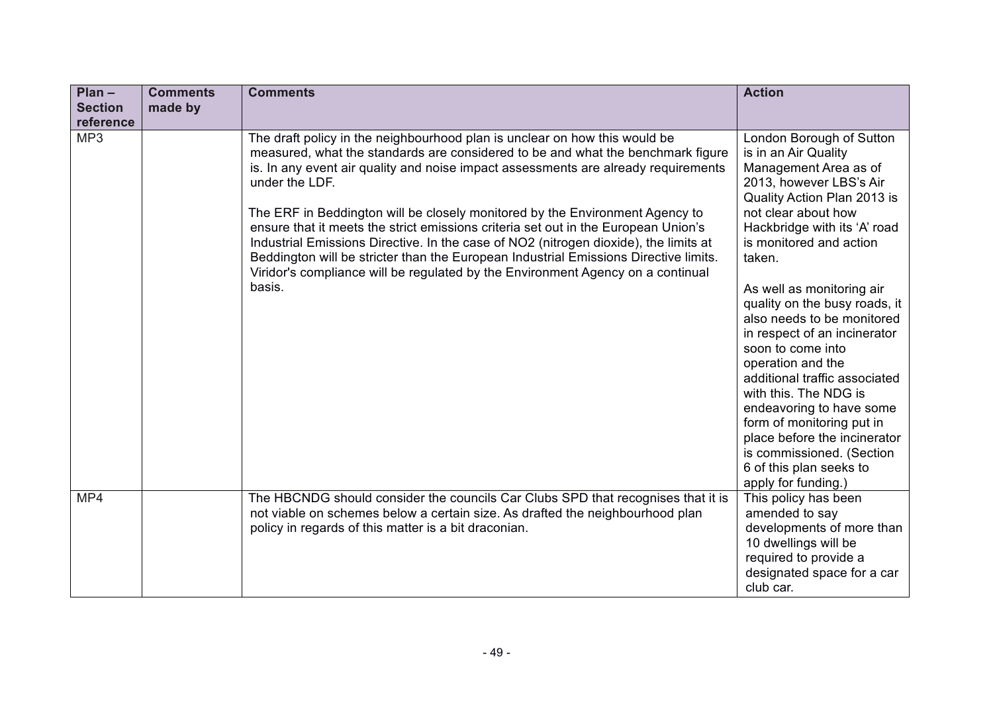| $Plan -$<br><b>Section</b> | <b>Comments</b><br>made by | <b>Comments</b>                                                                                                                                                                                                                                                                                                                                                                                                                                                                                                                                                                                                                                                                                                          | <b>Action</b>                                                                                                                                                                                                                                                                                                                                                                                                                                                                                                                                                                                                    |
|----------------------------|----------------------------|--------------------------------------------------------------------------------------------------------------------------------------------------------------------------------------------------------------------------------------------------------------------------------------------------------------------------------------------------------------------------------------------------------------------------------------------------------------------------------------------------------------------------------------------------------------------------------------------------------------------------------------------------------------------------------------------------------------------------|------------------------------------------------------------------------------------------------------------------------------------------------------------------------------------------------------------------------------------------------------------------------------------------------------------------------------------------------------------------------------------------------------------------------------------------------------------------------------------------------------------------------------------------------------------------------------------------------------------------|
| reference                  |                            |                                                                                                                                                                                                                                                                                                                                                                                                                                                                                                                                                                                                                                                                                                                          |                                                                                                                                                                                                                                                                                                                                                                                                                                                                                                                                                                                                                  |
| MP3                        |                            | The draft policy in the neighbourhood plan is unclear on how this would be<br>measured, what the standards are considered to be and what the benchmark figure<br>is. In any event air quality and noise impact assessments are already requirements<br>under the LDF.<br>The ERF in Beddington will be closely monitored by the Environment Agency to<br>ensure that it meets the strict emissions criteria set out in the European Union's<br>Industrial Emissions Directive. In the case of NO2 (nitrogen dioxide), the limits at<br>Beddington will be stricter than the European Industrial Emissions Directive limits.<br>Viridor's compliance will be regulated by the Environment Agency on a continual<br>basis. | London Borough of Sutton<br>is in an Air Quality<br>Management Area as of<br>2013, however LBS's Air<br>Quality Action Plan 2013 is<br>not clear about how<br>Hackbridge with its 'A' road<br>is monitored and action<br>taken.<br>As well as monitoring air<br>quality on the busy roads, it<br>also needs to be monitored<br>in respect of an incinerator<br>soon to come into<br>operation and the<br>additional traffic associated<br>with this. The NDG is<br>endeavoring to have some<br>form of monitoring put in<br>place before the incinerator<br>is commissioned. (Section<br>6 of this plan seeks to |
| MP4                        |                            | The HBCNDG should consider the councils Car Clubs SPD that recognises that it is                                                                                                                                                                                                                                                                                                                                                                                                                                                                                                                                                                                                                                         | apply for funding.)<br>This policy has been                                                                                                                                                                                                                                                                                                                                                                                                                                                                                                                                                                      |
|                            |                            | not viable on schemes below a certain size. As drafted the neighbourhood plan<br>policy in regards of this matter is a bit draconian.                                                                                                                                                                                                                                                                                                                                                                                                                                                                                                                                                                                    | amended to say<br>developments of more than<br>10 dwellings will be<br>required to provide a<br>designated space for a car                                                                                                                                                                                                                                                                                                                                                                                                                                                                                       |
|                            |                            |                                                                                                                                                                                                                                                                                                                                                                                                                                                                                                                                                                                                                                                                                                                          | club car.                                                                                                                                                                                                                                                                                                                                                                                                                                                                                                                                                                                                        |